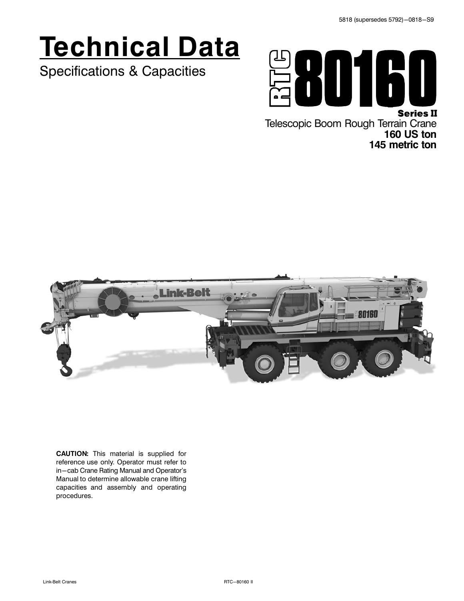# **Technical Data**

Specifications & Capacities



Telescopic Boom Rough Terrain Crane **160 US ton 145 metric ton**



**CAUTION:** This material is supplied for reference use only. Operator must refer to in-cab Crane Rating Manual and Operator's Manual to determine allowable crane lifting capacities and assembly and operating procedures.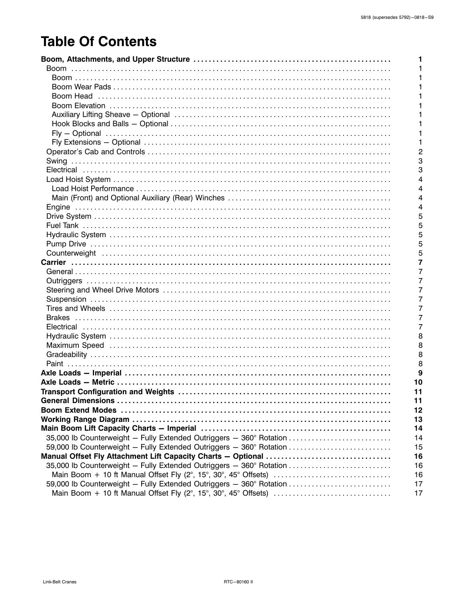## **Table Of Contents**

|                                                                                                                                    | 1              |
|------------------------------------------------------------------------------------------------------------------------------------|----------------|
|                                                                                                                                    |                |
|                                                                                                                                    |                |
|                                                                                                                                    |                |
|                                                                                                                                    |                |
|                                                                                                                                    |                |
|                                                                                                                                    |                |
|                                                                                                                                    |                |
|                                                                                                                                    | 1              |
|                                                                                                                                    | 1              |
|                                                                                                                                    | $\overline{c}$ |
|                                                                                                                                    | 3              |
|                                                                                                                                    | 3              |
|                                                                                                                                    | $\overline{4}$ |
|                                                                                                                                    | $\overline{4}$ |
|                                                                                                                                    | $\overline{4}$ |
|                                                                                                                                    | $\overline{4}$ |
|                                                                                                                                    | 5              |
|                                                                                                                                    | 5              |
|                                                                                                                                    | 5              |
|                                                                                                                                    | 5              |
|                                                                                                                                    | 5              |
|                                                                                                                                    | $\overline{7}$ |
|                                                                                                                                    | $\overline{7}$ |
|                                                                                                                                    | $\overline{7}$ |
|                                                                                                                                    | $\overline{7}$ |
|                                                                                                                                    | $\overline{7}$ |
|                                                                                                                                    | $\overline{7}$ |
|                                                                                                                                    |                |
|                                                                                                                                    | $\overline{7}$ |
|                                                                                                                                    | $\overline{7}$ |
|                                                                                                                                    | 8              |
|                                                                                                                                    | 8              |
|                                                                                                                                    | 8              |
|                                                                                                                                    | 8              |
|                                                                                                                                    | 9              |
|                                                                                                                                    | 10             |
|                                                                                                                                    | 11             |
|                                                                                                                                    | 11             |
|                                                                                                                                    | 12             |
|                                                                                                                                    | 13             |
|                                                                                                                                    | 14             |
| 35,000 lb Counterweight - Fully Extended Outriggers - 360° Rotation                                                                | 14             |
| 59,000 lb Counterweight - Fully Extended Outriggers - 360° Rotation                                                                | 15             |
| Manual Offset Fly Attachment Lift Capacity Charts - Optional                                                                       | 16             |
| 35,000 lb Counterweight - Fully Extended Outriggers - 360° Rotation                                                                | 16             |
| Main Boom + 10 ft Manual Offset Fly ( $2^\circ$ , 15°, 30°, 45° Offsets) $\ldots \ldots \ldots \ldots \ldots \ldots \ldots \ldots$ | 16             |
| 59,000 lb Counterweight - Fully Extended Outriggers - 360° Rotation                                                                | 17             |
|                                                                                                                                    | 17             |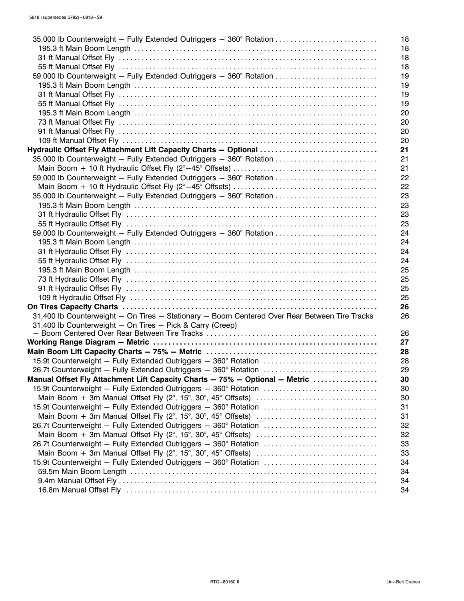| 18<br>35,000 lb Counterweight - Fully Extended Outriggers - 360° Rotation                           |  |
|-----------------------------------------------------------------------------------------------------|--|
| 18                                                                                                  |  |
| 18                                                                                                  |  |
| 18                                                                                                  |  |
| 19<br>59,000 lb Counterweight - Fully Extended Outriggers - 360° Rotation                           |  |
| 19                                                                                                  |  |
| 19                                                                                                  |  |
| 19                                                                                                  |  |
| 20                                                                                                  |  |
| 20                                                                                                  |  |
| 20                                                                                                  |  |
| 20                                                                                                  |  |
| Hydraulic Offset Fly Attachment Lift Capacity Charts - Optional<br>21                               |  |
| 35,000 lb Counterweight - Fully Extended Outriggers - 360° Rotation<br>21                           |  |
| 21                                                                                                  |  |
|                                                                                                     |  |
| 59,000 lb Counterweight - Fully Extended Outriggers - 360° Rotation<br>22                           |  |
| 22                                                                                                  |  |
| 35,000 lb Counterweight - Fully Extended Outriggers - 360° Rotation<br>23                           |  |
| 23                                                                                                  |  |
| 23                                                                                                  |  |
| 23                                                                                                  |  |
| 59,000 lb Counterweight - Fully Extended Outriggers - 360° Rotation<br>24                           |  |
| 24                                                                                                  |  |
| 24                                                                                                  |  |
| 24                                                                                                  |  |
| 25                                                                                                  |  |
| 25                                                                                                  |  |
| 25                                                                                                  |  |
| 25                                                                                                  |  |
| 26                                                                                                  |  |
| 31,400 lb Counterweight - On Tires - Stationary - Boom Centered Over Rear Between Tire Tracks<br>26 |  |
| 31.400 lb Counterweight - On Tires - Pick & Carry (Creep)                                           |  |
| 26                                                                                                  |  |
| 27                                                                                                  |  |
| 28                                                                                                  |  |
| 15.9t Counterweight - Fully Extended Outriggers - 360° Rotation<br>28                               |  |
| 26.7t Counterweight - Fully Extended Outriggers - 360° Rotation<br>29                               |  |
| Manual Offset Fly Attachment Lift Capacity Charts - 75% - Optional - Metric<br>30                   |  |
| 15.9t Counterweight - Fully Extended Outriggers - 360° Rotation<br>30                               |  |
| 30                                                                                                  |  |
| 15.9t Counterweight - Fully Extended Outriggers - 360° Rotation<br>31                               |  |
| 31                                                                                                  |  |
| 32                                                                                                  |  |
| 32                                                                                                  |  |
| 33                                                                                                  |  |
| 33                                                                                                  |  |
| 34                                                                                                  |  |
| 34                                                                                                  |  |
| 34                                                                                                  |  |
| 34                                                                                                  |  |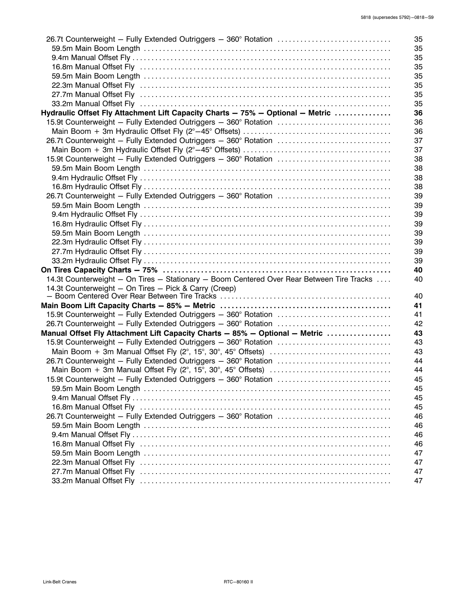|                                                                                           | 35       |
|-------------------------------------------------------------------------------------------|----------|
|                                                                                           | 35       |
|                                                                                           | 35       |
|                                                                                           | 35       |
|                                                                                           | 35       |
|                                                                                           | 35       |
|                                                                                           | 35       |
|                                                                                           | 35       |
| Hydraulic Offset Fly Attachment Lift Capacity Charts - 75% - Optional - Metric            | 36       |
| 15.9t Counterweight - Fully Extended Outriggers - 360° Rotation                           | 36       |
|                                                                                           | 36       |
|                                                                                           | 37       |
|                                                                                           | 37       |
|                                                                                           | 38       |
|                                                                                           | 38       |
|                                                                                           | 38       |
|                                                                                           | 38       |
|                                                                                           | 39       |
|                                                                                           | 39       |
|                                                                                           | 39       |
|                                                                                           | 39       |
|                                                                                           | 39       |
|                                                                                           | 39       |
|                                                                                           | 39       |
|                                                                                           | 39       |
|                                                                                           |          |
|                                                                                           | 40       |
| 14.3t Counterweight - On Tires - Stationary - Boom Centered Over Rear Between Tire Tracks | 40       |
| 14.3t Counterweight - On Tires - Pick & Carry (Creep)                                     |          |
|                                                                                           | 40       |
|                                                                                           | 41       |
|                                                                                           | 41       |
|                                                                                           | 42       |
| Manual Offset Fly Attachment Lift Capacity Charts - 85% - Optional - Metric               | 43       |
| 15.9t Counterweight - Fully Extended Outriggers - 360° Rotation                           | 43       |
|                                                                                           | 43       |
|                                                                                           | 44       |
|                                                                                           | 44       |
| 15.9t Counterweight - Fully Extended Outriggers - 360° Rotation                           | 45       |
|                                                                                           | 45       |
|                                                                                           | 45       |
|                                                                                           | 45       |
|                                                                                           | 46       |
|                                                                                           | 46       |
|                                                                                           | 46       |
|                                                                                           | 46       |
|                                                                                           | 47       |
|                                                                                           | 47       |
|                                                                                           | 47<br>47 |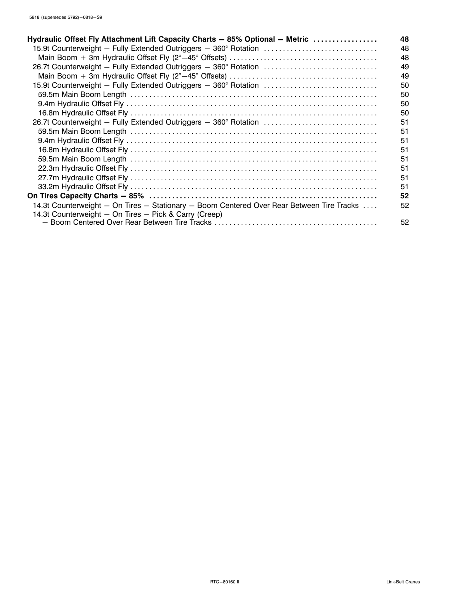| Hydraulic Offset Fly Attachment Lift Capacity Charts - 85% Optional - Metric              | 48 |
|-------------------------------------------------------------------------------------------|----|
| 15.9t Counterweight - Fully Extended Outriggers - 360° Rotation                           | 48 |
|                                                                                           | 48 |
|                                                                                           | 49 |
|                                                                                           | 49 |
| 15.9t Counterweight - Fully Extended Outriggers - 360° Rotation                           | 50 |
|                                                                                           |    |
|                                                                                           | 50 |
|                                                                                           | 50 |
|                                                                                           | 50 |
|                                                                                           | 51 |
|                                                                                           | 51 |
|                                                                                           | 51 |
|                                                                                           | 51 |
|                                                                                           | 51 |
|                                                                                           | 51 |
|                                                                                           | 51 |
|                                                                                           | 51 |
|                                                                                           | 52 |
| 14.3t Counterweight - On Tires - Stationary - Boom Centered Over Rear Between Tire Tracks | 52 |
| 14.3t Counterweight - On Tires - Pick & Carry (Creep)                                     |    |
|                                                                                           | 52 |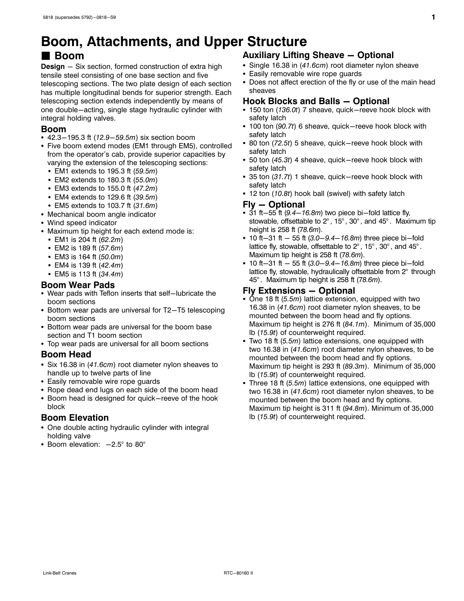## <span id="page-6-0"></span>**Boom, Attachments, and Upper Structure**

### - **Boom**

**Design** - Six section, formed construction of extra high tensile steel consisting of one base section and five telescoping sections. The two plate design of each section has multiple longitudinal bends for superior strength. Each telescoping section extends independently by means of one double-acting, single stage hydraulic cylinder with integral holding valves.

### **Boom**

- 42.3-195.3 ft (*12.9-59.5m*) six section boom
- Five boom extend modes (EM1 through EM5), controlled from the operator's cab, provide superior capacities by varying the extension of the telescoping sections:
	- EM1 extends to 195.3 ft (*59.5m*)
	- EM2 extends to 180.3 ft (*55.0m*)
	- EM3 extends to 155.0 ft (*47.2m*)
	- EM4 extends to 129.6 ft (*39.5m*)
- 
- EM5 extends to 103.7 ft (*31.6m*) - Mechanical boom angle indicator
- Wind speed indicator
- Maximum tip height for each extend mode is:
- EM1 is 204 ft (*62.2m*)
- EM2 is 189 ft (*57.6m*)
- EM3 is 164 ft (*50.0m*)
- EM4 is 139 ft (*42.4m*)
- EM5 is 113 ft (*34.4m*)

### **Boom Wear Pads**

- Wear pads with Teflon inserts that self-lubricate the boom sections
- Bottom wear pads are universal for T2-T5 telescoping boom sections
- Bottom wear pads are universal for the boom base section and T1 boom section
- Top wear pads are universal for all boom sections

### **Boom Head**

- Six 16.38 in (*41.6cm*) root diameter nylon sheaves to handle up to twelve parts of line
- Easily removable wire rope guards
- Rope dead end lugs on each side of the boom head
- Boom head is designed for quick-reeve of the hook block

### **Boom Elevation**

- One double acting hydraulic cylinder with integral holding valve
- $\bullet$  Boom elevation:  $-2.5^{\circ}$  to 80°

### **Auxiliary Lifting Sheave - Optional**

- Single 16.38 in (*41.6cm*) root diameter nylon sheave
- Easily removable wire rope guards
- Does not affect erection of the fly or use of the main head sheaves

### **Hook Blocks and Balls - Optional**

- 150 ton (*136.0t*) 7 sheave, quick-reeve hook block with safety latch
- 100 ton (*90.7t*) 6 sheave, quick-reeve hook block with safety latch
- 80 ton (*72.5t*) 5 sheave, quick-reeve hook block with safety latch
- - 50 ton (*45.3t*) 4 sheave, quick-reeve hook block with safety latch
- 35 ton (31.7t) 1 sheave, quick-reeve hook block with<br>safety latch safety latch
- 12 ton (10.8t) hook ball (swivel) with safety latch

### **Fly - Optional**

- $\cdot$  31 ft-55 ft (*9.4-16.8m*) two piece bi-fold lattice fly,<br>stowable offsettable to 2° 15° 30° and 45°. Maxi stowable, offsettable to 2° , 15° , 30° , and 45° . Maximum tip height is 258 ft (7*8.6m*).
- $10 \text{ ft}-31 \text{ ft} 55 \text{ ft} (3.0-9.4-16.8m)$  three piece bi-fold<br>lattice fly stowable offsettable to 2°  $15^{\circ}$  30° and 45° lattice fly, stowable, offsettable to 2° , 15° , 30° , and 45° . Maximum tip height is 258 ft (7*8.6m*).
- 10 ft-31 ft 55 ft  $(3.0-9.4-76.8m)$  three piece bi-fold<br>lattice fly stowable bydraulically offsettable from 2° thro lattice fly, stowable, hydraulically offsettable from 2° through 45° . Maximum tip height is 258 ft (7*8.6m*).

### **Fly Extensions - Optional**

- One 18 ft (*5.5m*) lattice extension, equipped with two<br>16.38 in (41.6cm) root diameter nylon sheaves to be 16.38 in (*41.6cm*) root diameter nylon sheaves, to be mounted between the boom head and fly options. Maximum tip height is 276 ft (*84.1m*). Minimum of 35,000 lb (*15.9t*) of counterweight required.
- Two 18 ft (5.5m) lattice extensions, one equipped with two 16.38 in (41.6cm) root diameter pylon sheaves to two 16.38 in (*41.6cm*) root diameter nylon sheaves, to be mounted between the boom head and fly options. Maximum tip height is 293 ft (*89.3m*). Minimum of 35,000 lb (*15.9t*) of counterweight required.
- Three 18 ft (5.5m) lattice extensions, one equipped with two 16.38 in (41.6cm) root diameter pylon sheaves to b two 16.38 in (*41.6cm*) root diameter nylon sheaves, to be mounted between the boom head and fly options. Maximum tip height is 311 ft (*94.8m*). Minimum of 35,000 lb (*15.9t*) of counterweight required.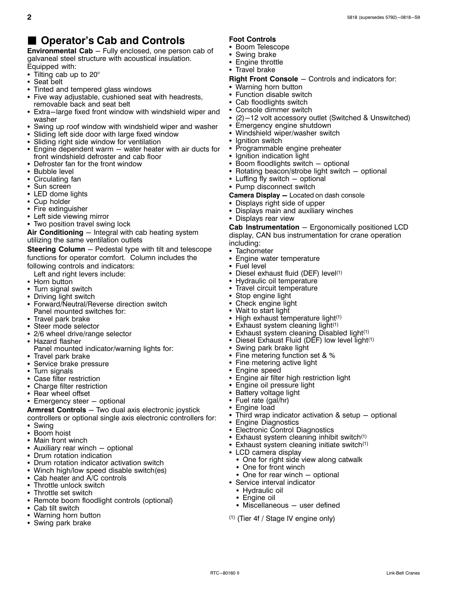### <span id="page-7-0"></span>■ Operator's Cab and Controls

**Environmental Cab** - Fully enclosed, one person cab of galvaneal steel structure with acoustical insulation. Equipped with:

- Tilting cab up to 20°
- Seat belt
- Tinted and tempered glass windows
- Five way adjustable, cushioned seat with headrests, removable back and seat belt
- Extra-large fixed front window with windshield wiper and washer
- Swing up roof window with windshield wiper and washer
- Sliding left side door with large fixed window
- Sliding right side window for ventilation
- Engine dependent warm water heater with air ducts for front windshield defroster and cab floor
- -Defroster fan for the front window
- Bubble level
- Circulating fan
- Sun screen
- LED dome lights
- Cup holder
- Fire extinguisher
- Left side viewing mirror
- Two position travel swing lock

Air Conditioning - Integral with cab heating system utilizing the same ventilation outlets

**Steering Column** - Pedestal type with tilt and telescope functions for operator comfort. Column includes the following controls and indicators:

- Left and right levers include:
- Horn button
- Turn signal switch
- Driving light switch
- Forward/Neutral/Reverse direction switch Panel mounted switches for:
- Travel park brake
- Steer mode selector
- 2/6 wheel drive/range selector
- Hazard flasher
- Panel mounted indicator/warning lights for:
- Travel park brake
- Service brake pressure
- Turn signals
- Case filter restriction
- Charge filter restriction
- Rear wheel offset
- Emergency steer optional
- **Armrest Controls** Two dual axis electronic joystick

controllers or optional single axis electronic controllers for: - Swing

- Boom hoist
- Main front winch
- Auxiliary rear winch optional
- Drum rotation indication
- Drum rotation indicator activation switch
- Winch high/low speed disable switch(es)
- Cab heater and A/C controls
- Throttle unlock switch
- Throttle set switch
- Remote boom floodlight controls (optional)
- Cab tilt switch
- Warning horn button
- Swing park brake

#### **Foot Controls**

- Boom Telescope
- -Swing brake
- Engine throttle
- Travel brake
- **Right Front Console** Controls and indicators for:
- Warning horn button<br>• Function disable swi
- Function disable switch
- -Cab floodlights switch
- -Console dimmer switch
- $\bullet$  $(2)-12$  volt accessory outlet (Switched & Unswitched)
- Emergency engine shutdown
- Windshield wiper/washer switch
- Ignition switch
- Programmable engine preheater
- $\bullet$ Ignition indication light
- Boom floodlights switch optional
- Rotating beacon/strobe light switch optional
- Luffing fly switch optional
- Pump disconnect switch
- **Camera Display Located on dash console**
- Displays right side of upper
- Displays main and auxiliary winches
- Displays rear view

**Cab Instrumentation** – Ergonomically positioned LCD display, CAN bus instrumentation for crane operation

including: - Tachometer

- Engine water temperature
- Fuel level
- Diesel exhaust fluid (DEF) level(1)
- Hydraulic oil temperature<br>• Travel circuit temperature
- Travel circuit temperature
- $\bullet$ Stop engine light
- -Check engine light
- Wait to start light
- High exhaust temperature light(1)
- Exhaust system cleaning light(1)
- Exhaust system cleaning Disabled light(1)
- Diesel Exhaust Fluid (DEF) low level light(1)<br>• Swing park brake light

Third wrap indicator activation  $&$  setup  $-$  optional

RTC-80160 II Link-Belt Cranes

- Swing park brake light
- -Fine metering function set & %

• Electronic Control Diagnostics

• Exhaust system cleaning inhibit switch<sup>(1)</sup> • Exhaust system cleaning initiate switch<sup>(1)</sup>

- One for right side view along catwalk

• One for rear winch - optional

• Miscellaneous - user defined (1) (Tier 4f / Stage IV engine only)

- Fine metering active light
- Engine speed

-

 $\bullet$ 

-

-

- Engine air filter high restriction light
- Engine oil pressure light -Battery voltage light

Engine Diagnostics

• LCD camera display

- One for front winch

- Service interval indicator - Hydraulic oil - Engine oil

Fuel rate (gal/hr)

Engine load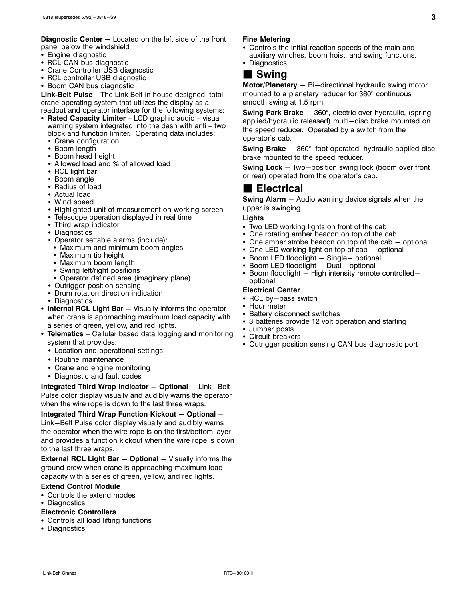- <span id="page-8-0"></span>- Engine diagnostic
- RCL CAN bus diagnostic
- Crane Controller USB diagnostic
- RCL controller USB diagnostic
- Boom CAN bus diagnostic

**Link-Belt Pulse** – The Link-Belt in-house designed, total crane operating system that utilizes the display as a readout and operator interface for the following systems:

- - **Rated Capacity Limiter** – LCD graphic audio – visual warning system integrated into the dash with anti – two block and function limiter. Operating data includes:
	- Crane configuration
	- Boom length
	- Boom head height
	- Allowed load and % of allowed load
	- RCL light bar
	- Boom angle
	- Radius of load
	- Actual load
	- Wind speed
	- Highlighted unit of measurement on working screen
	- Telescope operation displayed in real time
	- Third wrap indicator
	- Diagnostics
	- Operator settable alarms (include):
	- Maximum and minimum boom angles
	- Maximum tip height
	- Maximum boom length<br>• Swing left/right position
	- Swing left/right positions
	- Operator defined area (imaginary plane)
	- Outrigger position sensing
	- Drum rotation direction indication
	- Diagnostics
- **Internal RCL Light Bar** Visually informs the operator when crane is approaching maximum load capacity with a series of green, yellow, and red lights.
- **Telematics** Cellular based data logging and monitoring system that provides:
	- Location and operational settings
	- Routine maintenance
	- Crane and engine monitoring
	- Diagnostic and fault codes

**Integrated Third Wrap Indicator - Optional** - Link-Belt Pulse color display visually and audibly warns the operator when the wire rope is down to the last three wraps.

**Integrated Third Wrap Function Kickout - Optional -**

Link-Belt Pulse color display visually and audibly warns the operator when the wire rope is on the first/bottom layer and provides a function kickout when the wire rope is down to the last three wraps.

**External RCL Light Bar - Optional** - Visually informs the ground crew when crane is approaching maximum load capacity with a series of green, yellow, and red lights.

#### **Extend Control Module**

- Controls the extend modes
- Diagnostics
- **Electronic Controllers**
- Controls all load lifting functions
- Diagnostics

#### **Fine Metering**

- Controls the initial reaction speeds of the main and auxiliary winches, boom hoist, and swing functions.
- Diagnostics

### $\blacksquare$  Swing

**Motor/Planetary** - Bi-directional hydraulic swing motor mounted to a planetary reducer for 360° continuous smooth swing at 1.5 rpm.

**Swing Park Brake** - 360°, electric over hydraulic, (spring applied/hydraulic released) multi-disc brake mounted on the speed reducer. Operated by a switch from the operator's cab.

**Swing Brake** – 360°, foot operated, hydraulic applied disc brake mounted to the speed reducer.

**Swing Lock** – Two-position swing lock (boom over front or rear) operated from the operator's cab.

### - **Electrical**

**Swing Alarm** - Audio warning device signals when the upper is swinging.

#### **Lights**

- Two LED working lights on front of the cab
- One rotating amber beacon on top of the cab
- One amber strobe beacon on top of the cab optional
- One LED working light on top of cab optional
- Boom LED floodlight Single- optional
- Boom LED floodlight Dual- optional
- Boom floodlight High intensity remote controlledoptional

#### **Electrical Center**

- RCL by-pass switch
- Hour meter
- Battery disconnect switches
- 3 batteries provide 12 volt operation and starting
- Jumper posts
- Circuit breakers
- Outrigger position sensing CAN bus diagnostic port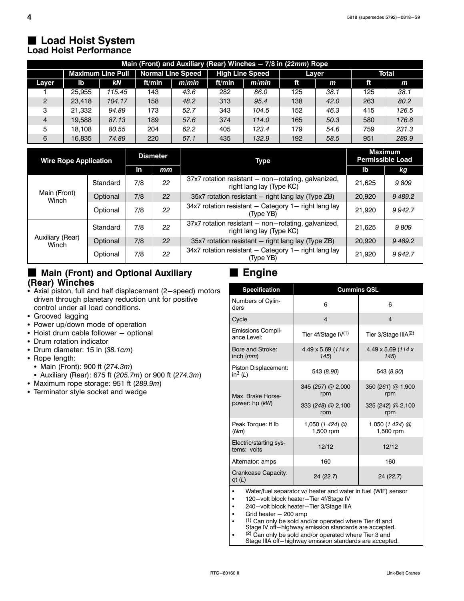### <span id="page-9-0"></span>- **Load Hoist System Load Hoist Performance**

|       | Main (Front) and Auxiliary (Rear) Winches $-7/8$ in (22mm) Rope |           |                          |       |        |       |     |                        |     |       |       |  |  |  |  |
|-------|-----------------------------------------------------------------|-----------|--------------------------|-------|--------|-------|-----|------------------------|-----|-------|-------|--|--|--|--|
|       | <b>Maximum Line Pull</b>                                        |           | <b>Normal Line Speed</b> |       |        |       |     | <b>High Line Speed</b> |     | Layer | Total |  |  |  |  |
| Layer | lb                                                              | <b>kN</b> | ft/min                   | m/min | ft/min | m/min | ft  | m                      | ft  | m     |       |  |  |  |  |
|       | 25.955                                                          | 115.45    | 143                      | 43.6  | 282    | 86.0  | 125 | 38.1                   | 125 | 38.1  |       |  |  |  |  |
| 2     | 23.418                                                          | 104.17    | 158                      | 48.2  | 313    | 95.4  | 138 | 42.0                   | 263 | 80.2  |       |  |  |  |  |
| 3     | 21.332                                                          | 94.89     | 173                      | 52.7  | 343    | 104.5 | 152 | 46.3                   | 415 | 126.5 |       |  |  |  |  |
| 4     | 19,588                                                          | 87.13     | 189                      | 57.6  | 374    | 114.0 | 165 | 50.3                   | 580 | 176.8 |       |  |  |  |  |
| 5     | 18.108                                                          | 80.55     | 204                      | 62.2  | 405    | 123.4 | 179 | 54.6                   | 759 | 231.3 |       |  |  |  |  |
| 6     | 16,835                                                          | 74.89     | 220                      | 67.1  | 435    | 132.9 | 192 | 58.5                   | 951 | 289.9 |       |  |  |  |  |

| <b>Wire Rope Application</b>      |          |           | <b>Diameter</b> | <b>Type</b>                                                                     | <b>Maximum</b><br><b>Permissible Load</b> |        |  |
|-----------------------------------|----------|-----------|-----------------|---------------------------------------------------------------------------------|-------------------------------------------|--------|--|
|                                   |          | <b>in</b> | mm              |                                                                                 | lb                                        | kg     |  |
|                                   | Standard | 7/8       | 22              | 37x7 rotation resistant - non-rotating, galvanized,<br>right lang lay (Type KC) | 21.625                                    | 9809   |  |
| Main (Front)<br>Optional<br>Winch |          | 7/8       | 22              | 35x7 rotation resistant – right lang lay (Type ZB)                              | 20,920                                    | 9489.2 |  |
|                                   | Optional | 7/8       | 22              | 34x7 rotation resistant - Category 1- right lang lay<br>(Type YB)               | 21,920                                    | 9942.7 |  |
|                                   | Standard | 7/8       | 22              | 37x7 rotation resistant - non-rotating, galvanized,<br>right lang lay (Type KC) | 21,625                                    | 9809   |  |
| Auxiliary (Rear)<br>Winch         | Optional | 7/8       | 22              | 35x7 rotation resistant - right lang lay (Type ZB)                              | 20,920                                    | 9489.2 |  |
|                                   | Optional | 7/8       | 22              | 34x7 rotation resistant - Category 1- right lang lay<br>(Type YB)               | 21,920                                    | 9942.7 |  |

### **Main (Front) and Optional Auxiliary (Rear) Winches**

- Axial piston, full and half displacement (2-speed) motors driven through planetary reduction unit for positive control under all load conditions.
- Grooved lagging
- Power up/down mode of operation
- Hoist drum cable follower optional
- Drum rotation indicator
- Drum diameter: 15 in (*38.1cm*)
- Rope length:
	- Main (Front): 900 ft (*274.3m*)
- Auxiliary (Rear): 675 ft (*205.7m*) or 900 ft (*274.3m*)
- Maximum rope storage: 951 ft (*289.9m*)
- Terminator style socket and wedge

### **Engine**

| <b>Specification</b>                          | <b>Cummins QSL</b>              |                                  |
|-----------------------------------------------|---------------------------------|----------------------------------|
| Numbers of Cylin-<br>ders                     | 6                               | 6                                |
| Cycle                                         | $\overline{\mathbf{4}}$         | 4                                |
| <b>Emissions Compli-</b><br>ance Level:       | Tier 4f/Stage IV <sup>(1)</sup> | Tier 3/Stage IIIA <sup>(2)</sup> |
| Bore and Stroke:<br>inch $(mm)$               | 4.49 x 5.69 (114 x<br>145)      | 4.49 x 5.69 (114 x<br>145)       |
| Piston Displacement:<br>in <sup>3</sup> $(L)$ | 543 (8.90)                      | 543 (8.90)                       |
| Max. Brake Horse-                             | 345 (257) @ 2,000<br>rpm        | 350 (261) @ 1,900<br>rpm         |
| power: hp (kW)                                | 333 (248) @ 2,100<br>rpm        | 325 (242) @ 2,100<br>rpm         |
| Peak Torque: ft Ib<br>(Nm)                    | 1,050 (1 424) @<br>1,500 rpm    | 1,050 $(1.424)$ @<br>1,500 rpm   |
| Electric/starting sys-<br>tems: volts         | 12/12                           | 12/12                            |
| Alternator: amps                              | 160                             | 160                              |
| Crankcase Capacity:<br>qt $(L)$               | 24 (22.7)                       | 24 (22.7)                        |

 $\bullet$ Water/fuel separator w/ heater and water in fuel (WIF) sensor

- -120-volt block heater-Tier 4f/Stage IV
- -240-volt block heater-Tier 3/Stage IIIA

-Grid heater  $-200$  amp -

- (1) Can only be sold and/or operated where Tier 4f and Stage IV off-highway emission standards are accepted.
- -

 (2) Can only be sold and/or operated where Tier 3 and Stage IIIA off-highway emission standards are accepted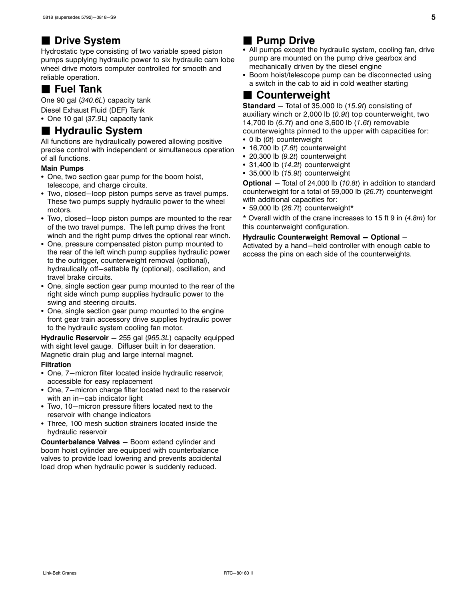### <span id="page-10-0"></span> $\blacksquare$  **Drive System**

Hydrostatic type consisting of two variable speed piston pumps supplying hydraulic power to six hydraulic cam lobe wheel drive motors computer controlled for smooth and reliable operation.

### - **Fuel Tank**

One 90 gal (*340.6L*) capacity tank

- Diesel Exhaust Fluid (DEF) Tank
- One 10 gal (*37.9*L) capacity tank

### $\blacksquare$  **Hydraulic System**

All functions are hydraulically powered allowing positive precise control with independent or simultaneous operation of all functions.

### **Main Pumps**

- One, two section gear pump for the boom hoist, telescope, and charge circuits.
- Two, closed-loop piston pumps serve as travel pumps. These two pumps supply hydraulic power to the wheel motors.
- Two, closed-loop piston pumps are mounted to the rear of the two travel pumps. The left pump drives the front winch and the right pump drives the optional rear winch.
- One, pressure compensated piston pump mounted to the rear of the left winch pump supplies hydraulic power to the outrigger, counterweight removal (optional), hydraulically off-settable fly (optional), oscillation, and travel brake circuits.
- One, single section gear pump mounted to the rear of the right side winch pump supplies hydraulic power to the swing and steering circuits.
- One, single section gear pump mounted to the engine front gear train accessory drive supplies hydraulic power to the hydraulic system cooling fan motor.

**Hydraulic Reservoir - 255 gal (965.3L) capacity equipped** with sight level gauge. Diffuser built in for deaeration. Magnetic drain plug and large internal magnet.

#### **Filtration**

- One, 7-micron filter located inside hydraulic reservoir, accessible for easy replacement
- One, 7-micron charge filter located next to the reservoir with an in-cab indicator light
- Two, 10-micron pressure filters located next to the reservoir with change indicators
- Three, 100 mesh suction strainers located inside the hydraulic reservoir

**Counterbalance Valves** - Boom extend cylinder and boom hoist cylinder are equipped with counterbalance valves to provide load lowering and prevents accidental load drop when hydraulic power is suddenly reduced.

## **Pump Drive**<br>• All pumps except the

- All pumps except the hydraulic system, cooling fan, drive pump are mounted on the pump drive gearbox and mechanically driven by the diesel engine
- Boom hoist/telescope pump can be disconnected using a switch in the cab to aid in cold weather starting

### **E** Counterweight

**Standard** – Total of 35,000 lb (15.9t) consisting of auxiliary winch or 2,000 lb (*0.9t*) top counterweight, two 14,700 lb (*6.7t*) and one 3,600 lb (*1.6t*) removable counterweights pinned to the upper with capacities for:

- 0 lb (*0t*) counterweight
- -16,700 lb (*7.6t*) counterweight
- 20,300 lb (*9.2t*) counterweight
- 31,400 lb (*14.2t*) counterweight
- 35,000 lb (*15.9t*) counterweight

**Optional** - Total of 24,000 lb (10.8t) in addition to standard counterweight for a total of 59,000 lb (*26.7t*) counterweight with additional capacities for:

- 59,000 lb (*26.7t*) counterweight\*

\* Overall width of the crane increases to 15 ft 9 in (*4.8m*) for this counterweight configuration.

#### **Hydraulic Counterweight Removal - Optional -**

Activated by a hand-held controller with enough cable to access the pins on each side of the counterweights.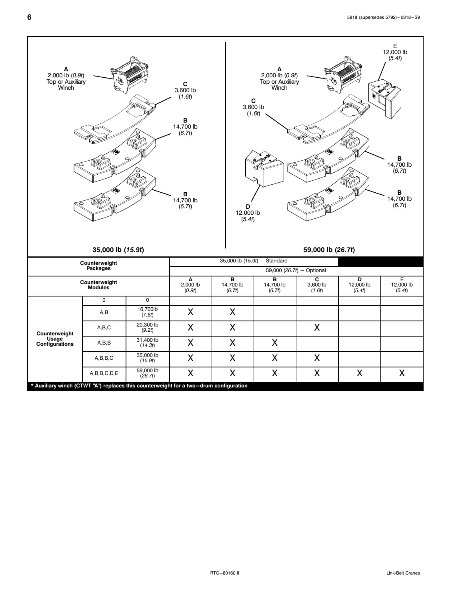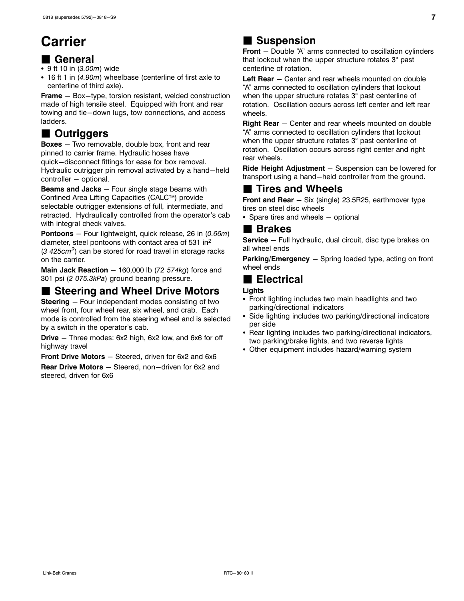## <span id="page-12-0"></span>**Carrier**

## General<br>• 9 ft 10 in (3.00)

9 ft 10 in (*3.00m*) wide

• 16 ft 1 in (4.90*m*) wheelbase (centerline of first axle to<br>centerline of third axle) centerline of third axle).

**Frame** - Box-type, torsion resistant, welded construction made of high tensile steel. Equipped with front and rear towing and tie-down lugs, tow connections, and access ladders.

### $\blacksquare$  Outriggers

**Boxes** - Two removable, double box, front and rear pinned to carrier frame. Hydraulic hoses have quick-disconnect fittings for ease for box removal. Hydraulic outrigger pin removal activated by a hand-held controller - optional.

**Beams and Jacks** - Four single stage beams with **Beams and Jacks** – Four single stage beams wit<br>Confined Area Lifting Capacities (CALC™) provide selectable outrigger extensions of full, intermediate, and retracted. Hydraulically controlled from the operator's cab with integral check valves.

**Pontoons** - Four lightweight, quick release, 26 in (*0.66m*) diameter, steel pontoons with contact area of 531 in2 (*3 425cm2*) can be stored for road travel in storage racks on the carrier.

**Main Jack Reaction** - 160,000 lb (72 574kg) force and 301 psi (*2 075.3kPa*) ground bearing pressure.

### **E** Steering and Wheel Drive Motors

**Steering** – Four independent modes consisting of two wheel front, four wheel rear, six wheel, and crab. Each mode is controlled from the steering wheel and is selected by a switch in the operator's cab.

**Drive** - Three modes: 6x2 high, 6x2 low, and 6x6 for off highway travel

**Front Drive Motors** - Steered, driven for 6x2 and 6x6

**Rear Drive Motors** - Steered, non-driven for 6x2 and steered, driven for 6x6

### $\blacksquare$  Suspension

**Front** – Double "A" arms connected to oscillation cylinders that lockout when the upper structure rotates 3° past centerline of rotation.

Left Rear - Center and rear wheels mounted on double "A" arms connected to oscillation cylinders that lockout when the upper structure rotates 3° past centerline of rotation. Oscillation occurs across left center and left rear wheels.

**Right Rear** – Center and rear wheels mounted on double "A" arms connected to oscillation cylinders that lockout when the upper structure rotates 3° past centerline of rotation. Oscillation occurs across right center and right rear wheels.

**Ride Height Adjustment** – Suspension can be lowered for transport using a hand-held controller from the ground.

### **Tires and Wheels**

**Front and Rear** - Six (single) 23.5R25, earthmover type tires on steel disc wheels

• Spare tires and wheels - optional

### - **Brakes**

**Service** - Full hydraulic, dual circuit, disc type brakes on all wheel ends

Parking/Emergency - Spring loaded type, acting on front wheel ends

### - **Electrical**

### **Lights**

- Front lighting includes two main headlights and two parking/directional indicators
- Side lighting includes two parking/directional indicators per side
- Rear lighting includes two parking/directional indicators, two parking/brake lights, and two reverse lights
- Other equipment includes hazard/warning system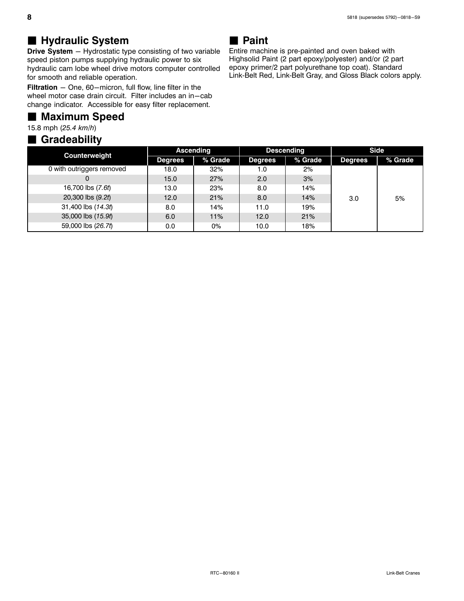### <span id="page-13-0"></span> $\blacksquare$  **Hydraulic System**

**Drive System** - Hydrostatic type consisting of two variable speed piston pumps supplying hydraulic power to six hydraulic cam lobe wheel drive motors computer controlled for smooth and reliable operation.

Filtration - One, 60-micron, full flow, line filter in the wheel motor case drain circuit. Filter includes an in-cab change indicator. Accessible for easy filter replacement.

### $\blacksquare$  **Maximum Speed**

15.8 mph (*25.4 km/h*)

### - **Gradeability**

### - **Paint**

Entire machine is pre-painted and oven baked with Highsolid Paint (2 part epoxy/polyester) and/or (2 part epoxy primer/2 part polyurethane top coat). Standard Link-Belt Red, Link-Belt Gray, and Gloss Black colors apply.

|                           |                | Ascending |                | <b>Descending</b> | <b>Side</b>    |         |  |
|---------------------------|----------------|-----------|----------------|-------------------|----------------|---------|--|
| Counterweight             | <b>Degrees</b> | % Grade   | <b>Degrees</b> | % Grade           | <b>Degrees</b> | % Grade |  |
| 0 with outriggers removed | 18.0           | 32%       | 1.0            | 2%                |                |         |  |
| 0                         | 15.0           | 27%       | 2.0            | 3%                |                |         |  |
| 16,700 lbs (7.6t)         | 13.0           | 23%       | 8.0            | 14%               |                |         |  |
| 20,300 lbs (9.2t)         | 12.0           | 21%       | 8.0            | 14%               | 3.0            | 5%      |  |
| 31,400 lbs (14.3t)        | 8.0            | 14%       | 11.0           | 19%               |                |         |  |
| 35,000 lbs (15.9t)        | 6.0            | 11%       | 12.0           | 21%               |                |         |  |
| 59,000 lbs (26.7t)        | 0.0            | 0%        | 10.0           | 18%               |                |         |  |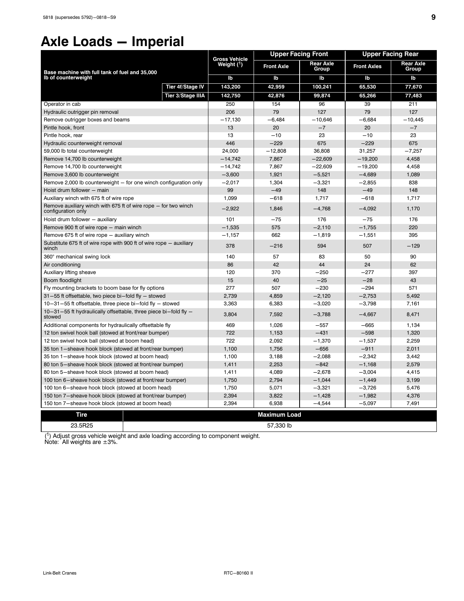## <span id="page-14-0"></span>**Axle Loads - Imperial**

|                                                                                       |                   | <b>Gross Vehicle</b> |                     | <b>Upper Facing Front</b> | <b>Upper Facing Rear</b> |                           |
|---------------------------------------------------------------------------------------|-------------------|----------------------|---------------------|---------------------------|--------------------------|---------------------------|
| Base machine with full tank of fuel and 35,000                                        |                   | Weight (1)           | <b>Front Axle</b>   | <b>Rear Axle</b><br>Group | <b>Front Axles</b>       | <b>Rear Axle</b><br>Group |
| Ib of counterweight                                                                   |                   | lb                   | Ib                  | lb                        | lb                       | $\mathbf{I}$              |
|                                                                                       | Tier 4f/Stage IV  | 143,200              | 42.959              | 100,241                   | 65,530                   | 77,670                    |
|                                                                                       | Tier 3/Stage IIIA | 142,750              | 42,876              | 99,874                    | 65,266                   | 77,483                    |
| Operator in cab                                                                       |                   | 250                  | 154                 | 96                        | $\overline{39}$          | 211                       |
| Hydraulic outrigger pin removal                                                       |                   | 206                  | 79                  | 127                       | 79                       | 127                       |
| Remove outrigger boxes and beams                                                      |                   | $-17,130$            | $-6,484$            | $-10,646$                 | $-6,684$                 | $-10,445$                 |
| Pintle hook, front                                                                    |                   | 13                   | 20                  | $-7$                      | 20                       | $-7$                      |
| Pintle hook, rear                                                                     |                   | 13                   | $-10$               | 23                        | $-10$                    | 23                        |
| Hydraulic counterweight removal                                                       |                   | 446                  | $-229$              | 675                       | $-229$                   | 675                       |
| 59,000 lb total counterweight                                                         |                   | 24.000               | $-12.808$           | 36.808                    | 31.257                   | $-7.257$                  |
| Remove 14,700 lb counterweight                                                        |                   | $-14,742$            | 7,867               | $-22.609$                 | $-19,200$                | 4,458                     |
| Remove 14,700 lb counterweight                                                        |                   | $-14,742$            | 7,867               | $-22,609$                 | $-19,200$                | 4,458                     |
| Remove 3,600 lb counterweight                                                         |                   | $-3,600$             | 1,921               | $-5,521$                  | $-4,689$                 | 1,089                     |
| Remove 2,000 lb counterweight – for one winch configuration only                      |                   | $-2.017$             | 1.304               | $-3.321$                  | $-2.855$                 | 838                       |
| Hoist drum follower - main                                                            |                   | 99                   | $-49$               | 148                       | $-49$                    | 148                       |
| Auxiliary winch with 675 ft of wire rope                                              |                   | 1,099                | $-618$              | 1,717                     | $-618$                   | 1,717                     |
| Remove auxiliary winch with 675 ft of wire rope - for two winch<br>configuration only |                   | $-2.922$             | 1,846               | $-4,768$                  | $-4.092$                 | 1,170                     |
| Hoist drum follower - auxiliary                                                       |                   | 101                  | $-75$               | 176                       | $-75$                    | 176                       |
| Remove 900 ft of wire rope – main winch                                               |                   | $-1.535$             | 575                 | $-2,110$                  | $-1,755$                 | 220                       |
| Remove 675 ft of wire rope - auxiliary winch                                          |                   | $-1,157$             | 662                 | $-1,819$                  | $-1,551$                 | 395                       |
| Substitute 675 ft of wire rope with 900 ft of wire rope $-$ auxiliary<br>winch        |                   | 378                  | $-216$              | 594                       | 507                      | $-129$                    |
| 360° mechanical swing lock                                                            |                   | 140                  | 57                  | 83                        | 50                       | 90                        |
| Air conditioning                                                                      |                   | 86                   | 42                  | 44                        | 24                       | 62                        |
| Auxiliary lifting sheave                                                              |                   | 120                  | 370                 | $-250$                    | $-277$                   | 397                       |
| Boom floodlight                                                                       |                   | 15                   | 40                  | $-25$                     | $-28$                    | 43                        |
| Fly mounting brackets to boom base for fly options                                    |                   | 277                  | 507                 | $-230$                    | $-294$                   | 571                       |
| 31-55 ft offsettable, two piece bi-fold fly - stowed                                  |                   | 2,739                | 4,859               | $-2,120$                  | $-2,753$                 | 5,492                     |
| 10-31-55 ft offsettable, three piece bi-fold fly - stowed                             |                   | 3,363                | 6,383               | $-3,020$                  | $-3,798$                 | 7,161                     |
| $10-31-55$ ft hydraulically offsettable, three piece bi-fold fly -<br>stowed          |                   | 3,804                | 7,592               | $-3,788$                  | $-4,667$                 | 8,471                     |
| Additional components for hydraulically offsettable fly                               |                   | 469                  | 1,026               | $-557$                    | $-665$                   | 1,134                     |
| 12 ton swivel hook ball (stowed at front/rear bumper)                                 |                   | 722                  | 1,153               | $-431$                    | $-598$                   | 1,320                     |
| 12 ton swivel hook ball (stowed at boom head)                                         |                   | 722                  | 2.092               | $-1,370$                  | $-1.537$                 | 2.259                     |
| 35 ton 1-sheave hook block (stowed at front/rear bumper)                              |                   | 1,100                | 1,756               | $-656$                    | $-911$                   | 2,011                     |
| 35 ton 1-sheave hook block (stowed at boom head)                                      |                   | 1,100                | 3,188               | $-2,088$                  | $-2,342$                 | 3,442                     |
| 80 ton 5-sheave hook block (stowed at front/rear bumper)                              |                   | 1,411                | 2,253               | $-842$                    | $-1,168$                 | 2,579                     |
| 80 ton 5-sheave hook block (stowed at boom head)                                      |                   | 1.411                | 4.089               | $-2.678$                  | $-3.004$                 | 4.415                     |
| 100 ton 6-sheave hook block (stowed at front/rear bumper)                             |                   | 1,750                | 2,794               | $-1,044$                  | $-1,449$                 | 3,199                     |
| 100 ton 6-sheave hook block (stowed at boom head)                                     |                   | 1,750                | 5,071               | $-3,321$                  | $-3,726$                 | 5,476                     |
| 150 ton 7-sheave hook block (stowed at front/rear bumper)                             |                   | 2,394                | 3,822               | $-1,428$                  | $-1,982$                 | 4,376                     |
| 150 ton 7-sheave hook block (stowed at boom head)                                     |                   | 2,394                | 6.938               | $-4,544$                  | $-5,097$                 | 7,491                     |
| Tire                                                                                  |                   |                      | <b>Maximum Load</b> |                           |                          |                           |
| 23.5R25                                                                               |                   |                      | 57.330 lb           |                           |                          |                           |

(1) Adjust gross vehicle weight and axle loading according to component weight. Note: All weights are ±3%.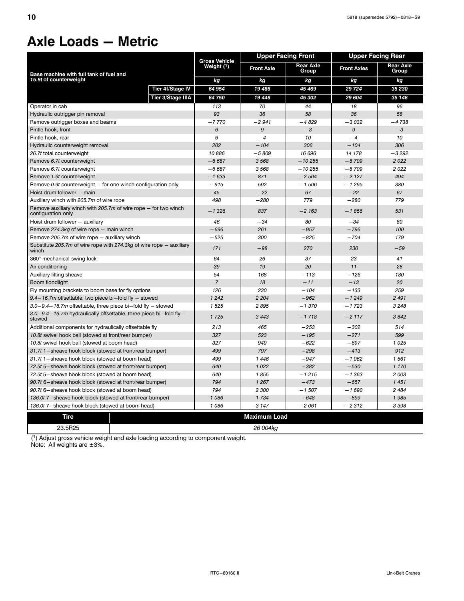## <span id="page-15-0"></span>**Axle Loads - Metric**

|                                                                                       |                   |                                    |                     | <b>Upper Facing Front</b> | <b>Upper Facing Rear</b> |                           |
|---------------------------------------------------------------------------------------|-------------------|------------------------------------|---------------------|---------------------------|--------------------------|---------------------------|
| Base machine with full tank of fuel and                                               |                   | <b>Gross Vehicle</b><br>Weight (1) | <b>Front Axle</b>   | Rear Axle<br>Group        | <b>Front Axles</b>       | <b>Rear Axle</b><br>Group |
| 15.9t of counterweight                                                                |                   | kg                                 | kg                  | kg                        | kg                       | kg                        |
|                                                                                       | Tier 4f/Stage IV  | 64 954                             | 19 486              | 454469                    | 29 724                   | 35 230                    |
|                                                                                       | Tier 3/Stage IIIA | 64 750                             | 19 4 48             | 45 302                    | 29 604                   | 35 146                    |
| Operator in cab                                                                       |                   | 113                                | 70                  | 44                        | 18                       | 96                        |
| Hydraulic outrigger pin removal                                                       |                   | 93                                 | 36                  | 58                        | 36                       | 58                        |
| Remove outrigger boxes and beams                                                      |                   | $-7770$                            | $-2941$             | $-4829$                   | $-3032$                  | $-4738$                   |
| Pintle hook, front                                                                    |                   | 6                                  | 9                   | $-3$                      | 9                        | $-3$                      |
| Pintle hook, rear                                                                     |                   | 6                                  | $-4$                | 10                        | $-4$                     | 10                        |
| Hydraulic counterweight removal                                                       |                   | 202                                | $-104$              | 306                       | $-104$                   | 306                       |
| 26.7t total counterweight                                                             |                   | 10886                              | -5 809              | 16 696                    | 14 178                   | $-3292$                   |
| Remove 6.7t counterweight                                                             |                   | $-6667$                            | 3 5 6 8             | $-10255$                  | $-8709$                  | 2022                      |
| Remove 6.7t counterweight                                                             |                   | $-6687$                            | 3568                | $-10255$                  | $-8709$                  | 2022                      |
| Remove 1.6t counterweight                                                             |                   | $-1633$                            | 871                 | $-2504$                   | $-2127$                  | 494                       |
| Remove 0.9t counterweight $-$ for one winch configuration only                        |                   | $-915$                             | 592                 | $-1506$                   | $-1295$                  | 380                       |
| Hoist drum follower - main                                                            |                   | 45                                 | $-22$               | 67                        | $-22$                    | 67                        |
| Auxiliary winch with 205.7m of wire rope                                              |                   | 498                                | $-280$              | 779                       | $-280$                   | 779                       |
| Remove auxiliary winch with 205.7m of wire rope - for two winch<br>configuration only |                   | $-1,326$                           | 837                 | $-2163$                   | $-1856$                  | 531                       |
| Hoist drum follower - auxiliary                                                       |                   | 46                                 | $-34$               | 80                        | $-34$                    | 80                        |
| Remove 274.3kg of wire rope - main winch                                              |                   | $-696$                             | 261                 | $-957$                    | $-796$                   | 100                       |
| Remove 205.7 $m$ of wire rope $-$ auxiliary winch                                     |                   | $-525$                             | 300                 | $-825$                    | $-704$                   | 179                       |
| Substitute 205.7m of wire rope with 274.3kg of wire rope – auxiliary<br>winch         |                   | 171                                | $-98$               | 270                       | 230                      | $-59$                     |
| 360° mechanical swing lock                                                            |                   | 64                                 | 26                  | 37                        | 23                       | 41                        |
| Air conditioning                                                                      |                   | 39                                 | 19                  | 20                        | 11                       | 28                        |
| Auxiliary lifting sheave                                                              |                   | 54                                 | 168<br>$-113$       |                           | $-126$                   | 180                       |
| Boom floodlight                                                                       |                   | $\overline{7}$                     | 18                  | $-11$                     | $-13$                    | 20                        |
| Fly mounting brackets to boom base for fly options                                    |                   | 126                                | 230                 | $-104$                    | $-133$                   | 259                       |
| $9.4 - 16.7m$ offsettable, two piece bi-fold fly - stowed                             |                   | 1 2 4 2                            | 2 2 0 4             | $-962$                    | $-1249$                  | 2 4 9 1                   |
| $3.0 - 9.4 - 16.7m$ offsettable, three piece bi-fold fly - stowed                     |                   | 1525                               | 2895                | $-1370$                   | $-1723$                  | 3 2 4 8                   |
| 3.0-9.4-16.7m hydraulically offsettable, three piece bi-fold fly -<br>stowed          |                   | 1725                               | 3 4 4 3             | $-1718$                   | $-2117$                  | 3842                      |
| Additional components for hydraulically offsettable fly                               |                   | 213                                | 465                 | $-253$                    | $-302$                   | 514                       |
| 10.8t swivel hook ball (stowed at front/rear bumper)                                  |                   | 327                                | 523                 | $-195$                    | $-271$                   | 599                       |
| 10.8t swivel hook ball (stowed at boom head)                                          |                   | 327                                | 949                 | $-622$                    | $-697$                   | 1025                      |
| 31.7t 1-sheave hook block (stowed at front/rear bumper)                               |                   | 499                                | 797                 | $-298$                    | $-413$                   | 912                       |
| 31.7t 1-sheave hook block (stowed at boom head)                                       |                   | 499                                | 1446                | $-947$                    | $-1062$                  | 1561                      |
| 72.5t 5-sheave hook block (stowed at front/rear bumper)                               |                   | 640                                | 1022                | $-382$                    | $-530$                   | 1 170                     |
| 72.5t 5-sheave hook block (stowed at boom head)                                       |                   | 640                                | 1855                | $-1215$                   | $-1,363$                 | 2003                      |
| 90.7t 6-sheave hook block (stowed at front/rear bumper)                               |                   | 794                                | 1 2 6 7             | $-473$                    | $-657$                   | 1451                      |
| 90.7t 6-sheave hook block (stowed at boom head)                                       |                   | 794                                | 2 300               | $-1507$                   | $-1690$                  | 2 4 8 4                   |
| 136.0t 7-sheave hook block (stowed at front/rear bumper)                              | 1086              | 1 7 3 4                            | $-648$              | $-899$                    | 1985                     |                           |
| 136.0t 7-sheave hook block (stowed at boom head)                                      | 1086              | 3 1 4 7                            | $-2061$             | $-2312$                   | 3 3 9 8                  |                           |
| Tire                                                                                  |                   |                                    | <b>Maximum Load</b> |                           |                          |                           |
| 23.5R25                                                                               |                   |                                    | 26 004kg            |                           |                          |                           |
| $(1)$ Adjust gross vehicle weight and axle loading according to component weight.     |                   |                                    |                     |                           |                          |                           |

Note: All weights are  $\pm 3\%$ .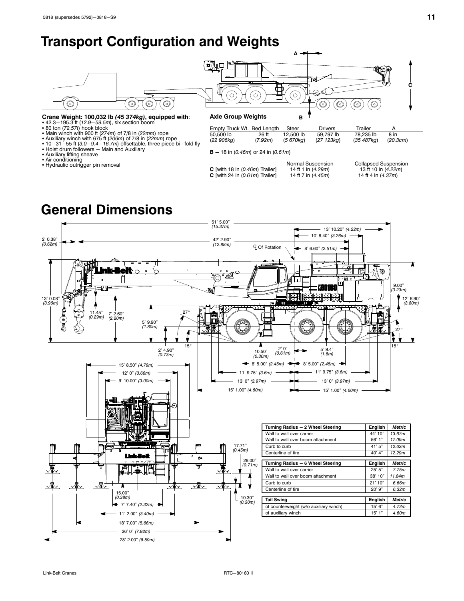## <span id="page-16-0"></span>**Transport Configuration and Weights**



- 
- 
- Hoist drum followers Main and Auxiliary<br>• Auxiliary lifting sheave<br>• Air conditioning<br>• Hydraulic outrigger pin removal
- 
- 
- 
- (*22 906kg*) (*7.92m*) (*5 670kg*) (*27 123kg*) (*35 487kg*) (*20.3cm*) **<sup>B</sup>** - 18 in (*0.46m*) or 24 in (*0.61m*) Normal Suspension Collapsed Suspension<br>14 ft 1 in (4.29m) 13 ft 10 in (4.22m) **<sup>C</sup>** [with 18 in (*0.46m*) Trailer] 14 ft 1 in (*4.29m*) 13 ft 10 in (*4.22m*) **<sup>C</sup>** [with 24 in (*0.61m*) Trailer] 14 ft 7 in (*4.45m*) 14 ft 4 in (*4.37m*)
	-

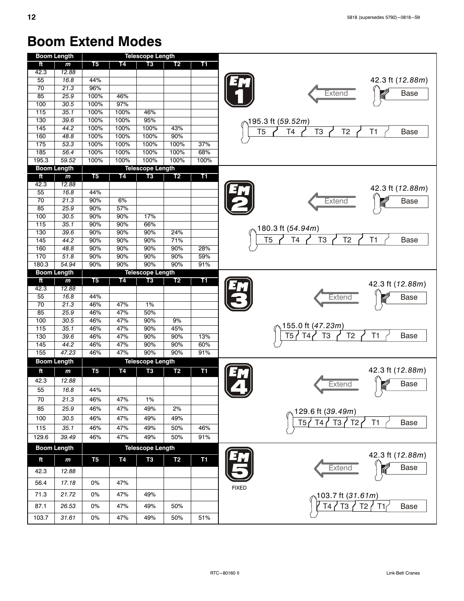## <span id="page-17-0"></span>**Boom Extend Modes**

|       | <b>Boom Length</b>    |                |           | <b>Telescope Length</b>       |                |           |                                                                                           |
|-------|-----------------------|----------------|-----------|-------------------------------|----------------|-----------|-------------------------------------------------------------------------------------------|
| ft    | $\mathbf{m}$          | T5             | Τ4        | T3                            | T <sub>2</sub> | T1        |                                                                                           |
| 42.3  | 12.88                 |                |           |                               |                |           |                                                                                           |
| 55    | 16.8                  | 44%            |           |                               |                |           | 42.3 ft (12.88m)                                                                          |
| 70    | 21.3                  | 96%            |           |                               |                |           | Extend<br>Base                                                                            |
| 85    | 25.9                  | 100%           | 46%       |                               |                |           |                                                                                           |
| 100   | 30.5                  | 100%           | 97%       |                               |                |           |                                                                                           |
| 115   | 35.1                  | 100%           | 100%      | 46%                           |                |           |                                                                                           |
| 130   | 39.6                  | 100%           | 100%      | 95%                           |                |           | 195.3 ft (59 <i>.</i> 52 <i>m</i> )                                                       |
| 145   | 44.2                  | 100%           | 100%      | 100%                          | 43%            |           | T5<br>T <sub>4</sub><br>T <sub>3</sub><br>T <sub>2</sub><br>T <sub>1</sub><br><b>Base</b> |
| 160   | 48.8                  | 100%           | 100%      | 100%                          | 90%            |           |                                                                                           |
| 175   | 53.3                  | 100%           | 100%      | 100%                          | 100%           | 37%       |                                                                                           |
| 185   | 56.4                  | 100%           | 100%      | 100%                          | 100%           | 68%       |                                                                                           |
| 195.3 | 59.52                 | 100%           | 100%      | 100%                          | 100%           | 100%      |                                                                                           |
| ft    | <b>Boom Length</b>    | T <sub>5</sub> | Τ4        | <b>Telescope Length</b><br>T3 | T2             | T1        |                                                                                           |
| 42.3  | $\mathsf{m}$<br>12.88 |                |           |                               |                |           |                                                                                           |
| 55    | 16.8                  | 44%            |           |                               |                |           | 42.3 ft (12.88m)                                                                          |
| 70    | 21.3                  | 90%            | 6%        |                               |                |           | <b>Extend</b><br>Base                                                                     |
| 85    | 25.9                  | 90%            | 57%       |                               |                |           |                                                                                           |
| 100   | 30.5                  | 90%            | 90%       | 17%                           |                |           |                                                                                           |
| 115   | 35.1                  | 90%            | 90%       | 66%                           |                |           |                                                                                           |
| 130   | 39.6                  | 90%            | 90%       | 90%                           | 24%            |           | 180.3 ft (54.94m)                                                                         |
| 145   | 44.2                  | 90%            | 90%       | 90%                           | 71%            |           | T <sub>3</sub><br>T <sub>2</sub><br>T1<br>T5<br>T4<br>Base                                |
| 160   | 48.8                  | 90%            | 90%       | 90%                           | 90%            | 28%       |                                                                                           |
| 170   | 51.8                  | 90%            | 90%       | 90%                           | 90%            | 59%       |                                                                                           |
| 180.3 | 54.94                 | 90%            | 90%       | 90%                           | 90%            | 91%       |                                                                                           |
|       | <b>Boom Length</b>    |                |           | <b>Telescope Length</b>       |                |           |                                                                                           |
| ft    | $\mathsf{m}$          | T5             | Τ4        | T3                            | T2             | T1        | 42.3 ft (12.88m)                                                                          |
| 42.3  | 12.88                 |                |           |                               |                |           |                                                                                           |
| 55    | 16.8                  | 44%            |           |                               |                |           | <b>Extend</b><br><b>Base</b>                                                              |
| 70    | 21.3                  | 46%            | 47%       | 1%                            |                |           |                                                                                           |
| 85    | 25.9                  | 46%            | 47%       | 50%                           |                |           |                                                                                           |
| 100   | 30.5                  | 46%            | 47%       | 90%                           | 9%             |           | 155.0 ft (47.23m)                                                                         |
| 115   | 35.1                  | 46%            | 47%       | 90%                           | 45%            |           |                                                                                           |
| 130   | 39.6                  | 46%            | 47%       | 90%                           | 90%            | 13%       | T1<br>T5<br>T3<br>T2<br>Base                                                              |
| 145   | 44.2                  | 46%            | 47%       | 90%                           | 90%            | 60%       |                                                                                           |
| 155   | 47.23                 | 46%            | 47%       | 90%                           | 90%            | 91%       |                                                                                           |
|       | <b>Boom Length</b>    |                |           | <b>Telescope Length</b>       |                |           |                                                                                           |
| ft    | $\mathbf{m}$          | T <sub>5</sub> | <b>T4</b> | T3                            | T <sub>2</sub> | T1        | 42.3 ft (12.88m)                                                                          |
| 42.3  | 12.88                 |                |           |                               |                |           | <b>Base</b><br><b>Extend</b>                                                              |
| 55    | 16.8                  | 44%            |           |                               |                |           |                                                                                           |
| 70    | 21.3                  | 46%            | 47%       | 1%                            |                |           |                                                                                           |
| 85    | 25.9                  | 46%            | 47%       | 49%                           | 2%             |           |                                                                                           |
| 100   | 30.5                  | 46%            | 47%       | 49%                           | 49%            |           | 129.6 ft (39.49m)                                                                         |
|       |                       |                |           |                               |                |           | T <sub>5</sub><br>T <sub>2</sub><br>T1<br>T3<br>Base<br>Τ4                                |
| 115   | 35.1                  | 46%            | 47%       | 49%                           | 50%            | 46%       |                                                                                           |
| 129.6 | 39.49                 | 46%            | 47%       | 49%                           | 50%            | 91%       |                                                                                           |
|       | <b>Boom Length</b>    |                |           | <b>Telescope Length</b>       |                |           |                                                                                           |
| ft    | $\mathbf{m}$          | T <sub>5</sub> | <b>T4</b> | T <sub>3</sub>                | T <sub>2</sub> | <b>T1</b> | 42.3 ft (12.88m)                                                                          |
|       |                       |                |           |                               |                |           | <b>Base</b><br><b>Extend</b>                                                              |
| 42.3  | 12.88                 |                |           |                               |                |           |                                                                                           |
| 56.4  | 17.18                 | 0%             | 47%       |                               |                |           |                                                                                           |
| 71.3  | 21.72                 | 0%             | 47%       | 49%                           |                |           | <b>FIXED</b><br>103.7 ft (31.61 <i>m</i> )                                                |
|       |                       |                |           |                               |                |           |                                                                                           |
| 87.1  | 26.53                 | 0%             | 47%       | 49%                           | 50%            |           | T2<br>T1<br>TЗ<br>Base<br>14                                                              |
| 103.7 | 31.61                 | 0%             | 47%       | 49%                           | 50%            | 51%       |                                                                                           |
|       |                       |                |           |                               |                |           |                                                                                           |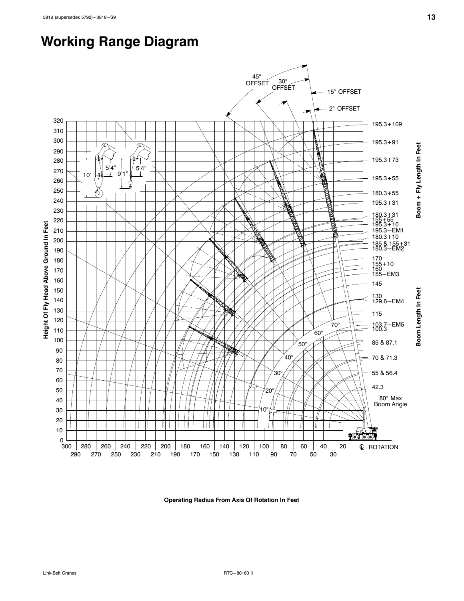## <span id="page-18-0"></span>**Working Range Diagram**



**Operating Radius From Axis Of Rotation In Feet**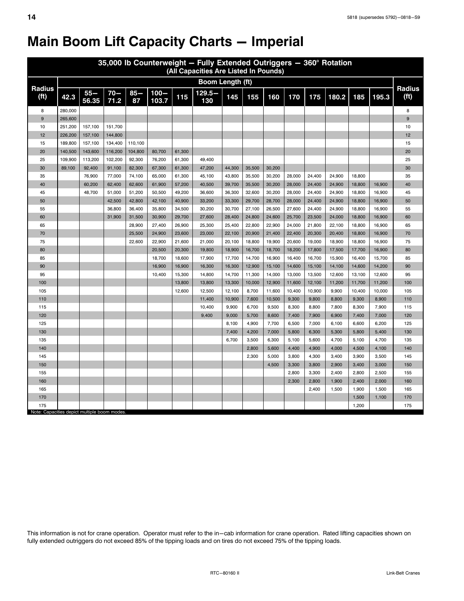| 35,000 lb Counterweight - Fully Extended Outriggers - 360° Rotation<br>(All Capacities Are Listed In Pounds) |         |                 |                |              |                  |        |                         |        |        |        |        |        |        |                |        |                                    |
|--------------------------------------------------------------------------------------------------------------|---------|-----------------|----------------|--------------|------------------|--------|-------------------------|--------|--------|--------|--------|--------|--------|----------------|--------|------------------------------------|
|                                                                                                              |         |                 |                |              |                  |        | <b>Boom Length (ft)</b> |        |        |        |        |        |        |                |        |                                    |
| <b>Radius</b><br>(f <sup>t</sup> )                                                                           | 42.3    | $55 -$<br>56.35 | $70 -$<br>71.2 | $85 -$<br>87 | $100 -$<br>103.7 | 115    | $129.5 -$<br>130        | 145    | 155    | 160    | 170    | 175    | 180.2  | 185            | 195.3  | <b>Radius</b><br>(f <sup>t</sup> ) |
| 8                                                                                                            | 280,000 |                 |                |              |                  |        |                         |        |        |        |        |        |        |                |        | 8                                  |
| 9                                                                                                            | 265,600 |                 |                |              |                  |        |                         |        |        |        |        |        |        |                |        | 9                                  |
| 10                                                                                                           | 251.200 | 157,100         | 151.700        |              |                  |        |                         |        |        |        |        |        |        |                |        | 10                                 |
| 12                                                                                                           | 226,200 | 157,100         | 144,800        |              |                  |        |                         |        |        |        |        |        |        |                |        | 12                                 |
| 15                                                                                                           | 189,800 | 157,100         | 134,400        | 110,100      |                  |        |                         |        |        |        |        |        |        |                |        | 15                                 |
| 20                                                                                                           | 140,500 | 143,600         | 116,200        | 104,800      | 80,700           | 61,300 |                         |        |        |        |        |        |        |                |        | 20                                 |
| 25                                                                                                           | 109,900 | 113,200         | 102,200        | 92,300       | 76,200           | 61,300 | 49,400                  |        |        |        |        |        |        |                |        | 25                                 |
| 30                                                                                                           | 89,100  | 92,400          | 91,100         | 82,300       | 67,300           | 61,300 | 47,200                  | 44,300 | 35,500 | 30,200 |        |        |        |                |        | 30                                 |
| 35                                                                                                           |         | 76,900          | 77,000         | 74,100       | 65.000           | 61,300 | 45.100                  | 43,800 | 35,500 | 30,200 | 28.000 | 24.400 | 24,900 | 18.800         |        | 35                                 |
| 40                                                                                                           |         | 60,200          | 62,400         | 62,600       | 61,900           | 57,200 | 40,500                  | 39,700 | 35,500 | 30,200 | 28,000 | 24,400 | 24,900 | 18,800         | 16,900 | 40                                 |
| 45                                                                                                           |         | 48,700          | 51.000         | 51,200       | 50.500           | 49.200 | 36.600                  | 36,300 | 32,600 | 30,200 | 28,000 | 24,400 | 24,900 | 18,800         | 16.900 | 45                                 |
| 50                                                                                                           |         |                 | 42,500         | 42,800       | 42,100           | 40,900 | 33,200                  | 33,300 | 29,700 | 28,700 | 28,000 | 24,400 | 24,900 | 18,800         | 16,900 | 50                                 |
| 55                                                                                                           |         |                 | 36,800         | 36,400       | 35,800           | 34,500 | 30,200                  | 30,700 | 27,100 | 26,500 | 27,600 | 24,400 | 24,900 | 18,800         | 16,900 | 55                                 |
| 60                                                                                                           |         |                 | 31,900         | 31.500       | 30.900           | 29.700 | 27.600                  | 28,400 | 24.800 | 24,600 | 25,700 | 23.500 | 24.000 | 18,800         | 16.900 | 60                                 |
| 65                                                                                                           |         |                 |                | 28,900       | 27,400           | 26,900 | 25,300                  | 25,400 | 22,800 | 22,900 | 24,000 | 21,800 | 22,100 | 18,800         | 16,900 | 65                                 |
| 70                                                                                                           |         |                 |                | 25,500       | 24,900           | 23,600 | 23,000                  | 22,100 | 20,900 | 21,400 | 22,400 | 20,300 | 20,400 | 18,800         | 16,900 | 70                                 |
| 75                                                                                                           |         |                 |                | 22,600       | 22,900           | 21,600 | 21,000                  | 20,100 | 18,800 | 19,900 | 20,600 | 19,000 | 18,900 | 18,800         | 16,900 | 75                                 |
| 80                                                                                                           |         |                 |                |              | 20,500           | 20,300 | 19,800                  | 18,900 | 16,700 | 18,700 | 18,200 | 17,800 | 17,500 | 17,700         | 16,900 | 80                                 |
| 85                                                                                                           |         |                 |                |              | 18.700           | 18.600 | 17.900                  | 17,700 | 14,700 | 16.900 | 16.400 | 16.700 | 15,900 | 16.400         | 15.700 | 85                                 |
| 90                                                                                                           |         |                 |                |              | 16,900           | 16,900 | 16,300                  | 16,300 | 12,900 | 15,100 | 14,600 | 15,100 | 14,100 | 14,600         | 14,200 | 90                                 |
| 95                                                                                                           |         |                 |                |              | 10,400           | 15,300 | 14,800                  | 14,700 | 11,300 | 14,000 | 13,000 | 13,500 | 12,600 | 13,100         | 12,600 | 95                                 |
| 100                                                                                                          |         |                 |                |              |                  | 13,800 | 13,800                  | 13,300 | 10.000 | 12,900 | 11,600 | 12,100 | 11,200 | 11,700         | 11,200 | 100                                |
| 105                                                                                                          |         |                 |                |              |                  | 12,600 | 12,500                  | 12,100 | 8,700  | 11,600 | 10,400 | 10,900 | 9,900  | 10,400         | 10.000 | 105                                |
| 110                                                                                                          |         |                 |                |              |                  |        | 11,400                  | 10,900 | 7,600  | 10,500 | 9,300  | 9,800  | 8,800  | 9,300          | 8,900  | 110                                |
| 115                                                                                                          |         |                 |                |              |                  |        | 10,400                  | 9.900  | 6,700  | 9,500  | 8,300  | 8,800  | 7,800  | 8,300          | 7,900  | 115                                |
| 120                                                                                                          |         |                 |                |              |                  |        | 9,400                   | 9,000  | 5,700  | 8,600  | 7,400  | 7,900  | 6,900  | 7,400          | 7,000  | 120                                |
| 125                                                                                                          |         |                 |                |              |                  |        |                         | 8,100  | 4,900  | 7,700  | 6,500  | 7,000  | 6,100  | 6,600          | 6,200  | 125                                |
| 130                                                                                                          |         |                 |                |              |                  |        |                         | 7,400  | 4,200  | 7,000  | 5,800  | 6,300  | 5,300  | 5,800          | 5,400  | 130                                |
| 135                                                                                                          |         |                 |                |              |                  |        |                         | 6.700  | 3,500  | 6,300  | 5,100  | 5,600  | 4,700  | 5,100          | 4,700  | 135                                |
| 140                                                                                                          |         |                 |                |              |                  |        |                         |        | 2,800  | 5,600  | 4,400  | 4,900  | 4,000  | 4,500          | 4,100  | 140                                |
| 145                                                                                                          |         |                 |                |              |                  |        |                         |        | 2,300  | 5,000  | 3,800  | 4,300  | 3,400  | 3,900          | 3,500  | 145                                |
| 150                                                                                                          |         |                 |                |              |                  |        |                         |        |        | 4,500  | 3,300  | 3,800  | 2,900  | 3,400          | 3,000  | 150                                |
| 155                                                                                                          |         |                 |                |              |                  |        |                         |        |        |        | 2.800  | 3.300  | 2.400  | 2.800          | 2.500  | 155                                |
| 160                                                                                                          |         |                 |                |              |                  |        |                         |        |        |        | 2.300  | 2,800  | 1,900  | 2.400          | 2.000  | 160                                |
| 165<br>170                                                                                                   |         |                 |                |              |                  |        |                         |        |        |        |        | 2,400  | 1,500  | 1,900          | 1,500  | 165<br>170                         |
| 175                                                                                                          |         |                 |                |              |                  |        |                         |        |        |        |        |        |        | 1,500<br>1,200 | 1,100  | 175                                |
| Note: Capacities depict multiple boom modes.                                                                 |         |                 |                |              |                  |        |                         |        |        |        |        |        |        |                |        |                                    |

## <span id="page-19-0"></span>**Main Boom Lift Capacity Charts - Imperial**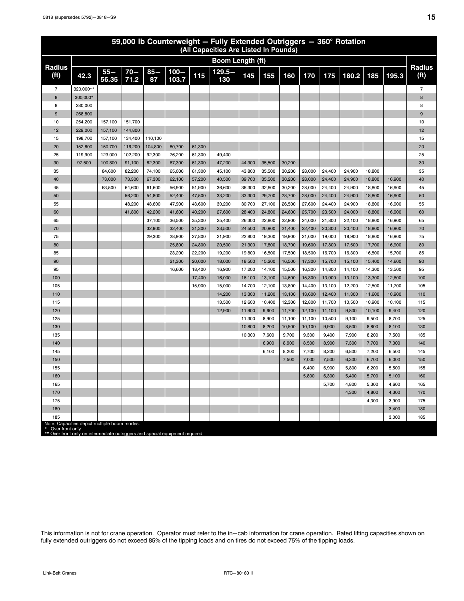<span id="page-20-0"></span>

|                                                                                                                                                   |                     |         |         |                  |                  |                  | 59,000 lb Counterweight - Fully Extended Outriggers - 360° Rotation<br>(All Capacities Are Listed In Pounds) |                  |                  |                  |                  |                  |                  |                  |                  |                                    |
|---------------------------------------------------------------------------------------------------------------------------------------------------|---------------------|---------|---------|------------------|------------------|------------------|--------------------------------------------------------------------------------------------------------------|------------------|------------------|------------------|------------------|------------------|------------------|------------------|------------------|------------------------------------|
|                                                                                                                                                   |                     |         |         |                  |                  |                  | Boom Length (ft)                                                                                             |                  |                  |                  |                  |                  |                  |                  |                  |                                    |
| <b>Radius</b><br>(f <sup>t</sup> )                                                                                                                | 42.3                | $55 -$  | $70 -$  | $85 -$           | $100 -$          | 115              | $129.5 -$                                                                                                    | 145              | 155              | 160              | 170              | 175              | 180.2            | 185              | 195.3            | <b>Radius</b><br>(f <sup>t</sup> ) |
|                                                                                                                                                   |                     | 56.35   | 71.2    | 87               | 103.7            |                  | 130                                                                                                          |                  |                  |                  |                  |                  |                  |                  |                  |                                    |
| $\overline{7}$                                                                                                                                    | 320,000**           |         |         |                  |                  |                  |                                                                                                              |                  |                  |                  |                  |                  |                  |                  |                  | $\overline{7}$                     |
| 8<br>8                                                                                                                                            | 300,000*<br>280,000 |         |         |                  |                  |                  |                                                                                                              |                  |                  |                  |                  |                  |                  |                  |                  | 8<br>8                             |
| 9                                                                                                                                                 | 268,800             |         |         |                  |                  |                  |                                                                                                              |                  |                  |                  |                  |                  |                  |                  |                  | 9                                  |
| 10                                                                                                                                                | 254,200             | 157,100 | 151,700 |                  |                  |                  |                                                                                                              |                  |                  |                  |                  |                  |                  |                  |                  | 10                                 |
| 12                                                                                                                                                | 229,000             | 157,100 | 144,800 |                  |                  |                  |                                                                                                              |                  |                  |                  |                  |                  |                  |                  |                  | 12                                 |
| 15                                                                                                                                                | 198,700             | 157,100 | 134,400 | 110,100          |                  |                  |                                                                                                              |                  |                  |                  |                  |                  |                  |                  |                  | 15                                 |
| 20                                                                                                                                                | 152,800             | 150,700 | 116,200 | 104,800          | 80,700           | 61,300           |                                                                                                              |                  |                  |                  |                  |                  |                  |                  |                  | 20                                 |
| 25                                                                                                                                                | 119,900             | 123,000 | 102,200 | 92,300           | 76,200           | 61,300           | 49,400                                                                                                       |                  |                  |                  |                  |                  |                  |                  |                  | 25                                 |
| 30                                                                                                                                                | 97,500              | 100,800 | 91,100  | 82,300           | 67,300           | 61,300           | 47,200                                                                                                       | 44,300           | 35,500           | 30,200           |                  |                  |                  |                  |                  | 30                                 |
| 35                                                                                                                                                |                     | 84,600  | 82,200  | 74,100           | 65,000           | 61,300           | 45,100                                                                                                       | 43,800           | 35,500           | 30,200           | 28,000           | 24,400           | 24,900           | 18,800           |                  | 35                                 |
| 40                                                                                                                                                |                     | 73,000  | 73,300  | 67,300           | 62,100           | 57,200           | 40,500                                                                                                       | 39,700           | 35,500           | 30,200           | 28,000           | 24,400           | 24,900           | 18,800           | 16,900           | 40                                 |
| 45                                                                                                                                                |                     | 63,500  | 64,600  | 61,600           | 56,900           | 51,900           | 36,600                                                                                                       | 36,300           | 32,600           | 30,200           | 28,000           | 24,400           | 24,900           | 18,800           | 16,900           | 45                                 |
| 50                                                                                                                                                |                     |         | 56,200  | 54,800           | 52,400           | 47,500           | 33,200                                                                                                       | 33,300           | 29,700           | 28,700           | 28,000           | 24,400           | 24,900           | 18,800           | 16,900           | 50                                 |
| 55                                                                                                                                                |                     |         | 48,200  | 48,600           | 47,900           | 43,600           | 30,200                                                                                                       | 30,700           | 27,100           | 26,500           | 27,600           | 24,400           | 24,900           | 18,800           | 16,900           | 55<br>60                           |
| 60<br>65                                                                                                                                          |                     |         | 41,800  | 42,200<br>37,100 | 41,600<br>36,500 | 40,200<br>35,300 | 27,600<br>25,400                                                                                             | 28,400<br>26,300 | 24,800<br>22,800 | 24,600<br>22,900 | 25,700<br>24,000 | 23,500<br>21,800 | 24,000<br>22,100 | 18,800<br>18,800 | 16,900<br>16,900 | 65                                 |
| 70                                                                                                                                                |                     |         |         | 32,900           | 32,400           | 31,300           | 23,500                                                                                                       | 24,500           | 20,900           | 21,400           | 22,400           | 20,300           | 20,400           | 18,800           | 16,900           | 70                                 |
| 75                                                                                                                                                |                     |         |         | 29,300           | 28,900           | 27,800           | 21,900                                                                                                       | 22,800           | 19,300           | 19,900           | 21,000           | 19,000           | 18,900           | 18,800           | 16,900           | 75                                 |
| 80                                                                                                                                                |                     |         |         |                  | 25,800           | 24,800           | 20,500                                                                                                       | 21,300           | 17,800           | 18,700           | 19,600           | 17,800           | 17,500           | 17,700           | 16,900           | 80                                 |
| 85                                                                                                                                                |                     |         |         |                  | 23,200           | 22,200           | 19,200                                                                                                       | 19,800           | 16,500           | 17,500           | 18,500           | 16,700           | 16,300           | 16,500           | 15,700           | 85                                 |
| 90                                                                                                                                                |                     |         |         |                  | 21,300           | 20,000           | 18,000                                                                                                       | 18,500           | 15,200           | 16,500           | 17,300           | 15,700           | 15,100           | 15,400           | 14,600           | 90                                 |
| 95                                                                                                                                                |                     |         |         |                  | 16,600           | 18,400           | 16,900                                                                                                       | 17,200           | 14,100           | 15,500           | 16,300           | 14,800           | 14,100           | 14,300           | 13,500           | 95                                 |
| 100                                                                                                                                               |                     |         |         |                  |                  | 17,400           | 16,000                                                                                                       | 16,100           | 13,100           | 14,600           | 15,300           | 13,900           | 13,100           | 13,300           | 12,600           | 100                                |
| 105                                                                                                                                               |                     |         |         |                  |                  | 15,900           | 15,000                                                                                                       | 14,700           | 12,100           | 13,800           | 14,400           | 13,100           | 12,200           | 12,500           | 11,700           | 105                                |
| 110                                                                                                                                               |                     |         |         |                  |                  |                  | 14,200                                                                                                       | 13,300           | 11,200           | 13,100           | 13,600           | 12,400           | 11,300           | 11,600           | 10,900           | 110                                |
| 115                                                                                                                                               |                     |         |         |                  |                  |                  | 13,500                                                                                                       | 12,600           | 10,400           | 12,300           | 12,800           | 11,700           | 10,500           | 10,900           | 10,100           | 115                                |
| 120                                                                                                                                               |                     |         |         |                  |                  |                  | 12,900                                                                                                       | 11,900           | 9,600            | 11,700           | 12,100           | 11,100           | 9,800            | 10,100           | 9,400            | 120                                |
| 125                                                                                                                                               |                     |         |         |                  |                  |                  |                                                                                                              | 11,300           | 8,900            | 11,100           | 11,100           | 10,500           | 9,100            | 9,500            | 8,700            | 125                                |
| 130                                                                                                                                               |                     |         |         |                  |                  |                  |                                                                                                              | 10,800           | 8,200            | 10,500           | 10,100           | 9,900            | 8,500            | 8,800            | 8,100            | 130                                |
| 135<br>140                                                                                                                                        |                     |         |         |                  |                  |                  |                                                                                                              | 10,300           | 7,600<br>6,900   | 9,700<br>8,900   | 9,300<br>8,500   | 9,400<br>8,900   | 7,900<br>7,300   | 8,200<br>7,700   | 7,500<br>7,000   | 135<br>140                         |
| 145                                                                                                                                               |                     |         |         |                  |                  |                  |                                                                                                              |                  | 6,100            | 8,200            | 7,700            | 8,200            | 6,800            | 7,200            | 6,500            | 145                                |
| 150                                                                                                                                               |                     |         |         |                  |                  |                  |                                                                                                              |                  |                  | 7,500            | 7,000            | 7,500            | 6,300            | 6,700            | 6,000            | 150                                |
| 155                                                                                                                                               |                     |         |         |                  |                  |                  |                                                                                                              |                  |                  |                  | 6,400            | 6,900            | 5,800            | 6,200            | 5,500            | 155                                |
| 160                                                                                                                                               |                     |         |         |                  |                  |                  |                                                                                                              |                  |                  |                  | 5,800            | 6,300            | 5,400            | 5,700            | 5,100            | 160                                |
| 165                                                                                                                                               |                     |         |         |                  |                  |                  |                                                                                                              |                  |                  |                  |                  | 5,700            | 4,800            | 5,300            | 4,600            | 165                                |
| 170                                                                                                                                               |                     |         |         |                  |                  |                  |                                                                                                              |                  |                  |                  |                  |                  | 4,300            | 4,800            | 4,300            | 170                                |
| 175                                                                                                                                               |                     |         |         |                  |                  |                  |                                                                                                              |                  |                  |                  |                  |                  |                  | 4,300            | 3,900            | 175                                |
| 180                                                                                                                                               |                     |         |         |                  |                  |                  |                                                                                                              |                  |                  |                  |                  |                  |                  |                  | 3,400            | 180                                |
| 185                                                                                                                                               |                     |         |         |                  |                  |                  |                                                                                                              |                  |                  |                  |                  |                  |                  |                  | 3,000            | 185                                |
| Note: Capacities depict multiple boom modes.<br>* Over front only<br>** Over front only on intermediate outriggers and special equipment required |                     |         |         |                  |                  |                  |                                                                                                              |                  |                  |                  |                  |                  |                  |                  |                  |                                    |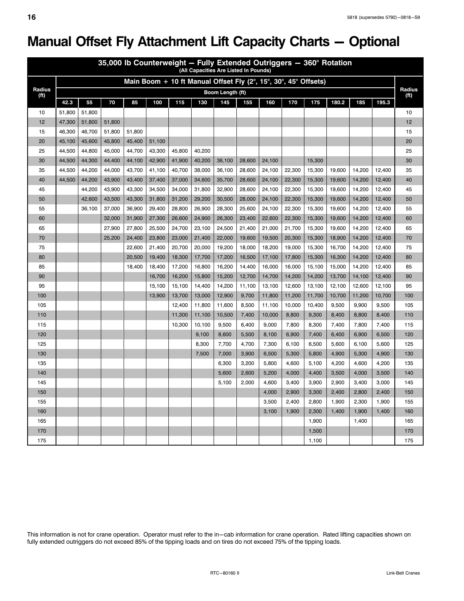|                                    |        |        |        |        |        |        |        | 35,000 lb Counterweight - Fully Extended Outriggers - 360° Rotation<br>(All Capacities Are Listed In Pounds) |        |        |        |        |        |        |        |                                    |
|------------------------------------|--------|--------|--------|--------|--------|--------|--------|--------------------------------------------------------------------------------------------------------------|--------|--------|--------|--------|--------|--------|--------|------------------------------------|
|                                    |        |        |        |        |        |        |        | Main Boom + 10 ft Manual Offset Fly (2°, 15°, 30°, 45° Offsets)                                              |        |        |        |        |        |        |        |                                    |
| <b>Radius</b><br>(f <sup>t</sup> ) |        |        |        |        |        |        |        | Boom Length (ft)                                                                                             |        |        |        |        |        |        |        | <b>Radius</b><br>(f <sup>t</sup> ) |
|                                    | 42.3   | 55     | 70     | 85     | 100    | 115    | 130    | 145                                                                                                          | 155    | 160    | 170    | 175    | 180.2  | 185    | 195.3  |                                    |
| 10                                 | 51.800 | 51.800 |        |        |        |        |        |                                                                                                              |        |        |        |        |        |        |        | 10                                 |
| 12                                 | 47,300 | 51,800 | 51,800 |        |        |        |        |                                                                                                              |        |        |        |        |        |        |        | 12                                 |
| 15                                 | 46,300 | 46,700 | 51,800 | 51,800 |        |        |        |                                                                                                              |        |        |        |        |        |        |        | 15                                 |
| 20                                 | 45.100 | 45.600 | 45,800 | 45,400 | 51,100 |        |        |                                                                                                              |        |        |        |        |        |        |        | 20                                 |
| 25                                 | 44,500 | 44,800 | 45,000 | 44,700 | 43,300 | 45.800 | 40.200 |                                                                                                              |        |        |        |        |        |        |        | 25                                 |
| 30                                 | 44,500 | 44,300 | 44,400 | 44,100 | 42,900 | 41,900 | 40,200 | 36,100                                                                                                       | 28,600 | 24,100 |        | 15,300 |        |        |        | 30                                 |
| 35                                 | 44.500 | 44.200 | 44.000 | 43,700 | 41,100 | 40.700 | 38,000 | 36,100                                                                                                       | 28.600 | 24.100 | 22.300 | 15,300 | 19.600 | 14.200 | 12.400 | 35                                 |
| 40                                 | 44.500 | 44,200 | 43,900 | 43,400 | 37,400 | 37,000 | 34,600 | 35,700                                                                                                       | 28.600 | 24,100 | 22,300 | 15,300 | 19.600 | 14,200 | 12,400 | 40                                 |
| 45                                 |        | 44,200 | 43,900 | 43,300 | 34,500 | 34,000 | 31,800 | 32,900                                                                                                       | 28,600 | 24,100 | 22,300 | 15,300 | 19,600 | 14,200 | 12,400 | 45                                 |
| 50                                 |        | 42,600 | 43,500 | 43,300 | 31,800 | 31,200 | 29,200 | 30,500                                                                                                       | 28,000 | 24,100 | 22,300 | 15,300 | 19,600 | 14,200 | 12,400 | 50                                 |
| 55                                 |        | 36,100 | 37,000 | 36,900 | 29.400 | 28,800 | 26,900 | 28,300                                                                                                       | 25,600 | 24,100 | 22,300 | 15,300 | 19,600 | 14,200 | 12,400 | 55                                 |
| 60                                 |        |        | 32,000 | 31,900 | 27,300 | 26,600 | 24,900 | 26,300                                                                                                       | 23,400 | 22,600 | 22,300 | 15,300 | 19,600 | 14,200 | 12,400 | 60                                 |
| 65                                 |        |        | 27,900 | 27,800 | 25,500 | 24,700 | 23,100 | 24,500                                                                                                       | 21,400 | 21,000 | 21,700 | 15,300 | 19,600 | 14,200 | 12,400 | 65                                 |
| 70                                 |        |        | 25,200 | 24,400 | 23.800 | 23,000 | 21,400 | 22,000                                                                                                       | 19.600 | 19,500 | 20,300 | 15.300 | 18.900 | 14,200 | 12,400 | 70                                 |
| 75                                 |        |        |        | 22,600 | 21,400 | 20,700 | 20,000 | 19,200                                                                                                       | 18,000 | 18,200 | 19,000 | 15,300 | 16,700 | 14,200 | 12,400 | 75                                 |
| 80                                 |        |        |        | 20,500 | 19,400 | 18,300 | 17,700 | 17,200                                                                                                       | 16,500 | 17,100 | 17,800 | 15,300 | 16,300 | 14,200 | 12,400 | 80                                 |
| 85                                 |        |        |        | 18,400 | 18.400 | 17,200 | 16,800 | 16,200                                                                                                       | 14,400 | 16,000 | 16,000 | 15,100 | 15,000 | 14,200 | 12.400 | 85                                 |
| 90                                 |        |        |        |        | 16,700 | 16,200 | 15,800 | 15,200                                                                                                       | 12,700 | 14,700 | 14,200 | 14,200 | 13,700 | 14,100 | 12,400 | 90                                 |
| 95                                 |        |        |        |        | 15,100 | 15,100 | 14,400 | 14,200                                                                                                       | 11,100 | 13,100 | 12,600 | 13,100 | 12,100 | 12,600 | 12,100 | 95                                 |
| 100                                |        |        |        |        | 13.900 | 13,700 | 13,000 | 12,900                                                                                                       | 9,700  | 11,800 | 11,200 | 11,700 | 10.700 | 11,200 | 10.700 | 100                                |
| 105                                |        |        |        |        |        | 12,400 | 11,800 | 11,600                                                                                                       | 8,500  | 11,100 | 10,000 | 10,400 | 9,500  | 9,900  | 9,500  | 105                                |
| 110                                |        |        |        |        |        | 11,300 | 11,100 | 10,500                                                                                                       | 7,400  | 10,000 | 8,800  | 9,300  | 8,400  | 8,800  | 8,400  | 110                                |
| 115                                |        |        |        |        |        | 10.300 | 10,100 | 9.500                                                                                                        | 6.400  | 9.000  | 7.800  | 8.300  | 7.400  | 7.800  | 7.400  | 115                                |
| 120                                |        |        |        |        |        |        | 9,100  | 8,600                                                                                                        | 5,500  | 8,100  | 6,900  | 7,400  | 6,400  | 6,900  | 6,500  | 120                                |
| 125                                |        |        |        |        |        |        | 8,300  | 7,700                                                                                                        | 4,700  | 7,300  | 6,100  | 6,500  | 5,600  | 6,100  | 5,600  | 125                                |
| 130                                |        |        |        |        |        |        | 7,500  | 7,000                                                                                                        | 3,900  | 6,500  | 5,300  | 5,800  | 4,900  | 5,300  | 4,900  | 130                                |
| 135                                |        |        |        |        |        |        |        | 6,300                                                                                                        | 3.200  | 5.800  | 4,600  | 5,100  | 4,200  | 4,600  | 4,200  | 135                                |
| 140                                |        |        |        |        |        |        |        | 5,600                                                                                                        | 2,600  | 5,200  | 4,000  | 4,400  | 3,500  | 4,000  | 3,500  | 140                                |
| 145                                |        |        |        |        |        |        |        | 5,100                                                                                                        | 2.000  | 4,600  | 3,400  | 3,900  | 2,900  | 3,400  | 3,000  | 145                                |
| 150                                |        |        |        |        |        |        |        |                                                                                                              |        | 4,000  | 2,900  | 3,300  | 2,400  | 2,800  | 2,400  | 150                                |
| 155                                |        |        |        |        |        |        |        |                                                                                                              |        | 3,500  | 2,400  | 2,800  | 1,900  | 2,300  | 1,900  | 155                                |
| 160                                |        |        |        |        |        |        |        |                                                                                                              |        | 3,100  | 1,900  | 2,300  | 1,400  | 1,900  | 1,400  | 160                                |
| 165                                |        |        |        |        |        |        |        |                                                                                                              |        |        |        | 1,900  |        | 1.400  |        | 165                                |
| 170                                |        |        |        |        |        |        |        |                                                                                                              |        |        |        | 1,500  |        |        |        | 170                                |
| 175                                |        |        |        |        |        |        |        |                                                                                                              |        |        |        | 1,100  |        |        |        | 175                                |

## <span id="page-21-0"></span>**Manual Offset Fly Attachment Lift Capacity Charts - Optional**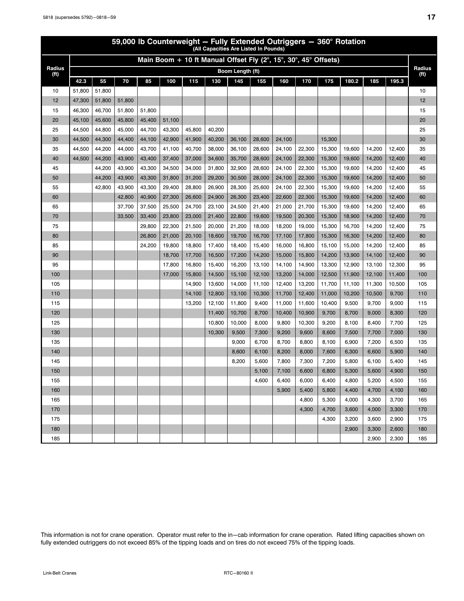<span id="page-22-0"></span>

|                             |        |        |        |        |        |        |        | 59,000 lb Counterweight - Fully Extended Outriggers - 360° Rotation<br>(All Capacities Are Listed In Pounds) |        |        |        |        |        |        |        |                             |
|-----------------------------|--------|--------|--------|--------|--------|--------|--------|--------------------------------------------------------------------------------------------------------------|--------|--------|--------|--------|--------|--------|--------|-----------------------------|
|                             |        |        |        |        |        |        |        | Main Boom + 10 ft Manual Offset Fly (2°, 15°, 30°, 45° Offsets)                                              |        |        |        |        |        |        |        |                             |
| Radius<br>(f <sup>t</sup> ) |        |        |        |        |        |        |        | Boom Length (ft)                                                                                             |        |        |        |        |        |        |        | Radius<br>(f <sup>t</sup> ) |
|                             | 42.3   | 55     | 70     | 85     | 100    | 115    | 130    | 145                                                                                                          | 155    | 160    | 170    | 175    | 180.2  | 185    | 195.3  |                             |
| 10                          | 51,800 | 51,800 |        |        |        |        |        |                                                                                                              |        |        |        |        |        |        |        | 10                          |
| 12                          | 47,300 | 51,800 | 51,800 |        |        |        |        |                                                                                                              |        |        |        |        |        |        |        | 12                          |
| 15                          | 46,300 | 46,700 | 51,800 | 51,800 |        |        |        |                                                                                                              |        |        |        |        |        |        |        | 15                          |
| 20                          | 45,100 | 45,600 | 45,800 | 45,400 | 51,100 |        |        |                                                                                                              |        |        |        |        |        |        |        | 20                          |
| 25                          | 44,500 | 44,800 | 45.000 | 44,700 | 43,300 | 45,800 | 40,200 |                                                                                                              |        |        |        |        |        |        |        | 25                          |
| 30                          | 44,500 | 44,300 | 44,400 | 44,100 | 42,900 | 41,900 | 40,200 | 36,100                                                                                                       | 28,600 | 24,100 |        | 15,300 |        |        |        | 30                          |
| 35                          | 44,500 | 44,200 | 44,000 | 43,700 | 41,100 | 40,700 | 38,000 | 36,100                                                                                                       | 28,600 | 24,100 | 22,300 | 15,300 | 19,600 | 14,200 | 12,400 | 35                          |
| 40                          | 44,500 | 44,200 | 43,900 | 43,400 | 37,400 | 37,000 | 34,600 | 35,700                                                                                                       | 28,600 | 24,100 | 22,300 | 15,300 | 19,600 | 14,200 | 12,400 | 40                          |
| 45                          |        | 44,200 | 43,900 | 43,300 | 34,500 | 34,000 | 31,800 | 32,900                                                                                                       | 28,600 | 24,100 | 22,300 | 15,300 | 19,600 | 14,200 | 12,400 | 45                          |
| 50                          |        | 44,200 | 43,900 | 43,300 | 31,800 | 31,200 | 29,200 | 30,500                                                                                                       | 28,000 | 24,100 | 22,300 | 15,300 | 19,600 | 14,200 | 12,400 | 50                          |
| 55                          |        | 42,800 | 43,900 | 43,300 | 29,400 | 28,800 | 26,900 | 28,300                                                                                                       | 25,600 | 24,100 | 22,300 | 15,300 | 19,600 | 14,200 | 12,400 | 55                          |
| 60                          |        |        | 42,800 | 40,900 | 27,300 | 26,600 | 24,900 | 26,300                                                                                                       | 23,400 | 22,600 | 22,300 | 15,300 | 19,600 | 14,200 | 12,400 | 60                          |
| 65                          |        |        | 37,700 | 37,500 | 25,500 | 24,700 | 23,100 | 24,500                                                                                                       | 21,400 | 21,000 | 21,700 | 15,300 | 19,600 | 14,200 | 12,400 | 65                          |
| 70                          |        |        | 33,500 | 33,400 | 23,800 | 23,000 | 21,400 | 22,800                                                                                                       | 19,600 | 19,500 | 20,300 | 15,300 | 18,900 | 14,200 | 12,400 | 70                          |
| 75                          |        |        |        | 29,800 | 22,300 | 21,500 | 20,000 | 21,200                                                                                                       | 18,000 | 18,200 | 19,000 | 15,300 | 16,700 | 14,200 | 12,400 | 75                          |
| 80                          |        |        |        | 26,800 | 21,000 | 20,100 | 18,600 | 19,700                                                                                                       | 16,700 | 17,100 | 17,800 | 15,300 | 16,300 | 14,200 | 12,400 | 80                          |
| 85                          |        |        |        | 24.200 | 19,800 | 18,800 | 17,400 | 18,400                                                                                                       | 15,400 | 16,000 | 16,800 | 15,100 | 15,000 | 14,200 | 12,400 | 85                          |
| 90                          |        |        |        |        | 18,700 | 17,700 | 16,500 | 17,200                                                                                                       | 14,200 | 15,000 | 15,800 | 14,200 | 13,900 | 14,100 | 12,400 | 90                          |
| 95                          |        |        |        |        | 17,800 | 16,800 | 15,400 | 16,200                                                                                                       | 13,100 | 14,100 | 14,900 | 13,300 | 12,900 | 13,100 | 12,300 | 95                          |
| 100                         |        |        |        |        | 17,000 | 15,800 | 14,500 | 15,100                                                                                                       | 12,100 | 13,200 | 14,000 | 12,500 | 11,900 | 12,100 | 11,400 | 100                         |
| 105                         |        |        |        |        |        | 14,900 | 13,600 | 14,000                                                                                                       | 11,100 | 12,400 | 13,200 | 11,700 | 11,100 | 11,300 | 10,500 | 105                         |
| 110                         |        |        |        |        |        | 14,100 | 12,800 | 13,100                                                                                                       | 10,300 | 11,700 | 12,400 | 11,000 | 10,200 | 10,500 | 9,700  | 110                         |
| 115                         |        |        |        |        |        | 13,200 | 12,100 | 11,800                                                                                                       | 9,400  | 11,000 | 11,600 | 10,400 | 9,500  | 9,700  | 9,000  | 115                         |
| 120                         |        |        |        |        |        |        | 11,400 | 10,700                                                                                                       | 8,700  | 10,400 | 10,900 | 9,700  | 8,700  | 9,000  | 8,300  | 120                         |
| 125                         |        |        |        |        |        |        | 10,800 | 10,000                                                                                                       | 8,000  | 9,800  | 10,300 | 9,200  | 8,100  | 8,400  | 7,700  | 125                         |
| 130                         |        |        |        |        |        |        | 10,300 | 9,500                                                                                                        | 7,300  | 9,200  | 9,600  | 8,600  | 7,500  | 7,700  | 7,000  | 130                         |
| 135                         |        |        |        |        |        |        |        | 9,000                                                                                                        | 6,700  | 8,700  | 8,800  | 8,100  | 6,900  | 7,200  | 6,500  | 135                         |
| 140                         |        |        |        |        |        |        |        | 8,600                                                                                                        | 6,100  | 8,200  | 8,000  | 7,600  | 6,300  | 6,600  | 5,900  | 140                         |
| 145                         |        |        |        |        |        |        |        | 8,200                                                                                                        | 5,600  | 7,800  | 7,300  | 7,200  | 5,800  | 6,100  | 5,400  | 145                         |
| 150                         |        |        |        |        |        |        |        |                                                                                                              | 5,100  | 7,100  | 6,600  | 6,800  | 5,300  | 5,600  | 4,900  | 150                         |
| 155                         |        |        |        |        |        |        |        |                                                                                                              | 4,600  | 6,400  | 6,000  | 6,400  | 4,800  | 5,200  | 4,500  | 155                         |
| 160                         |        |        |        |        |        |        |        |                                                                                                              |        | 5,900  | 5,400  | 5,800  | 4,400  | 4,700  | 4,100  | 160                         |
| 165                         |        |        |        |        |        |        |        |                                                                                                              |        |        | 4,800  | 5,300  | 4,000  | 4,300  | 3,700  | 165                         |
| 170                         |        |        |        |        |        |        |        |                                                                                                              |        |        | 4,300  | 4,700  | 3,600  | 4,000  | 3,300  | 170                         |
| 175                         |        |        |        |        |        |        |        |                                                                                                              |        |        |        | 4,300  | 3,200  | 3,600  | 2,900  | 175                         |
| 180                         |        |        |        |        |        |        |        |                                                                                                              |        |        |        |        | 2,900  | 3,300  | 2,600  | 180                         |
| 185                         |        |        |        |        |        |        |        |                                                                                                              |        |        |        |        |        | 2,900  | 2,300  | 185                         |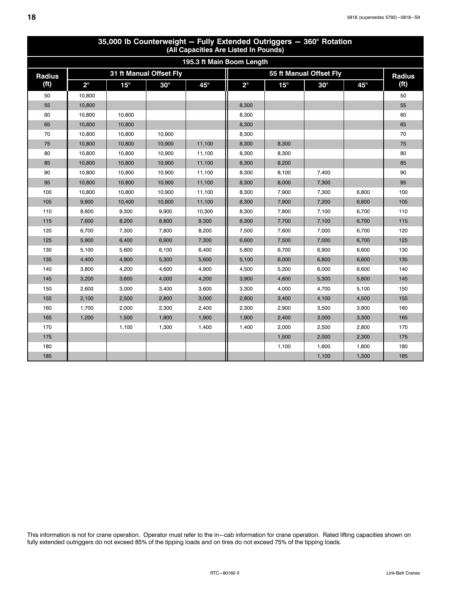<span id="page-23-0"></span>

|                   |             |            |                         | (All Capacities Are Listed In Pounds) |             |            |                         |            |                   |
|-------------------|-------------|------------|-------------------------|---------------------------------------|-------------|------------|-------------------------|------------|-------------------|
|                   |             |            |                         | 195.3 ft Main Boom Length             |             |            |                         |            |                   |
| <b>Radius</b>     |             |            | 31 ft Manual Offset Fly |                                       |             |            | 55 ft Manual Offset Fly |            | Radius            |
| (f <sup>t</sup> ) | $2^{\circ}$ | $15^\circ$ | $30^\circ$              | $45^{\circ}$                          | $2^{\circ}$ | $15^\circ$ | $30^\circ$              | $45^\circ$ | (f <sup>t</sup> ) |
| 50                | 10,800      |            |                         |                                       |             |            |                         |            | 50                |
| 55                | 10,800      |            |                         |                                       | 8,300       |            |                         |            | 55                |
| 60                | 10,800      | 10,800     |                         |                                       | 8,300       |            |                         |            | 60                |
| 65                | 10,800      | 10,800     |                         |                                       | 8,300       |            |                         |            | 65                |
| 70                | 10,800      | 10,800     | 10,900                  |                                       | 8,300       |            |                         |            | 70                |
| 75                | 10,800      | 10,800     | 10,900                  | 11,100                                | 8,300       | 8,300      |                         |            | 75                |
| 80                | 10,800      | 10,800     | 10,900                  | 11,100                                | 8,300       | 8,300      |                         |            | 80                |
| 85                | 10,800      | 10,800     | 10,900                  | 11,100                                | 8,300       | 8,200      |                         |            | 85                |
| 90                | 10,800      | 10,800     | 10,900                  | 11,100                                | 8,300       | 8,100      | 7,400                   |            | 90                |
| 95                | 10,800      | 10,800     | 10,900                  | 11,100                                | 8,300       | 8,000      | 7,300                   |            | 95                |
| 100               | 10,800      | 10,800     | 10,900                  | 11,100                                | 8,300       | 7,900      | 7,300                   | 6,800      | 100               |
| 105               | 9,800       | 10,400     | 10,800                  | 11,100                                | 8,300       | 7,900      | 7,200                   | 6,800      | 105               |
| 110               | 8,600       | 9,300      | 9,900                   | 10,300                                | 8,300       | 7,800      | 7,100                   | 6,700      | 110               |
| 115               | 7,600       | 8,200      | 8,800                   | 9,300                                 | 8,300       | 7,700      | 7,100                   | 6,700      | 115               |
| 120               | 6,700       | 7,300      | 7,800                   | 8,200                                 | 7,500       | 7,600      | 7,000                   | 6,700      | 120               |
| 125               | 5,900       | 6,400      | 6,900                   | 7,300                                 | 6,600       | 7,500      | 7,000                   | 6,700      | 125               |
| 130               | 5,100       | 5,600      | 6,100                   | 6,400                                 | 5,800       | 6,700      | 6,900                   | 6,600      | 130               |
| 135               | 4,400       | 4,900      | 5,300                   | 5,600                                 | 5,100       | 6,000      | 6,800                   | 6,600      | 135               |
| 140               | 3,800       | 4,200      | 4,600                   | 4,900                                 | 4,500       | 5,200      | 6,000                   | 6,600      | 140               |
| 145               | 3,200       | 3,600      | 4,000                   | 4,200                                 | 3,900       | 4,600      | 5,300                   | 5,800      | 145               |
| 150               | 2,600       | 3,000      | 3,400                   | 3,600                                 | 3,300       | 4,000      | 4,700                   | 5,100      | 150               |
| 155               | 2,100       | 2,500      | 2,800                   | 3,000                                 | 2,800       | 3,400      | 4,100                   | 4,500      | 155               |
| 160               | 1,700       | 2,000      | 2,300                   | 2,400                                 | 2,300       | 2,900      | 3,500                   | 3,900      | 160               |
| 165               | 1,200       | 1,500      | 1,800                   | 1,900                                 | 1,900       | 2,400      | 3,000                   | 3,300      | 165               |
| 170               |             | 1,100      | 1,300                   | 1,400                                 | 1,400       | 2,000      | 2,500                   | 2,800      | 170               |
| 175               |             |            |                         |                                       |             | 1,500      | 2,000                   | 2,300      | 175               |
| 180               |             |            |                         |                                       |             | 1,100      | 1,600                   | 1,800      | 180               |
| 185               |             |            |                         |                                       |             |            | 1,100                   | 1,300      | 185               |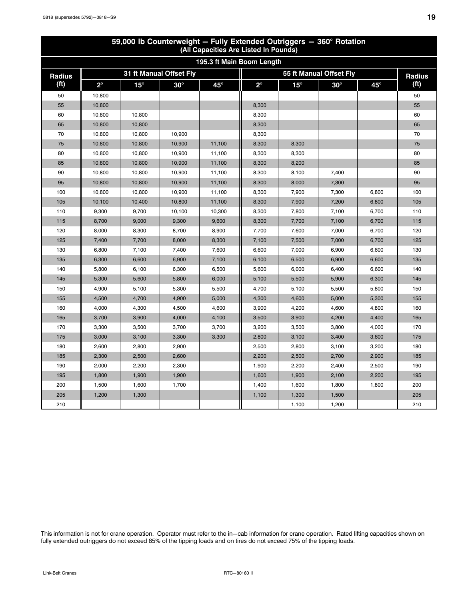<span id="page-24-0"></span>

|                   |             |                         |            | 59,000 in Counterweight – Funy Extended Outriggers – 300 Aotation<br>(All Capacities Are Listed In Pounds) |             |              |                         |              |                   |
|-------------------|-------------|-------------------------|------------|------------------------------------------------------------------------------------------------------------|-------------|--------------|-------------------------|--------------|-------------------|
|                   |             |                         |            | 195.3 ft Main Boom Length                                                                                  |             |              |                         |              |                   |
| Radius            |             | 31 ft Manual Offset Fly |            |                                                                                                            |             |              | 55 ft Manual Offset Fly |              | <b>Radius</b>     |
| (f <sup>t</sup> ) | $2^{\circ}$ | $15^\circ$              | $30^\circ$ | $45^\circ$                                                                                                 | $2^{\circ}$ | $15^{\circ}$ | $30^\circ$              | $45^{\circ}$ | (f <sup>t</sup> ) |
| 50                | 10,800      |                         |            |                                                                                                            |             |              |                         |              | 50                |
| 55                | 10,800      |                         |            |                                                                                                            | 8,300       |              |                         |              | 55                |
| 60                | 10,800      | 10,800                  |            |                                                                                                            | 8,300       |              |                         |              | 60                |
| 65                | 10,800      | 10,800                  |            |                                                                                                            | 8,300       |              |                         |              | 65                |
| 70                | 10,800      | 10,800                  | 10,900     |                                                                                                            | 8,300       |              |                         |              | 70                |
| 75                | 10,800      | 10,800                  | 10,900     | 11,100                                                                                                     | 8,300       | 8,300        |                         |              | 75                |
| 80                | 10,800      | 10,800                  | 10,900     | 11,100                                                                                                     | 8,300       | 8,300        |                         |              | 80                |
| 85                | 10,800      | 10,800                  | 10,900     | 11,100                                                                                                     | 8,300       | 8,200        |                         |              | 85                |
| 90                | 10,800      | 10,800                  | 10,900     | 11,100                                                                                                     | 8,300       | 8,100        | 7,400                   |              | 90                |
| 95                | 10,800      | 10,800                  | 10,900     | 11,100                                                                                                     | 8,300       | 8,000        | 7,300                   |              | 95                |
| 100               | 10,800      | 10,800                  | 10,900     | 11,100                                                                                                     | 8,300       | 7,900        | 7,300                   | 6,800        | 100               |
| 105               | 10,100      | 10,400                  | 10,800     | 11,100                                                                                                     | 8,300       | 7,900        | 7,200                   | 6,800        | 105               |
| 110               | 9,300       | 9,700                   | 10,100     | 10,300                                                                                                     | 8,300       | 7,800        | 7,100                   | 6,700        | 110               |
| 115               | 8,700       | 9,000                   | 9,300      | 9,600                                                                                                      | 8,300       | 7,700        | 7,100                   | 6,700        | 115               |
| 120               | 8,000       | 8,300                   | 8,700      | 8,900                                                                                                      | 7,700       | 7,600        | 7,000                   | 6,700        | 120               |
| 125               | 7,400       | 7,700                   | 8,000      | 8,300                                                                                                      | 7,100       | 7,500        | 7,000                   | 6,700        | 125               |
| 130               | 6,800       | 7,100                   | 7,400      | 7,600                                                                                                      | 6,600       | 7,000        | 6,900                   | 6,600        | 130               |
| 135               | 6,300       | 6,600                   | 6,900      | 7,100                                                                                                      | 6,100       | 6,500        | 6,900                   | 6,600        | 135               |
| 140               | 5,800       | 6,100                   | 6,300      | 6,500                                                                                                      | 5,600       | 6,000        | 6,400                   | 6,600        | 140               |
| 145               | 5,300       | 5,600                   | 5,800      | 6,000                                                                                                      | 5,100       | 5,500        | 5,900                   | 6,300        | 145               |
| 150               | 4,900       | 5,100                   | 5,300      | 5,500                                                                                                      | 4,700       | 5,100        | 5,500                   | 5,800        | 150               |
| 155               | 4,500       | 4,700                   | 4,900      | 5,000                                                                                                      | 4,300       | 4,600        | 5,000                   | 5,300        | 155               |
| 160               | 4,000       | 4,300                   | 4,500      | 4,600                                                                                                      | 3,900       | 4,200        | 4,600                   | 4,800        | 160               |
| 165               | 3,700       | 3,900                   | 4,000      | 4,100                                                                                                      | 3,500       | 3,900        | 4,200                   | 4,400        | 165               |
| 170               | 3,300       | 3,500                   | 3,700      | 3,700                                                                                                      | 3,200       | 3,500        | 3,800                   | 4,000        | 170               |
| 175               | 3,000       | 3,100                   | 3,300      | 3,300                                                                                                      | 2,800       | 3,100        | 3,400                   | 3,600        | 175               |
| 180               | 2,600       | 2,800                   | 2,900      |                                                                                                            | 2,500       | 2,800        | 3,100                   | 3,200        | 180               |
| 185               | 2,300       | 2,500                   | 2,600      |                                                                                                            | 2,200       | 2,500        | 2,700                   | 2,900        | 185               |
| 190               | 2,000       | 2,200                   | 2,300      |                                                                                                            | 1,900       | 2,200        | 2,400                   | 2,500        | 190               |
| 195               | 1,800       | 1,900                   | 1,900      |                                                                                                            | 1,600       | 1,900        | 2,100                   | 2,200        | 195               |
| 200               | 1,500       | 1,600                   | 1,700      |                                                                                                            | 1,400       | 1,600        | 1,800                   | 1,800        | 200               |
| 205               | 1,200       | 1,300                   |            |                                                                                                            | 1,100       | 1,300        | 1,500                   |              | 205               |
| 210               |             |                         |            |                                                                                                            |             | 1,100        | 1,200                   |              | 210               |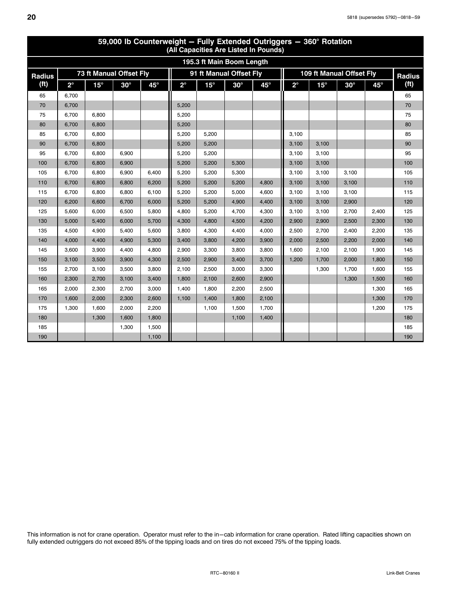<span id="page-25-0"></span>

|                   |             |                         |            |              |             |                           |            | 59,000 lb Counterweight - Fully Extended Outriggers - 360° Rotation<br>(All Capacities Are Listed In Pounds) |             |            |                          |            |                   |
|-------------------|-------------|-------------------------|------------|--------------|-------------|---------------------------|------------|--------------------------------------------------------------------------------------------------------------|-------------|------------|--------------------------|------------|-------------------|
|                   |             |                         |            |              |             | 195.3 ft Main Boom Length |            |                                                                                                              |             |            |                          |            |                   |
| <b>Radius</b>     |             | 73 ft Manual Offset Fly |            |              |             | 91 ft Manual Offset Fly   |            |                                                                                                              |             |            | 109 ft Manual Offset Fly |            | <b>Radius</b>     |
| (f <sup>t</sup> ) | $2^{\circ}$ | $15^\circ$              | $30^\circ$ | $45^{\circ}$ | $2^{\circ}$ | $15^\circ$                | $30^\circ$ | $45^{\circ}$                                                                                                 | $2^{\circ}$ | $15^\circ$ | $30^\circ$               | $45^\circ$ | (f <sup>t</sup> ) |
| 65                | 6,700       |                         |            |              |             |                           |            |                                                                                                              |             |            |                          |            | 65                |
| 70                | 6,700       |                         |            |              | 5,200       |                           |            |                                                                                                              |             |            |                          |            | 70                |
| 75                | 6,700       | 6,800                   |            |              | 5,200       |                           |            |                                                                                                              |             |            |                          |            | 75                |
| 80                | 6,700       | 6,800                   |            |              | 5,200       |                           |            |                                                                                                              |             |            |                          |            | 80                |
| 85                | 6,700       | 6,800                   |            |              | 5,200       | 5,200                     |            |                                                                                                              | 3,100       |            |                          |            | 85                |
| 90                | 6,700       | 6,800                   |            |              | 5,200       | 5,200                     |            |                                                                                                              | 3,100       | 3,100      |                          |            | 90                |
| 95                | 6.700       | 6.800                   | 6.900      |              | 5,200       | 5,200                     |            |                                                                                                              | 3,100       | 3.100      |                          |            | 95                |
| 100               | 6,700       | 6,800                   | 6,900      |              | 5,200       | 5,200                     | 5,300      |                                                                                                              | 3,100       | 3,100      |                          |            | 100               |
| 105               | 6.700       | 6.800                   | 6,900      | 6.400        | 5,200       | 5,200                     | 5.300      |                                                                                                              | 3,100       | 3.100      | 3.100                    |            | 105               |
| 110               | 6.700       | 6,800                   | 6,800      | 6,200        | 5,200       | 5,200                     | 5,200      | 4,800                                                                                                        | 3,100       | 3,100      | 3,100                    |            | 110               |
| 115               | 6,700       | 6,800                   | 6,800      | 6,100        | 5,200       | 5,200                     | 5,000      | 4,600                                                                                                        | 3,100       | 3,100      | 3,100                    |            | 115               |
| 120               | 6,200       | 6,600                   | 6,700      | 6,000        | 5,200       | 5,200                     | 4,900      | 4,400                                                                                                        | 3,100       | 3,100      | 2,900                    |            | 120               |
| 125               | 5,600       | 6,000                   | 6,500      | 5,800        | 4,800       | 5,200                     | 4,700      | 4,300                                                                                                        | 3,100       | 3,100      | 2,700                    | 2,400      | 125               |
| 130               | 5,000       | 5,400                   | 6,000      | 5,700        | 4,300       | 4,800                     | 4,500      | 4,200                                                                                                        | 2,900       | 2,900      | 2,500                    | 2,300      | 130               |
| 135               | 4,500       | 4,900                   | 5,400      | 5,600        | 3,800       | 4,300                     | 4,400      | 4,000                                                                                                        | 2,500       | 2,700      | 2,400                    | 2,200      | 135               |
| 140               | 4,000       | 4,400                   | 4,900      | 5,300        | 3,400       | 3,800                     | 4,200      | 3,900                                                                                                        | 2,000       | 2,500      | 2,200                    | 2,000      | 140               |
| 145               | 3,600       | 3,900                   | 4,400      | 4,800        | 2,900       | 3,300                     | 3,800      | 3,800                                                                                                        | 1,600       | 2,100      | 2,100                    | 1,900      | 145               |
| 150               | 3.100       | 3,500                   | 3,900      | 4,300        | 2,500       | 2,900                     | 3.400      | 3,700                                                                                                        | 1,200       | 1.700      | 2,000                    | 1,800      | 150               |
| 155               | 2,700       | 3,100                   | 3,500      | 3,800        | 2,100       | 2,500                     | 3,000      | 3,300                                                                                                        |             | 1,300      | 1,700                    | 1,600      | 155               |
| 160               | 2.300       | 2,700                   | 3,100      | 3,400        | 1,800       | 2,100                     | 2.600      | 2,900                                                                                                        |             |            | 1,300                    | 1,500      | 160               |
| 165               | 2,000       | 2,300                   | 2,700      | 3,000        | 1,400       | 1,800                     | 2,200      | 2,500                                                                                                        |             |            |                          | 1,300      | 165               |
| 170               | 1,600       | 2,000                   | 2,300      | 2,600        | 1,100       | 1,400                     | 1,800      | 2,100                                                                                                        |             |            |                          | 1,300      | 170               |
| 175               | 1,300       | 1,600                   | 2,000      | 2,200        |             | 1,100                     | 1,500      | 1,700                                                                                                        |             |            |                          | 1,200      | 175               |
| 180               |             | 1,300                   | 1,600      | 1,800        |             |                           | 1,100      | 1,400                                                                                                        |             |            |                          |            | 180               |
| 185               |             |                         | 1,300      | 1,500        |             |                           |            |                                                                                                              |             |            |                          |            | 185               |
| 190               |             |                         |            | 1,100        |             |                           |            |                                                                                                              |             |            |                          |            | 190               |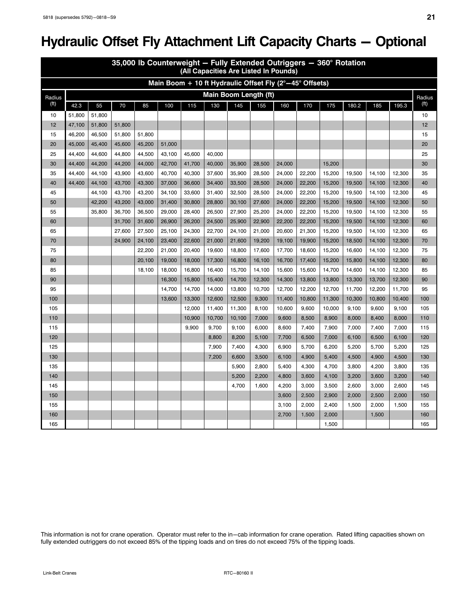## <span id="page-26-0"></span>**Hydraulic Offset Fly Attachment Lift Capacity Charts - Optional**

|                   |        |        |        |        |        |        | (All Capacities Are Listed In Pounds)                   |        |        |        |        | 35,000 lb Counterweight - Fully Extended Outriggers - 360° Rotation |        |        |        |                   |
|-------------------|--------|--------|--------|--------|--------|--------|---------------------------------------------------------|--------|--------|--------|--------|---------------------------------------------------------------------|--------|--------|--------|-------------------|
|                   |        |        |        |        |        |        | Main Boom + 10 ft Hydraulic Offset Fly (2°-45° Offsets) |        |        |        |        |                                                                     |        |        |        |                   |
| Radius            |        |        |        |        |        |        | Main Boom Length (ft)                                   |        |        |        |        |                                                                     |        |        |        | Radius            |
| (f <sup>t</sup> ) | 42.3   | 55     | 70     | 85     | 100    | 115    | 130                                                     | 145    | 155    | 160    | 170    | 175                                                                 | 180.2  | 185    | 195.3  | (f <sup>t</sup> ) |
| 10                | 51,800 | 51,800 |        |        |        |        |                                                         |        |        |        |        |                                                                     |        |        |        | 10                |
| 12                | 47,100 | 51,800 | 51,800 |        |        |        |                                                         |        |        |        |        |                                                                     |        |        |        | 12                |
| 15                | 46,200 | 46,500 | 51,800 | 51,800 |        |        |                                                         |        |        |        |        |                                                                     |        |        |        | 15                |
| 20                | 45,000 | 45,400 | 45,600 | 45,200 | 51,000 |        |                                                         |        |        |        |        |                                                                     |        |        |        | 20                |
| 25                | 44,400 | 44,600 | 44,800 | 44,500 | 43,100 | 45,600 | 40,000                                                  |        |        |        |        |                                                                     |        |        |        | 25                |
| 30                | 44,400 | 44,200 | 44,200 | 44,000 | 42,700 | 41,700 | 40,000                                                  | 35,900 | 28,500 | 24,000 |        | 15,200                                                              |        |        |        | 30                |
| 35                | 44,400 | 44,100 | 43,900 | 43,600 | 40,700 | 40,300 | 37,600                                                  | 35,900 | 28,500 | 24,000 | 22,200 | 15,200                                                              | 19,500 | 14,100 | 12,300 | 35                |
| 40                | 44,400 | 44,100 | 43,700 | 43,300 | 37,000 | 36,600 | 34,400                                                  | 33,500 | 28,500 | 24,000 | 22,200 | 15,200                                                              | 19,500 | 14,100 | 12,300 | 40                |
| 45                |        | 44,100 | 43,700 | 43,200 | 34,100 | 33,600 | 31,400                                                  | 32,500 | 28,500 | 24,000 | 22,200 | 15,200                                                              | 19,500 | 14,100 | 12,300 | 45                |
| 50                |        | 42,200 | 43,200 | 43,000 | 31,400 | 30,800 | 28,800                                                  | 30,100 | 27,600 | 24,000 | 22,200 | 15,200                                                              | 19,500 | 14,100 | 12,300 | 50                |
| 55                |        | 35,800 | 36,700 | 36,500 | 29,000 | 28,400 | 26,500                                                  | 27,900 | 25,200 | 24,000 | 22,200 | 15,200                                                              | 19,500 | 14,100 | 12,300 | 55                |
| 60                |        |        | 31,700 | 31,600 | 26,900 | 26,200 | 24,500                                                  | 25,900 | 22,900 | 22,200 | 22,200 | 15,200                                                              | 19,500 | 14,100 | 12,300 | 60                |
| 65                |        |        | 27,600 | 27,500 | 25,100 | 24,300 | 22,700                                                  | 24,100 | 21,000 | 20,600 | 21,300 | 15,200                                                              | 19,500 | 14,100 | 12,300 | 65                |
| 70                |        |        | 24,900 | 24,100 | 23,400 | 22,600 | 21,000                                                  | 21,600 | 19,200 | 19,100 | 19,900 | 15,200                                                              | 18,500 | 14,100 | 12,300 | 70                |
| 75                |        |        |        | 22,200 | 21,000 | 20,400 | 19,600                                                  | 18,800 | 17,600 | 17,700 | 18,600 | 15,200                                                              | 16,600 | 14,100 | 12,300 | 75                |
| 80                |        |        |        | 20,100 | 19,000 | 18,000 | 17,300                                                  | 16,800 | 16,100 | 16,700 | 17,400 | 15,200                                                              | 15,800 | 14,100 | 12,300 | 80                |
| 85                |        |        |        | 18,100 | 18,000 | 16,800 | 16,400                                                  | 15,700 | 14,100 | 15,600 | 15,600 | 14,700                                                              | 14,600 | 14,100 | 12,300 | 85                |
| 90                |        |        |        |        | 16,300 | 15,800 | 15,400                                                  | 14,700 | 12,300 | 14,300 | 13,800 | 13,800                                                              | 13,300 | 13,700 | 12,300 | 90                |
| 95                |        |        |        |        | 14,700 | 14,700 | 14,000                                                  | 13,800 | 10,700 | 12,700 | 12,200 | 12,700                                                              | 11,700 | 12,200 | 11,700 | 95                |
| 100               |        |        |        |        | 13,600 | 13,300 | 12,600                                                  | 12,500 | 9,300  | 11,400 | 10,800 | 11,300                                                              | 10,300 | 10,800 | 10,400 | 100               |
| 105               |        |        |        |        |        | 12,000 | 11,400                                                  | 11,300 | 8,100  | 10,600 | 9,600  | 10,000                                                              | 9,100  | 9,600  | 9,100  | 105               |
| 110               |        |        |        |        |        | 10,900 | 10,700                                                  | 10,100 | 7,000  | 9,600  | 8,500  | 8,900                                                               | 8,000  | 8,400  | 8,000  | 110               |
| 115               |        |        |        |        |        | 9,900  | 9,700                                                   | 9,100  | 6,000  | 8,600  | 7,400  | 7,900                                                               | 7,000  | 7,400  | 7.000  | 115               |
| 120               |        |        |        |        |        |        | 8,800                                                   | 8,200  | 5,100  | 7,700  | 6,500  | 7,000                                                               | 6,100  | 6,500  | 6,100  | 120               |
| 125               |        |        |        |        |        |        | 7,900                                                   | 7,400  | 4,300  | 6,900  | 5,700  | 6,200                                                               | 5,200  | 5,700  | 5,200  | 125               |
| 130               |        |        |        |        |        |        | 7,200                                                   | 6,600  | 3,500  | 6,100  | 4,900  | 5,400                                                               | 4,500  | 4,900  | 4,500  | 130               |
| 135               |        |        |        |        |        |        |                                                         | 5,900  | 2,800  | 5,400  | 4,300  | 4,700                                                               | 3,800  | 4,200  | 3,800  | 135               |
| 140               |        |        |        |        |        |        |                                                         | 5,200  | 2,200  | 4,800  | 3,600  | 4,100                                                               | 3,200  | 3,600  | 3,200  | 140               |
| 145               |        |        |        |        |        |        |                                                         | 4,700  | 1.600  | 4,200  | 3,000  | 3,500                                                               | 2,600  | 3,000  | 2,600  | 145               |
| 150               |        |        |        |        |        |        |                                                         |        |        | 3,600  | 2,500  | 2,900                                                               | 2,000  | 2,500  | 2,000  | 150               |
| 155               |        |        |        |        |        |        |                                                         |        |        | 3,100  | 2,000  | 2,400                                                               | 1,500  | 2,000  | 1,500  | 155               |
| 160               |        |        |        |        |        |        |                                                         |        |        | 2,700  | 1,500  | 2,000                                                               |        | 1,500  |        | 160               |
| 165               |        |        |        |        |        |        |                                                         |        |        |        |        | 1,500                                                               |        |        |        | 165               |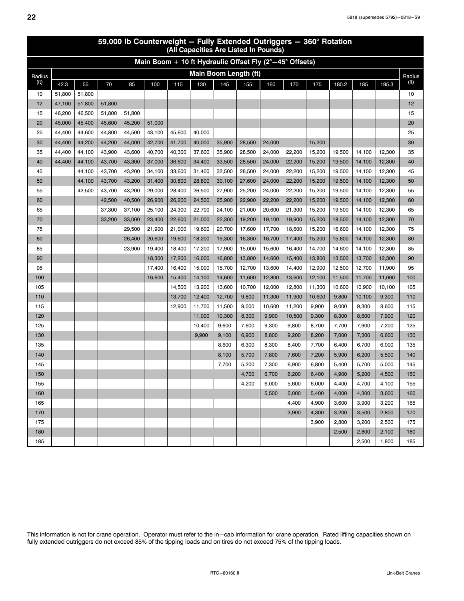<span id="page-27-0"></span>

|                   |        |        |        |        |        | 59,000 lb Counterweight - Fully Extended Outriggers - 360° Rotation<br>(All Capacities Are Listed In Pounds) |        |        |                       |        |        |        |        |        |        |                   |
|-------------------|--------|--------|--------|--------|--------|--------------------------------------------------------------------------------------------------------------|--------|--------|-----------------------|--------|--------|--------|--------|--------|--------|-------------------|
|                   |        |        |        |        |        | Main Boom + 10 ft Hydraulic Offset Fly (2°-45° Offsets)                                                      |        |        |                       |        |        |        |        |        |        |                   |
| Radius            |        |        |        |        |        |                                                                                                              |        |        | Main Boom Length (ft) |        |        |        |        |        |        | Radius            |
| (f <sup>t</sup> ) | 42.3   | 55     | 70     | 85     | 100    | 115                                                                                                          | 130    | 145    | 155                   | 160    | 170    | 175    | 180.2  | 185    | 195.3  | (f <sup>t</sup> ) |
| 10                | 51,800 | 51,800 |        |        |        |                                                                                                              |        |        |                       |        |        |        |        |        |        | 10                |
| 12                | 47,100 | 51,800 | 51,800 |        |        |                                                                                                              |        |        |                       |        |        |        |        |        |        | 12                |
| 15                | 46,200 | 46,500 | 51,800 | 51,800 |        |                                                                                                              |        |        |                       |        |        |        |        |        |        | 15                |
| 20                | 45,000 | 45,400 | 45,600 | 45,200 | 51,000 |                                                                                                              |        |        |                       |        |        |        |        |        |        | 20                |
| 25                | 44,400 | 44,600 | 44,800 | 44,500 | 43,100 | 45,600                                                                                                       | 40,000 |        |                       |        |        |        |        |        |        | 25                |
| 30                | 44,400 | 44,200 | 44,200 | 44,000 | 42,700 | 41,700                                                                                                       | 40,000 | 35,900 | 28,500                | 24,000 |        | 15,200 |        |        |        | 30                |
| 35                | 44,400 | 44,100 | 43,900 | 43,600 | 40,700 | 40,300                                                                                                       | 37,600 | 35,900 | 28,500                | 24,000 | 22,200 | 15,200 | 19,500 | 14,100 | 12,300 | 35                |
| 40                | 44,400 | 44,100 | 43,700 | 43,300 | 37,000 | 36,600                                                                                                       | 34,400 | 33,500 | 28,500                | 24,000 | 22,200 | 15,200 | 19,500 | 14,100 | 12,300 | 40                |
| 45                |        | 44,100 | 43,700 | 43,200 | 34,100 | 33,600                                                                                                       | 31,400 | 32,500 | 28,500                | 24,000 | 22,200 | 15,200 | 19,500 | 14,100 | 12,300 | 45                |
| 50                |        | 44,100 | 43,700 | 43,200 | 31,400 | 30,800                                                                                                       | 28,800 | 30,100 | 27,600                | 24,000 | 22,200 | 15,200 | 19,500 | 14,100 | 12,300 | 50                |
| 55                |        | 42,500 | 43,700 | 43,200 | 29,000 | 28,400                                                                                                       | 26,500 | 27,900 | 25,200                | 24,000 | 22,200 | 15,200 | 19,500 | 14,100 | 12,300 | 55                |
| 60                |        |        | 42,500 | 40,500 | 26,900 | 26,200                                                                                                       | 24,500 | 25,900 | 22,900                | 22,200 | 22,200 | 15,200 | 19,500 | 14,100 | 12,300 | 60                |
| 65                |        |        | 37,300 | 37.100 | 25.100 | 24,300                                                                                                       | 22,700 | 24,100 | 21,000                | 20,600 | 21,300 | 15,200 | 19,500 | 14,100 | 12,300 | 65                |
| 70                |        |        | 33,200 | 33,000 | 23,400 | 22,600                                                                                                       | 21,000 | 22,300 | 19,200                | 19,100 | 19,900 | 15,200 | 18,500 | 14,100 | 12,300 | 70                |
| 75                |        |        |        | 29,500 | 21,900 | 21,000                                                                                                       | 19,600 | 20,700 | 17,600                | 17,700 | 18,600 | 15,200 | 16,600 | 14,100 | 12,300 | 75                |
| 80                |        |        |        | 26,400 | 20,600 | 19,600                                                                                                       | 18,200 | 19,300 | 16,300                | 16,700 | 17,400 | 15,200 | 15,800 | 14,100 | 12,300 | 80                |
| 85                |        |        |        | 23,900 | 19,400 | 18,400                                                                                                       | 17,200 | 17,900 | 15,000                | 15,600 | 16,400 | 14,700 | 14,600 | 14,100 | 12,300 | 85                |
| 90                |        |        |        |        | 18,300 | 17,200                                                                                                       | 16,000 | 16,800 | 13,800                | 14,600 | 15,400 | 13,800 | 13,500 | 13,700 | 12,300 | 90                |
| 95                |        |        |        |        | 17,400 | 16,400                                                                                                       | 15,000 | 15,700 | 12,700                | 13,600 | 14,400 | 12,900 | 12,500 | 12,700 | 11,900 | 95                |
| 100               |        |        |        |        | 16,600 | 15,400                                                                                                       | 14,100 | 14,600 | 11,600                | 12,800 | 13,600 | 12,100 | 11,500 | 11,700 | 11,000 | 100               |
| 105               |        |        |        |        |        | 14,500                                                                                                       | 13,200 | 13,600 | 10,700                | 12,000 | 12,800 | 11,300 | 10,600 | 10,900 | 10,100 | 105               |
| 110               |        |        |        |        |        | 13,700                                                                                                       | 12,400 | 12,700 | 9,800                 | 11,300 | 11,900 | 10,600 | 9,800  | 10,100 | 9,300  | 110               |
| 115               |        |        |        |        |        | 12,900                                                                                                       | 11,700 | 11,500 | 9,000                 | 10,600 | 11,200 | 9,900  | 9,000  | 9,300  | 8,600  | 115               |
| 120               |        |        |        |        |        |                                                                                                              | 11,000 | 10,300 | 8,300                 | 9,900  | 10,500 | 9,300  | 8,300  | 8,600  | 7,900  | 120               |
| 125               |        |        |        |        |        |                                                                                                              | 10,400 | 9,600  | 7,600                 | 9,300  | 9,800  | 8,700  | 7,700  | 7,900  | 7,200  | 125               |
| 130               |        |        |        |        |        |                                                                                                              | 9,900  | 9,100  | 6,900                 | 8,800  | 9,200  | 8,200  | 7,000  | 7,300  | 6,600  | 130               |
| 135               |        |        |        |        |        |                                                                                                              |        | 8,600  | 6,300                 | 8,300  | 8,400  | 7,700  | 6,400  | 6,700  | 6,000  | 135               |
| 140               |        |        |        |        |        |                                                                                                              |        | 8,100  | 5,700                 | 7,800  | 7,600  | 7,200  | 5,900  | 6,200  | 5,500  | 140               |
| 145               |        |        |        |        |        |                                                                                                              |        | 7,700  | 5,200                 | 7,300  | 6,900  | 6,800  | 5,400  | 5,700  | 5,000  | 145               |
| 150               |        |        |        |        |        |                                                                                                              |        |        | 4,700                 | 6,700  | 6,200  | 6,400  | 4,900  | 5,200  | 4,500  | 150               |
| 155               |        |        |        |        |        |                                                                                                              |        |        | 4,200                 | 6,000  | 5,600  | 6,000  | 4,400  | 4,700  | 4,100  | 155               |
| 160               |        |        |        |        |        |                                                                                                              |        |        |                       | 5,500  | 5,000  | 5,400  | 4,000  | 4,300  | 3,600  | 160               |
| 165               |        |        |        |        |        |                                                                                                              |        |        |                       |        | 4,400  | 4,900  | 3,600  | 3,900  | 3,200  | 165               |
| 170               |        |        |        |        |        |                                                                                                              |        |        |                       |        | 3,900  | 4,300  | 3,200  | 3,500  | 2,800  | 170               |
| 175               |        |        |        |        |        |                                                                                                              |        |        |                       |        |        | 3,900  | 2,800  | 3,200  | 2,500  | 175               |
| 180               |        |        |        |        |        |                                                                                                              |        |        |                       |        |        |        | 2,500  | 2,800  | 2,100  | 180               |
| 185               |        |        |        |        |        |                                                                                                              |        |        |                       |        |        |        |        | 2,500  | 1,800  | 185               |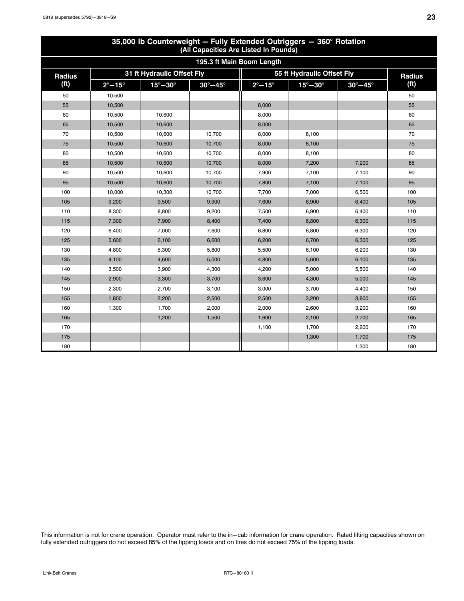<span id="page-28-0"></span>

|                   |                      |                            | (All Capacities Are Listed In Pounds) |                           |                            |                       |                   |
|-------------------|----------------------|----------------------------|---------------------------------------|---------------------------|----------------------------|-----------------------|-------------------|
|                   |                      |                            |                                       | 195.3 ft Main Boom Length |                            |                       |                   |
| <b>Radius</b>     |                      | 31 ft Hydraulic Offset Fly |                                       |                           | 55 ft Hydraulic Offset Fly |                       | Radius            |
| (f <sup>t</sup> ) | $2^\circ - 15^\circ$ | $15^\circ - 30^\circ$      | $30^\circ - 45^\circ$                 | $2^\circ - 15^\circ$      | $15^\circ - 30^\circ$      | $30^\circ - 45^\circ$ | (f <sup>t</sup> ) |
| 50                | 10,500               |                            |                                       |                           |                            |                       | 50                |
| 55                | 10,500               |                            |                                       | 8,000                     |                            |                       | 55                |
| 60                | 10,500               | 10,600                     |                                       | 8,000                     |                            |                       | 60                |
| 65                | 10,500               | 10,600                     |                                       | 8,000                     |                            |                       | 65                |
| 70                | 10,500               | 10,600                     | 10,700                                | 8,000                     | 8,100                      |                       | 70                |
| 75                | 10,500               | 10,600                     | 10,700                                | 8,000                     | 8,100                      |                       | 75                |
| 80                | 10,500               | 10,600                     | 10,700                                | 8,000                     | 8,100                      |                       | 80                |
| 85                | 10,500               | 10,600                     | 10,700                                | 8,000                     | 7,200                      | 7,200                 | 85                |
| 90                | 10,500               | 10,600                     | 10,700                                | 7,900                     | 7,100                      | 7,100                 | 90                |
| 95                | 10,500               | 10,600                     | 10,700                                | 7,800                     | 7,100                      | 7,100                 | 95                |
| 100               | 10,000               | 10,300                     | 10,700                                | 7,700                     | 7,000                      | 6,500                 | 100               |
| 105               | 9,200                | 9,500                      | 9,900                                 | 7,600                     | 6,900                      | 6,400                 | 105               |
| 110               | 8,300                | 8,800                      | 9,200                                 | 7,500                     | 6,900                      | 6,400                 | 110               |
| 115               | 7,300                | 7,900                      | 8,400                                 | 7,400                     | 6,800                      | 6,300                 | 115               |
| 120               | 6,400                | 7,000                      | 7,600                                 | 6,800                     | 6,800                      | 6,300                 | 120               |
| 125               | 5,600                | 6,100                      | 6,600                                 | 6,200                     | 6,700                      | 6,300                 | 125               |
| 130               | 4,800                | 5,300                      | 5,800                                 | 5,500                     | 6,100                      | 6,200                 | 130               |
| 135               | 4,100                | 4,600                      | 5,000                                 | 4,800                     | 5,600                      | 6,100                 | 135               |
| 140               | 3,500                | 3,900                      | 4,300                                 | 4,200                     | 5,000                      | 5,500                 | 140               |
| 145               | 2,900                | 3,300                      | 3,700                                 | 3,600                     | 4,300                      | 5,000                 | 145               |
| 150               | 2,300                | 2,700                      | 3,100                                 | 3,000                     | 3,700                      | 4,400                 | 150               |
| 155               | 1,800                | 2,200                      | 2,500                                 | 2,500                     | 3,200                      | 3,800                 | 155               |
| 160               | 1,300                | 1,700                      | 2,000                                 | 2,000                     | 2,600                      | 3,200                 | 160               |
| 165               |                      | 1,200                      | 1,500                                 | 1,600                     | 2,100                      | 2,700                 | 165               |
| 170               |                      |                            |                                       | 1,100                     | 1,700                      | 2,200                 | 170               |
| 175               |                      |                            |                                       |                           | 1,300                      | 1,700                 | 175               |
| 180               |                      |                            |                                       |                           |                            | 1,300                 | 180               |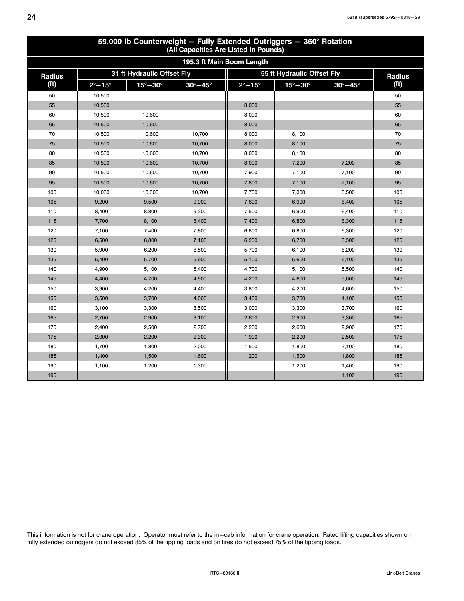<span id="page-29-0"></span>

|                   |                      |                            | (All Capacities Are Listed In Pounds) |                      |                            |                       |                   |
|-------------------|----------------------|----------------------------|---------------------------------------|----------------------|----------------------------|-----------------------|-------------------|
|                   |                      |                            | 195.3 ft Main Boom Length             |                      |                            |                       |                   |
| Radius            |                      | 31 ft Hydraulic Offset Fly |                                       |                      | 55 ft Hydraulic Offset Fly |                       | Radius            |
| (f <sup>t</sup> ) | $2^\circ - 15^\circ$ | $15^\circ - 30^\circ$      | $30^\circ - 45^\circ$                 | $2^\circ - 15^\circ$ | $15^\circ - 30^\circ$      | $30^\circ - 45^\circ$ | (f <sup>t</sup> ) |
| 50                | 10,500               |                            |                                       |                      |                            |                       | 50                |
| 55                | 10,500               |                            |                                       | 8,000                |                            |                       | 55                |
| 60                | 10,500               | 10,600                     |                                       | 8,000                |                            |                       | 60                |
| 65                | 10,500               | 10,600                     |                                       | 8,000                |                            |                       | 65                |
| 70                | 10,500               | 10,600                     | 10,700                                | 8,000                | 8,100                      |                       | 70                |
| 75                | 10,500               | 10,600                     | 10,700                                | 8,000                | 8,100                      |                       | 75                |
| 80                | 10,500               | 10,600                     | 10,700                                | 8,000                | 8,100                      |                       | 80                |
| 85                | 10,500               | 10,600                     | 10,700                                | 8,000                | 7,200                      | 7,200                 | 85                |
| 90                | 10,500               | 10,600                     | 10,700                                | 7,900                | 7,100                      | 7,100                 | 90                |
| 95                | 10,500               | 10,600                     | 10,700                                | 7,800                | 7,100                      | 7,100                 | 95                |
| 100               | 10,000               | 10,300                     | 10,700                                | 7,700                | 7,000                      | 6,500                 | 100               |
| 105               | 9,200                | 9,500                      | 9,900                                 | 7,600                | 6,900                      | 6,400                 | 105               |
| 110               | 8,400                | 8,800                      | 9,200                                 | 7,500                | 6,900                      | 6,400                 | 110               |
| 115               | 7,700                | 8,100                      | 8,400                                 | 7,400                | 6,800                      | 6,300                 | 115               |
| 120               | 7,100                | 7,400                      | 7,800                                 | 6,800                | 6,800                      | 6,300                 | 120               |
| 125               | 6,500                | 6,800                      | 7,100                                 | 6,200                | 6,700                      | 6,300                 | 125               |
| 130               | 5,900                | 6,200                      | 6,500                                 | 5,700                | 6,100                      | 6,200                 | 130               |
| 135               | 5,400                | 5,700                      | 5,900                                 | 5,100                | 5,600                      | 6,100                 | 135               |
| 140               | 4,900                | 5,100                      | 5,400                                 | 4,700                | 5,100                      | 5,500                 | 140               |
| 145               | 4,400                | 4,700                      | 4,900                                 | 4,200                | 4,600                      | 5,000                 | 145               |
| 150               | 3,900                | 4,200                      | 4,400                                 | 3,800                | 4,200                      | 4,600                 | 150               |
| 155               | 3,500                | 3,700                      | 4,000                                 | 3,400                | 3,700                      | 4,100                 | 155               |
| 160               | 3,100                | 3,300                      | 3,500                                 | 3,000                | 3,300                      | 3,700                 | 160               |
| 165               | 2,700                | 2,900                      | 3,100                                 | 2,600                | 2,900                      | 3,300                 | 165               |
| 170               | 2,400                | 2,500                      | 2,700                                 | 2,200                | 2,600                      | 2,900                 | 170               |
| 175               | 2,000                | 2,200                      | 2,300                                 | 1,900                | 2,200                      | 2,500                 | 175               |
| 180               | 1,700                | 1,800                      | 2,000                                 | 1,500                | 1,800                      | 2,100                 | 180               |
| 185               | 1,400                | 1,500                      | 1,600                                 | 1,200                | 1,500                      | 1,800                 | 185               |
| 190               | 1,100                | 1,200                      | 1,300                                 |                      | 1,200                      | 1,400                 | 190               |
| 195               |                      |                            |                                       |                      |                            | 1,100                 | 195               |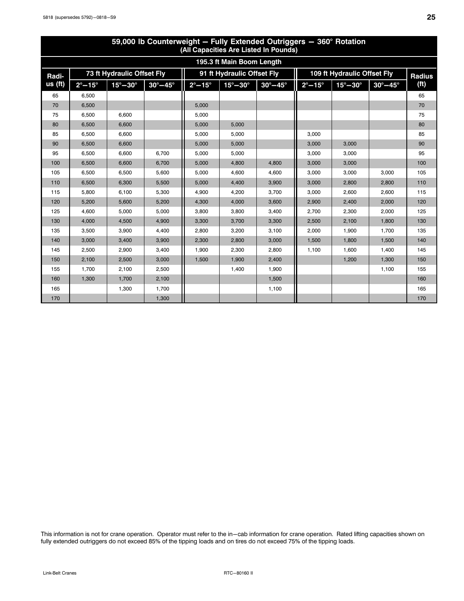<span id="page-30-0"></span>

|         |                      |                            |                       |                      |                            | (All Capacities Are Listed In Pounds) | <u></u>              | <u><b>PARTICIPS</b></u>     |                       |               |
|---------|----------------------|----------------------------|-----------------------|----------------------|----------------------------|---------------------------------------|----------------------|-----------------------------|-----------------------|---------------|
|         |                      |                            |                       |                      | 195.3 ft Main Boom Length  |                                       |                      |                             |                       |               |
| Radi-   |                      | 73 ft Hydraulic Offset Fly |                       |                      | 91 ft Hydraulic Offset Fly |                                       |                      | 109 ft Hydraulic Offset Fly |                       | <b>Radius</b> |
| us (ft) | $2^\circ - 15^\circ$ | $15^\circ - 30^\circ$      | $30^\circ - 45^\circ$ | $2^\circ - 15^\circ$ | $15^\circ - 30^\circ$      | $30^\circ - 45^\circ$                 | $2^\circ - 15^\circ$ | $15^\circ - 30^\circ$       | $30^\circ - 45^\circ$ | $(ft)$        |
| 65      | 6,500                |                            |                       |                      |                            |                                       |                      |                             |                       | 65            |
| 70      | 6,500                |                            |                       | 5,000                |                            |                                       |                      |                             |                       | 70            |
| 75      | 6,500                | 6,600                      |                       | 5,000                |                            |                                       |                      |                             |                       | 75            |
| 80      | 6,500                | 6,600                      |                       | 5,000                | 5,000                      |                                       |                      |                             |                       | 80            |
| 85      | 6,500                | 6,600                      |                       | 5,000                | 5,000                      |                                       | 3,000                |                             |                       | 85            |
| 90      | 6,500                | 6,600                      |                       | 5,000                | 5,000                      |                                       | 3,000                | 3,000                       |                       | 90            |
| 95      | 6,500                | 6,600                      | 6,700                 | 5,000                | 5,000                      |                                       | 3,000                | 3,000                       |                       | 95            |
| 100     | 6,500                | 6,600                      | 6,700                 | 5,000                | 4,800                      | 4,800                                 | 3,000                | 3,000                       |                       | 100           |
| 105     | 6,500                | 6,500                      | 5,600                 | 5,000                | 4,600                      | 4,600                                 | 3,000                | 3,000                       | 3,000                 | 105           |
| 110     | 6,500                | 6,300                      | 5,500                 | 5,000                | 4,400                      | 3,900                                 | 3,000                | 2,800                       | 2,800                 | 110           |
| 115     | 5,800                | 6,100                      | 5,300                 | 4,900                | 4,200                      | 3,700                                 | 3,000                | 2,600                       | 2,600                 | 115           |
| 120     | 5,200                | 5,600                      | 5,200                 | 4,300                | 4,000                      | 3,600                                 | 2,900                | 2,400                       | 2,000                 | 120           |
| 125     | 4,600                | 5,000                      | 5,000                 | 3,800                | 3,800                      | 3,400                                 | 2,700                | 2,300                       | 2,000                 | 125           |
| 130     | 4,000                | 4,500                      | 4,900                 | 3,300                | 3,700                      | 3,300                                 | 2,500                | 2,100                       | 1,800                 | 130           |
| 135     | 3,500                | 3,900                      | 4,400                 | 2,800                | 3,200                      | 3,100                                 | 2,000                | 1,900                       | 1,700                 | 135           |
| 140     | 3,000                | 3,400                      | 3,900                 | 2,300                | 2,800                      | 3,000                                 | 1,500                | 1,800                       | 1,500                 | 140           |
| 145     | 2,500                | 2,900                      | 3,400                 | 1,900                | 2,300                      | 2,800                                 | 1,100                | 1,600                       | 1,400                 | 145           |
| 150     | 2,100                | 2,500                      | 3,000                 | 1,500                | 1,900                      | 2,400                                 |                      | 1,200                       | 1,300                 | 150           |
| 155     | 1,700                | 2,100                      | 2,500                 |                      | 1,400                      | 1,900                                 |                      |                             | 1,100                 | 155           |
| 160     | 1,300                | 1,700                      | 2,100                 |                      |                            | 1,500                                 |                      |                             |                       | 160           |
| 165     |                      | 1,300                      | 1,700                 |                      |                            | 1,100                                 |                      |                             |                       | 165           |
| 170     |                      |                            | 1,300                 |                      |                            |                                       |                      |                             |                       | 170           |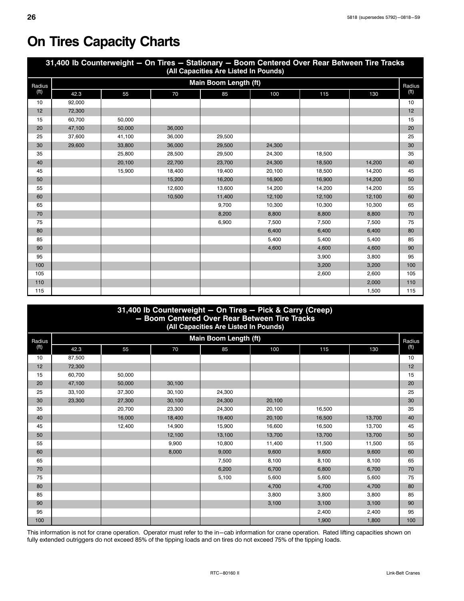## <span id="page-31-0"></span>**On Tires Capacity Charts**

|                   |        |        |        | 31,400 lb Counterweight - On Tires - Stationary - Boom Centered Over Rear Between Tire Tracks<br>(All Capacities Are Listed In Pounds) |        |        |        |                   |
|-------------------|--------|--------|--------|----------------------------------------------------------------------------------------------------------------------------------------|--------|--------|--------|-------------------|
| Radius            |        |        |        | Main Boom Length (ft)                                                                                                                  |        |        |        | Radius            |
| (f <sup>t</sup> ) | 42.3   | 55     | 70     | 85                                                                                                                                     | 100    | 115    | 130    | (f <sup>t</sup> ) |
| 10                | 92,000 |        |        |                                                                                                                                        |        |        |        | 10                |
| 12                | 72,300 |        |        |                                                                                                                                        |        |        |        | 12                |
| 15                | 60,700 | 50,000 |        |                                                                                                                                        |        |        |        | 15                |
| 20                | 47,100 | 50,000 | 36,000 |                                                                                                                                        |        |        |        | 20                |
| 25                | 37,600 | 41.100 | 36.000 | 29,500                                                                                                                                 |        |        |        | 25                |
| 30                | 29,600 | 33,800 | 36,000 | 29,500                                                                                                                                 | 24,300 |        |        | 30                |
| 35                |        | 25,800 | 28.500 | 29,500                                                                                                                                 | 24,300 | 18,500 |        | 35                |
| 40                |        | 20,100 | 22,700 | 23,700                                                                                                                                 | 24,300 | 18,500 | 14,200 | 40                |
| 45                |        | 15,900 | 18,400 | 19,400                                                                                                                                 | 20,100 | 18,500 | 14,200 | 45                |
| 50                |        |        | 15,200 | 16,200                                                                                                                                 | 16,900 | 16,900 | 14,200 | 50                |
| 55                |        |        | 12.600 | 13.600                                                                                                                                 | 14,200 | 14,200 | 14,200 | 55                |
| 60                |        |        | 10,500 | 11,400                                                                                                                                 | 12,100 | 12,100 | 12,100 | 60                |
| 65                |        |        |        | 9,700                                                                                                                                  | 10,300 | 10,300 | 10,300 | 65                |
| 70                |        |        |        | 8,200                                                                                                                                  | 8,800  | 8,800  | 8,800  | 70                |
| 75                |        |        |        | 6,900                                                                                                                                  | 7,500  | 7,500  | 7,500  | 75                |
| 80                |        |        |        |                                                                                                                                        | 6,400  | 6,400  | 6,400  | 80                |
| 85                |        |        |        |                                                                                                                                        | 5,400  | 5,400  | 5,400  | 85                |
| 90                |        |        |        |                                                                                                                                        | 4,600  | 4,600  | 4,600  | 90                |
| 95                |        |        |        |                                                                                                                                        |        | 3,900  | 3,800  | 95                |
| 100               |        |        |        |                                                                                                                                        |        | 3,200  | 3,200  | 100               |
| 105               |        |        |        |                                                                                                                                        |        | 2,600  | 2,600  | 105               |
| 110               |        |        |        |                                                                                                                                        |        |        | 2,000  | 110               |
| 115               |        |        |        |                                                                                                                                        |        |        | 1,500  | 115               |

#### **31,400 lb Counterweight - On Tires - Pick & Carry (Creep) - Boom Centered Over Rear Between Tire Tracks (All Capacities Are Listed In Pounds)**

| Radius            |        |        |        | Main Boom Length (ft) |        |        |        | Radius            |
|-------------------|--------|--------|--------|-----------------------|--------|--------|--------|-------------------|
| (f <sup>t</sup> ) | 42.3   | 55     | 70     | 85                    | 100    | 115    | 130    | (f <sup>t</sup> ) |
| 10                | 87,500 |        |        |                       |        |        |        | 10                |
| 12                | 72,300 |        |        |                       |        |        |        | 12                |
| 15                | 60,700 | 50,000 |        |                       |        |        |        | 15                |
| 20                | 47,100 | 50,000 | 30,100 |                       |        |        |        | 20                |
| 25                | 33,100 | 37,300 | 30,100 | 24,300                |        |        |        | 25                |
| 30                | 23,300 | 27,300 | 30,100 | 24,300                | 20,100 |        |        | 30                |
| 35                |        | 20,700 | 23,300 | 24,300                | 20,100 | 16,500 |        | 35                |
| 40                |        | 16,000 | 18,400 | 19,400                | 20,100 | 16,500 | 13,700 | 40                |
| 45                |        | 12,400 | 14,900 | 15,900                | 16,600 | 16,500 | 13,700 | 45                |
| 50                |        |        | 12,100 | 13,100                | 13,700 | 13,700 | 13,700 | 50                |
| 55                |        |        | 9,900  | 10,800                | 11,400 | 11,500 | 11,500 | 55                |
| 60                |        |        | 8,000  | 9,000                 | 9,600  | 9,600  | 9,600  | 60                |
| 65                |        |        |        | 7,500                 | 8,100  | 8,100  | 8,100  | 65                |
| 70                |        |        |        | 6,200                 | 6,700  | 6,800  | 6,700  | 70                |
| 75                |        |        |        | 5,100                 | 5,600  | 5,600  | 5,600  | 75                |
| 80                |        |        |        |                       | 4,700  | 4,700  | 4,700  | 80                |
| 85                |        |        |        |                       | 3,800  | 3,800  | 3,800  | 85                |
| 90                |        |        |        |                       | 3,100  | 3,100  | 3,100  | 90                |
| 95                |        |        |        |                       |        | 2,400  | 2,400  | 95                |
| 100               |        |        |        |                       |        | 1,900  | 1,800  | 100               |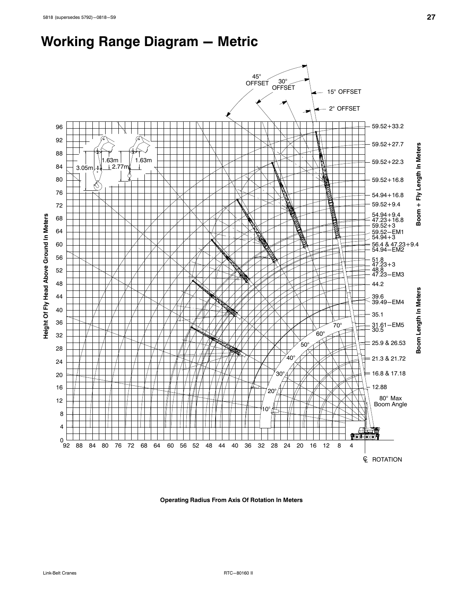<span id="page-32-0"></span>

**Operating Radius From Axis Of Rotation In Meters**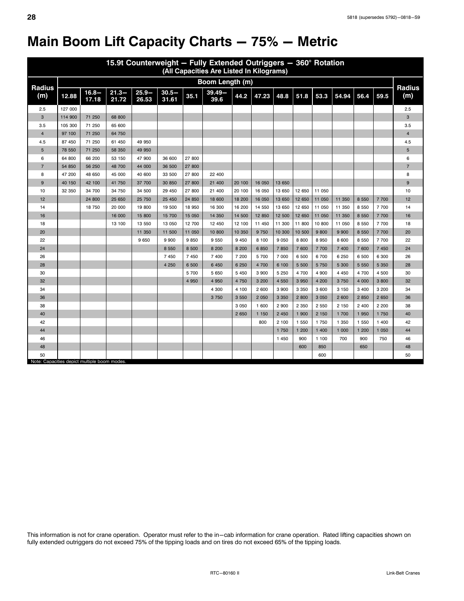#### 15.9t Counterweight - Fully Extended Outriggers - 360° Rotation **(All Capacities Are Listed In Kilograms) Radius (m) Boom Length (m)**<br>| 39.49 - | 44.0 | 47.28 | 48.0 | 54.0 | 58.0 | 54.0 | 55.4 | 56.5 | 56.0 | (m) 12.88 **16.8- 21.3- 25.9- 20.5- 21.5- 25.9- 12.5-1 20.5-1 20.49- 14.2 47.23 48.8 51.8 51.8 53.3 54.94 56.4 56.4 59.5 (m) 17.18 21.3- 21.72 25.9- 26.53 30.5- 31.61 35.1 39.49- 39.6 44.2 47.23 48.8 51.8 53.3 54.94 56.4 59.5** 2.5 127 000 2.5 3 114 900 71 250 68 800 3 3.5 | 105 300 | 71 250 | 65 600 | | | | | | | | | | | | | | | | | | | | | | 3.5 4 97 100 71 250 64 750 4 4.5 87 450 71 250 61 450 49 950 4.5 5 78 550 71 250 58 350 49 950 5 6 64 800 66 200 53 150 47 900 36 600 27 800 6 7 | 54 850 | 56 250 | 48 700 | 44 000 | 36 500 |27 800 | | | | | | | | | | | | | | 7 8 47 200 48 650 45 000 40 600 33 500 27 800 22 400 8 9 | 40 150 | 42 100 | 41 750 | 37 700 | 30 850 |27 800 | 21 400 |20 100 | 16 050 | 13 650 | | | | | 9 10 | 32 350 | 34 700 | 34 750 | 34 500 | 29 450 |27 800 | 21 400 | 20 100 | 16 050 | 13 650 | 12 650 | 11 050 | 1 12 24 800 25 650 25 750 25 450 24 850 18 600 18 200 16 050 13 650 12 650 11 050 11 350 8 550 7 700 12 14 | | 18 750 | 20 000 | 19 800 | 19 500 |18 950 | 16 300 |16 200 |14 550 |13 650 |12 650 |11 050 | 11 350 | 8 550 | 7 700 | 14 16 16 000 15 800 15 700 15 050 14 350 14 500 12 850 12 500 12 650 11 050 11 350 8 550 7 700 16 18 | 13 100 | 13 550 | 13 050 |12 700 | 12 450 |11 450 |11 300 |11 300 |10 800 | 11 050 |8 550 |7 700 | 18 20 11 350 11 500 11 050 10 800 10 350 9 750 10 300 10 500 9 800 9 900 8 550 7 700 20 22 | | | | | 9650 | 9 900 | 9 850 | 9 550 | 9 450 | 8 070 | 8 800 | 8 950 | 8 600 | 8 550 | 7 700 | 22 24 | | | | | | 8550 8500 | 8200 8200 | 6850 | 7850 | 7600 | 7700 | 7400 | 7600 | 7450 | 24 26 | | | | | | | | 7 450 | 7 400 | 7 200 | 5 700 | 7 000 | 6 500 | 6 700 | 6 250 | 6 500 | 6 300 | 26 28 | | | | | | 4250 6500 6450 6250 4700 6100 5500 5750 5300 5550 5350 28 30 | | | | | | | 5700 | 5 650 | 5 450 | 5 250 | 4 700 | 4 450 | 4 700 | 4 500 | 30 32 | | | | | | | | | 4 950 | 4 950 | 4 750 | 3 200 | 4 550 | 3 950 | 4 200 | 3 750 | 4 000 | 3 800 | 32 34 | | | | | | | | | 4300 |4100 |2600 |3900 |3350 |3600 |3150 |3400 |3200 | 34 36 3 750 3 550 2 050 3 350 2 800 3 050 2 600 2 850 2 650 36 38 | | | | | | | | | |3050 |1600 |2 900 |2 350 |2 150 |2 400 |2 200 | 38 40 | | | | | | | | | 2650 | 1150 | 2450 | 1900 | 2 150 | 1700 | 1950 | 1 $750$  | 40 42 800 2 100 1 550 1 750 1 350 1 550 1 400 42 44 | | | | | | | | | | | | | | | | | 1750 | 1200 | 1000 | 1200 | 1050 | 44 46 | | | | | | | | | | | |1450 | 900 | 1100 | 700 | 900 | 750 | 46 48 | | | | | | | | | | | | | | | | 600 | 850 | | | | 48 50 600 50 te: Capacities depict multiple b

## <span id="page-33-0"></span>**Main Boom Lift Capacity Charts - 75% - Metric**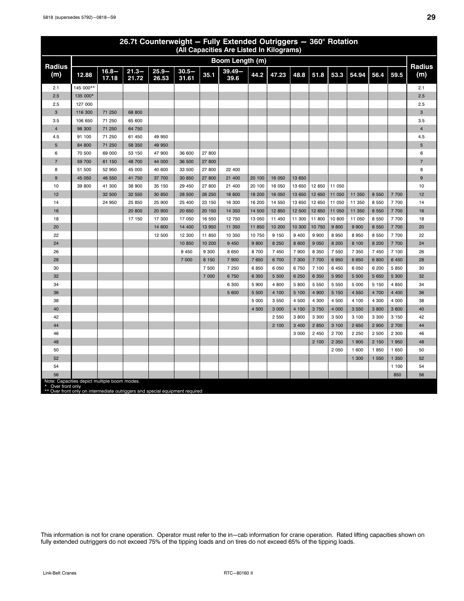<span id="page-34-0"></span>

| 26.7t Counterweight - Fully Extended Outriggers - 360° Rotation<br>(All Capacities Are Listed In Kilograms)                                       |                                                                                                                                                                                  |                   |                   |                   |                   |         |                 |                |                  |                |                    |                |                  |                    |                    |                      |
|---------------------------------------------------------------------------------------------------------------------------------------------------|----------------------------------------------------------------------------------------------------------------------------------------------------------------------------------|-------------------|-------------------|-------------------|-------------------|---------|-----------------|----------------|------------------|----------------|--------------------|----------------|------------------|--------------------|--------------------|----------------------|
|                                                                                                                                                   |                                                                                                                                                                                  |                   |                   |                   |                   |         | Boom Length (m) |                |                  |                |                    |                |                  |                    |                    |                      |
| <b>Radius</b><br>(m)                                                                                                                              | 12.88                                                                                                                                                                            | $16.8 -$<br>17.18 | $21.3 -$<br>21.72 | $25.9 -$<br>26.53 | $30.5 -$<br>31.61 | 35.1    | $39.49 - 39.6$  | 44.2           | 47.23            | 48.8           | 51.8               | 53.3           | 54.94            | 56.4               | 59.5               | <b>Radius</b><br>(m) |
| 2.1                                                                                                                                               | 145 000**                                                                                                                                                                        |                   |                   |                   |                   |         |                 |                |                  |                |                    |                |                  |                    |                    | 2.1                  |
| 2.5                                                                                                                                               | 135 000*                                                                                                                                                                         |                   |                   |                   |                   |         |                 |                |                  |                |                    |                |                  |                    |                    | 2.5                  |
| 2.5                                                                                                                                               | 127 000                                                                                                                                                                          |                   |                   |                   |                   |         |                 |                |                  |                |                    |                |                  |                    |                    | 2.5                  |
| 3                                                                                                                                                 | 116 300                                                                                                                                                                          | 71 250            | 68 800            |                   |                   |         |                 |                |                  |                |                    |                |                  |                    |                    | 3                    |
| 3.5                                                                                                                                               | 106 650                                                                                                                                                                          | 71 250            | 65 600            |                   |                   |         |                 |                |                  |                |                    |                |                  |                    |                    | 3.5                  |
| $\overline{4}$                                                                                                                                    | 98 300                                                                                                                                                                           | 71 250            | 64 750            |                   |                   |         |                 |                |                  |                |                    |                |                  |                    |                    | $\overline{4}$       |
| 4.5                                                                                                                                               | 91 100                                                                                                                                                                           | 71 250            | 61 450            | 49 950            |                   |         |                 |                |                  |                |                    |                |                  |                    |                    | 4.5                  |
| 5                                                                                                                                                 | 84 800                                                                                                                                                                           | 71 250            | 58 350            | 49 950            |                   |         |                 |                |                  |                |                    |                |                  |                    |                    | 5                    |
| 6                                                                                                                                                 | 70 500                                                                                                                                                                           | 69 000            | 53 150            | 47 900            | 36 600            | 27 800  |                 |                |                  |                |                    |                |                  |                    |                    | 6                    |
| $\overline{7}$                                                                                                                                    | 59 700                                                                                                                                                                           | 61 150            | 48 700            | 44 000            | 36 500            | 27 800  |                 |                |                  |                |                    |                |                  |                    |                    | $\overline{7}$       |
| 8                                                                                                                                                 | 51 500<br>52 950<br>45 000<br>40 600<br>33 500<br>27 800<br>22 400<br>8<br>16 050<br>45 050<br>46 550<br>41 750<br>37 700<br>30 850<br>27 800<br>21 400<br>20 100<br>13 650<br>9 |                   |                   |                   |                   |         |                 |                |                  |                |                    |                |                  |                    |                    |                      |
| 9                                                                                                                                                 |                                                                                                                                                                                  |                   |                   |                   |                   |         |                 |                |                  |                |                    |                |                  |                    |                    |                      |
| 10                                                                                                                                                | 39 800                                                                                                                                                                           | 41 300            | 38 900            | 35 150            | 29 450            | 27 800  | 21 400          | 20 100         | 16 050           | 13 650         | 12 650             | 11 050         |                  |                    |                    | 10                   |
| 12                                                                                                                                                |                                                                                                                                                                                  | 32 500            | 32 550            | 30 850            | 28 500            | 26 250  | 18 600          | 18 200         | 16 050           | 13 650         | 12 650             | 11 050         | 11 350           | 8 5 5 0            | 7 700              | 12                   |
| 14                                                                                                                                                |                                                                                                                                                                                  | 24 950            | 25 850            | 25 900            | 25 400            | 23 150  | 16 300          | 16 200         | 14 550           | 13 650         | 12 650             | 11 050         | 11 350           | 8 5 5 0            | 7 700              | 14                   |
| 16                                                                                                                                                |                                                                                                                                                                                  |                   | 20 800            | 20 900            | 20 650            | 20 150  | 14 350          | 14 500         | 12 850           | 12 500         | 12 650             | 11 050         | 11 350           | 8 5 5 0            | 7 700              | 16                   |
| 18                                                                                                                                                |                                                                                                                                                                                  |                   | 17 150            | 17 300            | 17 050            | 16 550  | 12 750          | 13 050         | 11 450           | 11 300         | 11 800             | 10 800         | 11 050           | 8 5 5 0            | 7 700              | 18                   |
| 20                                                                                                                                                |                                                                                                                                                                                  |                   |                   | 14 600            | 14 400            | 13 950  | 11 350          | 11 850         | 10 200           | 10 300         | 10 750             | 9800           | 9 9 0 0          | 8 5 5 0            | 7 700              | 20                   |
| 22                                                                                                                                                |                                                                                                                                                                                  |                   |                   | 12 500            | 12 300            | 11 850  | 10 350          | 10 750         | 9 1 5 0          | 9 4 0 0        | 9 9 0 0            | 8 9 5 0        | 8 9 5 0          | 8 5 5 0            | 7 700              | 22                   |
| 24                                                                                                                                                |                                                                                                                                                                                  |                   |                   |                   | 10 850            | 10 200  | 9 4 5 0         | 9 800          | 8 2 5 0          | 8 600          | 9 0 5 0            | 8 200          | 8 100            | 8 200              | 7 700              | 24                   |
| 26                                                                                                                                                |                                                                                                                                                                                  |                   |                   |                   | 9 4 5 0           | 9 3 0 0 | 8 6 5 0         | 8 700          | 7 450            | 7 900          | 8 3 5 0            | 7 5 5 0        | 7 3 5 0          | 7 4 5 0            | 7 100              | 26                   |
| 28                                                                                                                                                |                                                                                                                                                                                  |                   |                   |                   | 7 000             | 8 1 5 0 | 7 900           | 7 6 5 0        | 6 700            | 7 300          | 7 700              | 6 9 5 0        | 6 6 5 0          | 6 800              | 6 4 5 0            | 28                   |
| 30                                                                                                                                                |                                                                                                                                                                                  |                   |                   |                   |                   | 7 500   | 7 2 5 0         | 6850           | 6 0 5 0          | 6750           | 7 100              | 6 4 5 0        | 6 0 5 0          | 6 200              | 5 8 5 0            | 30                   |
| 32                                                                                                                                                |                                                                                                                                                                                  |                   |                   |                   |                   | 7 000   | 6750            | 6 3 5 0        | 5 500            | 6 250          | 6 3 5 0<br>5 5 5 0 | 5 9 5 0        | 5 500            | 5 6 5 0<br>5 1 5 0 | 5 300              | 32                   |
| 34                                                                                                                                                |                                                                                                                                                                                  |                   |                   |                   |                   |         | 6 300           | 5 900          | 4 800            | 5 800          | 4 900              | 5 5 5 0        | 5 0 0 0          |                    | 4 8 5 0            | 34                   |
| 36                                                                                                                                                |                                                                                                                                                                                  |                   |                   |                   |                   |         | 5 600           | 5 500          | 4 100            | 5 100          | 4 300              | 5 1 5 0        | 4 5 5 0          | 4 700              | 4 4 0 0<br>4 0 0 0 | 36                   |
| 38                                                                                                                                                |                                                                                                                                                                                  |                   |                   |                   |                   |         |                 | 5 000<br>4 500 | 3 5 5 0<br>3 000 | 4 500<br>4 150 | 3750               | 4 500<br>4 000 | 4 100<br>3 5 5 0 | 4 300<br>3 800     | 3 600              | 38<br>40             |
| 40<br>42                                                                                                                                          |                                                                                                                                                                                  |                   |                   |                   |                   |         |                 |                | 2 550            | 3800           | 3 3 0 0            | 3 500          | 3 100            | 3 3 0 0            | 3 1 5 0            | 42                   |
| 44                                                                                                                                                |                                                                                                                                                                                  |                   |                   |                   |                   |         |                 |                | 2 100            | 3 4 0 0        | 2 8 5 0            | 3 100          | 2 6 5 0          | 2 900              | 2 700              | 44                   |
| 46                                                                                                                                                |                                                                                                                                                                                  |                   |                   |                   |                   |         |                 |                |                  | 3 000          | 2 4 5 0            | 2 700          | 2 2 5 0          | 2 500              | 2 300              | 46                   |
| 48                                                                                                                                                |                                                                                                                                                                                  |                   |                   |                   |                   |         |                 |                |                  |                | 2 100              | 2 3 5 0        | 1 900            | 2 150              | 1 9 5 0            | 48                   |
| 50                                                                                                                                                |                                                                                                                                                                                  |                   |                   |                   |                   |         |                 |                |                  |                |                    | 2 0 5 0        | 1 600            | 1850               | 1 650              | 50                   |
| 52                                                                                                                                                |                                                                                                                                                                                  |                   |                   |                   |                   |         |                 |                |                  |                |                    |                | 1 300            | 1 550              | 1 350              | 52                   |
| 54                                                                                                                                                |                                                                                                                                                                                  |                   |                   |                   |                   |         |                 |                |                  |                |                    |                |                  |                    | 1 100              | 54                   |
| 56                                                                                                                                                |                                                                                                                                                                                  |                   |                   |                   |                   |         |                 |                |                  |                |                    |                |                  |                    | 850                | 56                   |
| Note: Capacities depict multiple boom modes.<br>* Over front only<br>** Over front only on intermediate outriggers and special equipment required |                                                                                                                                                                                  |                   |                   |                   |                   |         |                 |                |                  |                |                    |                |                  |                    |                    |                      |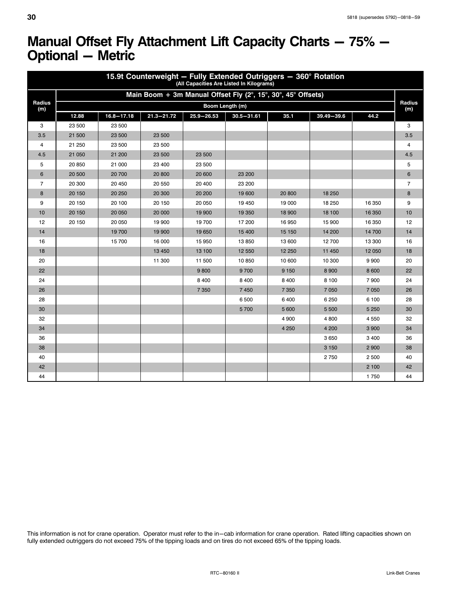## <span id="page-35-0"></span>**Manual Offset Fly Attachment Lift Capacity Charts - 75% -Optional - Metric**

|                      | 15.9t Counterweight - Fully Extended Outriggers - 360° Rotation<br>(All Capacities Are Listed In Kilograms)<br>Main Boom + 3m Manual Offset Fly (2°, 15°, 30°, 45° Offsets) |                |                |                |                 |         |            |         |                      |  |  |  |
|----------------------|-----------------------------------------------------------------------------------------------------------------------------------------------------------------------------|----------------|----------------|----------------|-----------------|---------|------------|---------|----------------------|--|--|--|
|                      |                                                                                                                                                                             |                |                |                |                 |         |            |         |                      |  |  |  |
| <b>Radius</b><br>(m) |                                                                                                                                                                             |                |                |                | Boom Length (m) |         |            |         | <b>Radius</b><br>(m) |  |  |  |
|                      | 12.88                                                                                                                                                                       | $16.8 - 17.18$ | $21.3 - 21.72$ | $25.9 - 26.53$ | $30.5 - 31.61$  | 35.1    | 39.49-39.6 | 44.2    |                      |  |  |  |
| 3                    | 23 500                                                                                                                                                                      | 23 500         |                |                |                 |         |            |         | 3                    |  |  |  |
| 3.5                  | 21 500                                                                                                                                                                      | 23 500         | 23 500         |                |                 |         |            |         | 3.5                  |  |  |  |
| 4                    | 21 250                                                                                                                                                                      | 23 500         | 23 500         |                |                 |         |            |         | 4                    |  |  |  |
| 4.5                  | 21 050                                                                                                                                                                      | 21 200         | 23 500         | 23 500         |                 |         |            |         | 4.5                  |  |  |  |
| 5                    | 20 850                                                                                                                                                                      | 21 000         | 23 400         | 23 500         |                 |         |            |         | 5                    |  |  |  |
| 6                    | 20 500                                                                                                                                                                      | 20 700         | 20 800         | 20 600         | 23 200          |         |            |         | 6                    |  |  |  |
| $\overline{7}$       | 20 300                                                                                                                                                                      | 20 450         | 20 550         | 20 400         | 23 200          |         |            |         | $\overline{7}$       |  |  |  |
| 8                    | 20 150                                                                                                                                                                      | 20 250         | 20 300         | 20 200         | 19 600          | 20 800  | 18 250     |         | 8                    |  |  |  |
| 9                    | 20 150                                                                                                                                                                      | 20 100         | 20 150         | 20 050         | 19 450          | 19 000  | 18 250     | 16 350  | 9                    |  |  |  |
| 10                   | 20 150                                                                                                                                                                      | 20 050         | 20 000         | 19 900         | 19 350          | 18 900  | 18 100     | 16 350  | 10                   |  |  |  |
| 12                   | 20 150                                                                                                                                                                      | 20 050         | 19 900         | 19700          | 17 200          | 16 950  | 15 900     | 16 350  | 12                   |  |  |  |
| 14                   |                                                                                                                                                                             | 19700          | 19 900         | 19 650         | 15 400          | 15 150  | 14 200     | 14 700  | 14                   |  |  |  |
| 16                   |                                                                                                                                                                             | 15700          | 16 000         | 15 950         | 13850           | 13 600  | 12700      | 13 300  | 16                   |  |  |  |
| 18                   |                                                                                                                                                                             |                | 13 450         | 13 100         | 12 550          | 12 250  | 11 450     | 12 050  | 18                   |  |  |  |
| 20                   |                                                                                                                                                                             |                | 11 300         | 11 500         | 10850           | 10 600  | 10 300     | 9900    | 20                   |  |  |  |
| 22                   |                                                                                                                                                                             |                |                | 9800           | 9700            | 9 1 5 0 | 8 9 0 0    | 8 600   | 22                   |  |  |  |
| 24                   |                                                                                                                                                                             |                |                | 8 4 0 0        | 8 4 0 0         | 8 4 0 0 | 8 100      | 7900    | 24                   |  |  |  |
| 26                   |                                                                                                                                                                             |                |                | 7 3 5 0        | 7 4 5 0         | 7 3 5 0 | 7 0 5 0    | 7 0 5 0 | 26                   |  |  |  |
| 28                   |                                                                                                                                                                             |                |                |                | 6500            | 6400    | 6 2 5 0    | 6 100   | 28                   |  |  |  |
| 30                   |                                                                                                                                                                             |                |                |                | 5700            | 5 600   | 5 500      | 5 2 5 0 | 30                   |  |  |  |
| 32                   |                                                                                                                                                                             |                |                |                |                 | 4 900   | 4800       | 4550    | 32                   |  |  |  |
| 34                   |                                                                                                                                                                             |                |                |                |                 | 4 2 5 0 | 4 200      | 3 9 0 0 | 34                   |  |  |  |
| 36                   |                                                                                                                                                                             |                |                |                |                 |         | 3650       | 3 4 0 0 | 36                   |  |  |  |
| 38                   |                                                                                                                                                                             |                |                |                |                 |         | 3 1 5 0    | 2 9 0 0 | 38                   |  |  |  |
| 40                   |                                                                                                                                                                             |                |                |                |                 |         | 2750       | 2 500   | 40                   |  |  |  |
| 42                   |                                                                                                                                                                             |                |                |                |                 |         |            | 2 100   | 42                   |  |  |  |
| 44                   |                                                                                                                                                                             |                |                |                |                 |         |            | 1750    | 44                   |  |  |  |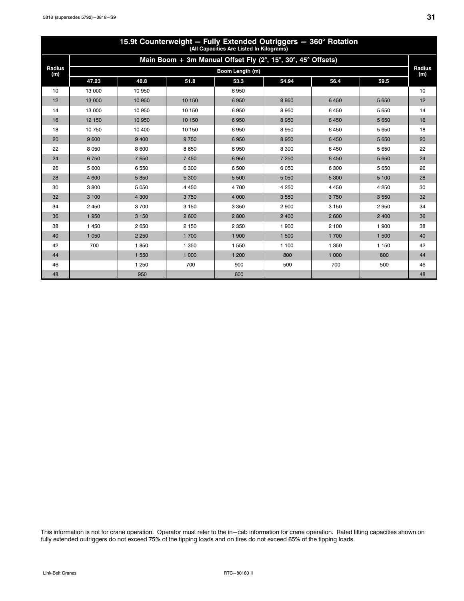<span id="page-36-0"></span>

|        | 15.9t Counterweight - Fully Extended Outriggers - 360° Rotation<br>(All Capacities Are Listed In Kilograms)<br>Main Boom + 3m Manual Offset Fly (2°, 15°, 30°, 45° Offsets) |         |         |                 |         |         |         |        |  |  |  |  |  |
|--------|-----------------------------------------------------------------------------------------------------------------------------------------------------------------------------|---------|---------|-----------------|---------|---------|---------|--------|--|--|--|--|--|
| Radius |                                                                                                                                                                             |         |         | Boom Length (m) |         |         |         | Radius |  |  |  |  |  |
| (m)    | 47.23                                                                                                                                                                       | 48.8    | 51.8    | 53.3            | 54.94   | 56.4    | 59.5    | (m)    |  |  |  |  |  |
| 10     | 13 000                                                                                                                                                                      | 10 950  |         | 6950            |         |         |         | 10     |  |  |  |  |  |
| 12     | 13 000                                                                                                                                                                      | 10 950  | 10 150  | 6950            | 8950    | 6 4 5 0 | 5 6 5 0 | 12     |  |  |  |  |  |
| 14     | 13 000                                                                                                                                                                      | 10 950  | 10 150  | 6950            | 8950    | 6450    | 5 6 5 0 | 14     |  |  |  |  |  |
| 16     | 12 150                                                                                                                                                                      | 10 950  | 10 150  | 6950            | 8950    | 6 4 5 0 | 5 6 5 0 | 16     |  |  |  |  |  |
| 18     | 10750                                                                                                                                                                       | 10 400  | 10 150  | 6950            | 8950    | 6450    | 5 6 5 0 | 18     |  |  |  |  |  |
| 20     | 9600                                                                                                                                                                        | 9 4 0 0 | 9750    | 6950            | 8950    | 6 4 5 0 | 5 6 5 0 | 20     |  |  |  |  |  |
| 22     | 8 0 5 0                                                                                                                                                                     | 8600    | 8 6 5 0 | 6950            | 8 3 0 0 | 6450    | 5 6 5 0 | 22     |  |  |  |  |  |
| 24     | 6750                                                                                                                                                                        | 7650    | 7 4 5 0 | 6950            | 7 2 5 0 | 6 4 5 0 | 5 6 5 0 | 24     |  |  |  |  |  |
| 26     | 5 600                                                                                                                                                                       | 6550    | 6 300   | 6 500           | 6050    | 6 3 0 0 | 5 6 5 0 | 26     |  |  |  |  |  |
| 28     | 4 600                                                                                                                                                                       | 5850    | 5 300   | 5 500           | 5 0 5 0 | 5 300   | 5 100   | 28     |  |  |  |  |  |
| 30     | 3800                                                                                                                                                                        | 5 0 5 0 | 4 4 5 0 | 4700            | 4 2 5 0 | 4 4 5 0 | 4 2 5 0 | 30     |  |  |  |  |  |
| 32     | 3 100                                                                                                                                                                       | 4 300   | 3750    | 4 0 0 0         | 3550    | 3750    | 3 5 5 0 | 32     |  |  |  |  |  |
| 34     | 2 4 5 0                                                                                                                                                                     | 3700    | 3 1 5 0 | 3 3 5 0         | 2900    | 3 1 5 0 | 2950    | 34     |  |  |  |  |  |
| 36     | 1950                                                                                                                                                                        | 3 1 5 0 | 2 600   | 2800            | 2 4 0 0 | 2 600   | 2 4 0 0 | 36     |  |  |  |  |  |
| 38     | 1 4 5 0                                                                                                                                                                     | 2650    | 2 1 5 0 | 2 3 5 0         | 1 900   | 2 100   | 1 900   | 38     |  |  |  |  |  |
| 40     | 1 0 5 0                                                                                                                                                                     | 2 2 5 0 | 1 700   | 1 900           | 1 500   | 1700    | 1 500   | 40     |  |  |  |  |  |
| 42     | 700                                                                                                                                                                         | 1850    | 1 3 5 0 | 1 550           | 1 100   | 1 3 5 0 | 1 150   | 42     |  |  |  |  |  |
| 44     |                                                                                                                                                                             | 1 5 5 0 | 1 0 0 0 | 1 200           | 800     | 1 000   | 800     | 44     |  |  |  |  |  |
| 46     |                                                                                                                                                                             | 1 2 5 0 | 700     | 900             | 500     | 700     | 500     | 46     |  |  |  |  |  |
| 48     |                                                                                                                                                                             | 950     |         | 600             |         |         |         | 48     |  |  |  |  |  |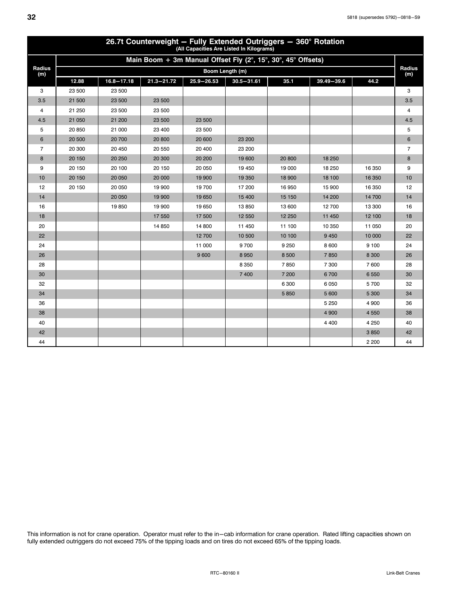<span id="page-37-0"></span>

|                | 26.7t Counterweight - Fully Extended Outriggers - 360° Rotation<br>(All Capacities Are Listed In Kilograms)<br>Main Boom + 3m Manual Offset Fly (2°, 15°, 30°, 45° Offsets) |                |                |                |                 |         |            |         |                |  |  |  |  |
|----------------|-----------------------------------------------------------------------------------------------------------------------------------------------------------------------------|----------------|----------------|----------------|-----------------|---------|------------|---------|----------------|--|--|--|--|
|                |                                                                                                                                                                             |                |                |                |                 |         |            |         |                |  |  |  |  |
| Radius<br>(m)  |                                                                                                                                                                             |                |                |                | Boom Length (m) |         |            |         | Radius<br>(m)  |  |  |  |  |
|                | 12.88                                                                                                                                                                       | $16.8 - 17.18$ | $21.3 - 21.72$ | $25.9 - 26.53$ | $30.5 - 31.61$  | 35.1    | 39.49-39.6 | 44.2    |                |  |  |  |  |
| 3              | 23 500                                                                                                                                                                      | 23 500         |                |                |                 |         |            |         | 3              |  |  |  |  |
| 3.5            | 21 500                                                                                                                                                                      | 23 500         | 23 500         |                |                 |         |            |         | 3.5            |  |  |  |  |
| $\overline{4}$ | 21 250                                                                                                                                                                      | 23 500         | 23 500         |                |                 |         |            |         | $\overline{4}$ |  |  |  |  |
| 4.5            | 21 050                                                                                                                                                                      | 21 200         | 23 500         | 23 500         |                 |         |            |         | 4.5            |  |  |  |  |
| 5              | 20 850                                                                                                                                                                      | 21 000         | 23 400         | 23 500         |                 |         |            |         | 5              |  |  |  |  |
| 6              | 20 500                                                                                                                                                                      | 20 700         | 20 800         | 20 600         | 23 200          |         |            |         | 6              |  |  |  |  |
| $\overline{7}$ | 20 300                                                                                                                                                                      | 20 450         | 20 550         | 20 400         | 23 200          |         |            |         | $\overline{7}$ |  |  |  |  |
| 8              | 20 150                                                                                                                                                                      | 20 250         | 20 300         | 20 200         | 19 600          | 20 800  | 18 250     |         | 8              |  |  |  |  |
| 9              | 20 150                                                                                                                                                                      | 20 100         | 20 150         | 20 050         | 19 450          | 19 000  | 18 250     | 16 350  | 9              |  |  |  |  |
| 10             | 20 150                                                                                                                                                                      | 20 050         | 20 000         | 19 900         | 19 350          | 18 900  | 18 100     | 16 350  | 10             |  |  |  |  |
| 12             | 20 150                                                                                                                                                                      | 20 050         | 19 900         | 19700          | 17 200          | 16 950  | 15 900     | 16 350  | 12             |  |  |  |  |
| 14             |                                                                                                                                                                             | 20 050         | 19 900         | 19650          | 15 400          | 15 150  | 14 200     | 14 700  | 14             |  |  |  |  |
| 16             |                                                                                                                                                                             | 19850          | 19 900         | 19650          | 13850           | 13 600  | 12700      | 13 300  | 16             |  |  |  |  |
| 18             |                                                                                                                                                                             |                | 17 550         | 17500          | 12 550          | 12 250  | 11 450     | 12 100  | 18             |  |  |  |  |
| 20             |                                                                                                                                                                             |                | 14 850         | 14 800         | 11 450          | 11 100  | 10 350     | 11 050  | 20             |  |  |  |  |
| 22             |                                                                                                                                                                             |                |                | 12700          | 10 500          | 10 100  | 9 4 5 0    | 10 000  | 22             |  |  |  |  |
| 24             |                                                                                                                                                                             |                |                | 11 000         | 9700            | 9 2 5 0 | 8 600      | 9 100   | 24             |  |  |  |  |
| 26             |                                                                                                                                                                             |                |                | 9 600          | 8950            | 8 500   | 7850       | 8 3 0 0 | 26             |  |  |  |  |
| 28             |                                                                                                                                                                             |                |                |                | 8 3 5 0         | 7850    | 7 300      | 7600    | 28             |  |  |  |  |
| 30             |                                                                                                                                                                             |                |                |                | 7 4 0 0         | 7 200   | 6700       | 6 5 5 0 | 30             |  |  |  |  |
| 32             |                                                                                                                                                                             |                |                |                |                 | 6 300   | 6050       | 5700    | 32             |  |  |  |  |
| 34             |                                                                                                                                                                             |                |                |                |                 | 5850    | 5 600      | 5 300   | 34             |  |  |  |  |
| 36             |                                                                                                                                                                             |                |                |                |                 |         | 5 2 5 0    | 4 9 0 0 | 36             |  |  |  |  |
| 38             |                                                                                                                                                                             |                |                |                |                 |         | 4 9 0 0    | 4 5 5 0 | 38             |  |  |  |  |
| 40             |                                                                                                                                                                             |                |                |                |                 |         | 4 4 0 0    | 4 2 5 0 | 40             |  |  |  |  |
| 42             |                                                                                                                                                                             |                |                |                |                 |         |            | 3850    | 42             |  |  |  |  |
| 44             |                                                                                                                                                                             |                |                |                |                 |         |            | 2 2 0 0 | 44             |  |  |  |  |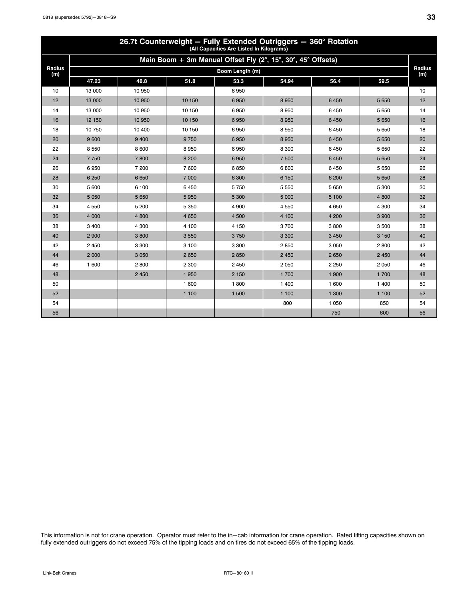<span id="page-38-0"></span>

|               | 26.7t Counterweight - Fully Extended Outriggers - 360° Rotation<br>(All Capacities Are Listed In Kilograms)<br>Main Boom + 3m Manual Offset Fly (2°, 15°, 30°, 45° Offsets) |         |         |                 |         |         |         |               |  |  |  |  |  |
|---------------|-----------------------------------------------------------------------------------------------------------------------------------------------------------------------------|---------|---------|-----------------|---------|---------|---------|---------------|--|--|--|--|--|
|               |                                                                                                                                                                             |         |         |                 |         |         |         |               |  |  |  |  |  |
| Radius<br>(m) |                                                                                                                                                                             |         |         | Boom Length (m) |         |         |         | Radius<br>(m) |  |  |  |  |  |
|               | 47.23                                                                                                                                                                       | 48.8    | 51.8    | 53.3            | 54.94   | 56.4    | 59.5    |               |  |  |  |  |  |
| 10            | 13 000                                                                                                                                                                      | 10 950  |         | 6950            |         |         |         | 10            |  |  |  |  |  |
| 12            | 13 000                                                                                                                                                                      | 10 950  | 10 150  | 6950            | 8950    | 6 4 5 0 | 5 6 5 0 | 12            |  |  |  |  |  |
| 14            | 13 000                                                                                                                                                                      | 10 950  | 10 150  | 6950            | 8950    | 6450    | 5 6 5 0 | 14            |  |  |  |  |  |
| 16            | 12 150                                                                                                                                                                      | 10 950  | 10 150  | 6950            | 8950    | 6 4 5 0 | 5 6 5 0 | 16            |  |  |  |  |  |
| 18            | 10750                                                                                                                                                                       | 10 400  | 10 150  | 6950            | 8950    | 6450    | 5 6 5 0 | 18            |  |  |  |  |  |
| 20            | 9600                                                                                                                                                                        | 9 4 0 0 | 9750    | 6950            | 8950    | 6 4 5 0 | 5 6 5 0 | 20            |  |  |  |  |  |
| 22            | 8550                                                                                                                                                                        | 8 600   | 8950    | 6950            | 8 3 0 0 | 6450    | 5650    | 22            |  |  |  |  |  |
| 24            | 7750                                                                                                                                                                        | 7800    | 8 2 0 0 | 6950            | 7 500   | 6 4 5 0 | 5 6 5 0 | 24            |  |  |  |  |  |
| 26            | 6950                                                                                                                                                                        | 7 200   | 7600    | 6850            | 6800    | 6 4 5 0 | 5650    | 26            |  |  |  |  |  |
| 28            | 6 2 5 0                                                                                                                                                                     | 6650    | 7 0 0 0 | 6 300           | 6 1 5 0 | 6 200   | 5 6 5 0 | 28            |  |  |  |  |  |
| 30            | 5 600                                                                                                                                                                       | 6 100   | 6450    | 5750            | 5 5 5 0 | 5 6 5 0 | 5 300   | 30            |  |  |  |  |  |
| 32            | 5 0 5 0                                                                                                                                                                     | 5 6 5 0 | 5 9 5 0 | 5 300           | 5 0 0 0 | 5 100   | 4 800   | 32            |  |  |  |  |  |
| 34            | 4 5 5 0                                                                                                                                                                     | 5 200   | 5 3 5 0 | 4 9 0 0         | 4 5 5 0 | 4650    | 4 300   | 34            |  |  |  |  |  |
| 36            | 4 0 0 0                                                                                                                                                                     | 4 800   | 4 6 5 0 | 4 500           | 4 100   | 4 200   | 3 9 0 0 | 36            |  |  |  |  |  |
| 38            | 3 4 0 0                                                                                                                                                                     | 4 300   | 4 100   | 4 1 5 0         | 3700    | 3800    | 3500    | 38            |  |  |  |  |  |
| 40            | 2 9 0 0                                                                                                                                                                     | 3800    | 3 5 5 0 | 3750            | 3 3 0 0 | 3 4 5 0 | 3 1 5 0 | 40            |  |  |  |  |  |
| 42            | 2 4 5 0                                                                                                                                                                     | 3 3 0 0 | 3 100   | 3 3 0 0         | 2850    | 3 0 5 0 | 2800    | 42            |  |  |  |  |  |
| 44            | 2 0 0 0                                                                                                                                                                     | 3 0 5 0 | 2 6 5 0 | 2850            | 2 4 5 0 | 2 6 5 0 | 2 4 5 0 | 44            |  |  |  |  |  |
| 46            | 1 600                                                                                                                                                                       | 2800    | 2 3 0 0 | 2 4 5 0         | 2 0 5 0 | 2 2 5 0 | 2 0 5 0 | 46            |  |  |  |  |  |
| 48            |                                                                                                                                                                             | 2 4 5 0 | 1 9 5 0 | 2 1 5 0         | 1700    | 1 900   | 1700    | 48            |  |  |  |  |  |
| 50            |                                                                                                                                                                             |         | 1 600   | 1800            | 1 400   | 1 600   | 1 400   | 50            |  |  |  |  |  |
| 52            |                                                                                                                                                                             |         | 1 100   | 1 500           | 1 100   | 1 300   | 1 100   | 52            |  |  |  |  |  |
| 54            |                                                                                                                                                                             |         |         |                 | 800     | 1 0 5 0 | 850     | 54            |  |  |  |  |  |
| 56            |                                                                                                                                                                             |         |         |                 |         | 750     | 600     | 56            |  |  |  |  |  |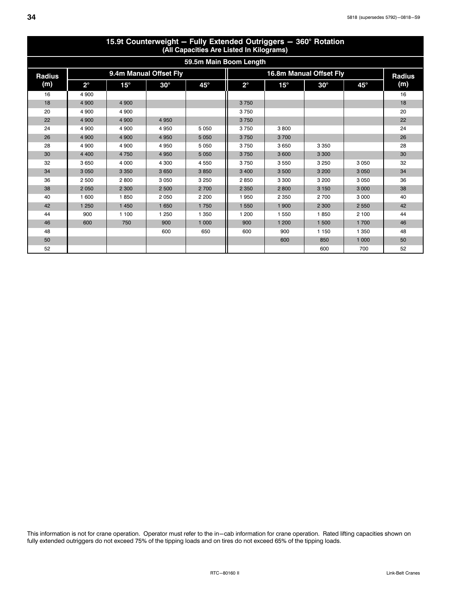<span id="page-39-0"></span>

|               | 15.9t Counterweight - Fully Extended Outriggers - 360° Rotation<br>(All Capacities Are Listed In Kilograms) |            |                        |                        |             |            |                         |              |               |  |  |  |
|---------------|-------------------------------------------------------------------------------------------------------------|------------|------------------------|------------------------|-------------|------------|-------------------------|--------------|---------------|--|--|--|
|               |                                                                                                             |            |                        | 59.5m Main Boom Length |             |            |                         |              |               |  |  |  |
| <b>Radius</b> |                                                                                                             |            | 9.4m Manual Offset Fly |                        |             |            | 16.8m Manual Offset Fly |              | <b>Radius</b> |  |  |  |
| (m)           | $2^{\circ}$                                                                                                 | $15^\circ$ | $30^\circ$             | $45^{\circ}$           | $2^{\circ}$ | $15^\circ$ | $30^\circ$              | $45^{\circ}$ | (m)           |  |  |  |
| 16            | 4 9 0 0                                                                                                     |            |                        |                        |             |            |                         |              | 16            |  |  |  |
| 18            | 4 9 0 0                                                                                                     | 4 900      |                        |                        | 3750        |            |                         |              | 18            |  |  |  |
| 20            | 4 9 0 0                                                                                                     | 4 9 0 0    |                        |                        | 3750        |            |                         |              | 20            |  |  |  |
| 22            | 4 9 0 0                                                                                                     | 4 9 0 0    | 4 9 5 0                |                        | 3750        |            |                         |              | 22            |  |  |  |
| 24            | 4 9 0 0                                                                                                     | 4 9 0 0    | 4 9 5 0                | 5 0 5 0                | 3750        | 3800       |                         |              | 24            |  |  |  |
| 26            | 4 9 0 0                                                                                                     | 4 9 0 0    | 4 9 5 0                | 5 0 5 0                | 3750        | 3700       |                         |              | 26            |  |  |  |
| 28            | 4 9 0 0                                                                                                     | 4 9 0 0    | 4 9 5 0                | 5 0 5 0                | 3750        | 3650       | 3 3 5 0                 |              | 28            |  |  |  |
| 30            | 4 4 0 0                                                                                                     | 4 7 5 0    | 4 9 5 0                | 5 0 5 0                | 3750        | 3600       | 3 3 0 0                 |              | 30            |  |  |  |
| 32            | 3650                                                                                                        | 4 0 0 0    | 4 3 0 0                | 4550                   | 3750        | 3550       | 3 2 5 0                 | 3 0 5 0      | 32            |  |  |  |
| 34            | 3 0 5 0                                                                                                     | 3 3 5 0    | 3650                   | 3850                   | 3 4 0 0     | 3500       | 3 200                   | 3 0 5 0      | 34            |  |  |  |
| 36            | 2 500                                                                                                       | 2800       | 3 0 5 0                | 3 2 5 0                | 2850        | 3 3 0 0    | 3 200                   | 3 0 5 0      | 36            |  |  |  |
| 38            | 2 0 5 0                                                                                                     | 2 3 0 0    | 2 500                  | 2700                   | 2 3 5 0     | 2800       | 3 1 5 0                 | 3 0 0 0      | 38            |  |  |  |
| 40            | 1 600                                                                                                       | 1850       | 2050                   | 2 2 0 0                | 1950        | 2 3 5 0    | 2 700                   | 3 0 0 0      | 40            |  |  |  |
| 42            | 1 2 5 0                                                                                                     | 1 4 5 0    | 1 6 5 0                | 1750                   | 1 5 5 0     | 1 900      | 2 3 0 0                 | 2 5 5 0      | 42            |  |  |  |
| 44            | 900                                                                                                         | 1 100      | 1 2 5 0                | 1 3 5 0                | 1 200       | 1 5 5 0    | 1850                    | 2 100        | 44            |  |  |  |
| 46            | 600                                                                                                         | 750        | 900                    | 1 0 0 0                | 900         | 1 200      | 1 500                   | 1 700        | 46            |  |  |  |
| 48            |                                                                                                             |            | 600                    | 650                    | 600         | 900        | 1 1 5 0                 | 1 3 5 0      | 48            |  |  |  |
| 50            |                                                                                                             |            |                        |                        |             | 600        | 850                     | 1 0 0 0      | 50            |  |  |  |
| 52            |                                                                                                             |            |                        |                        |             |            | 600                     | 700          | 52            |  |  |  |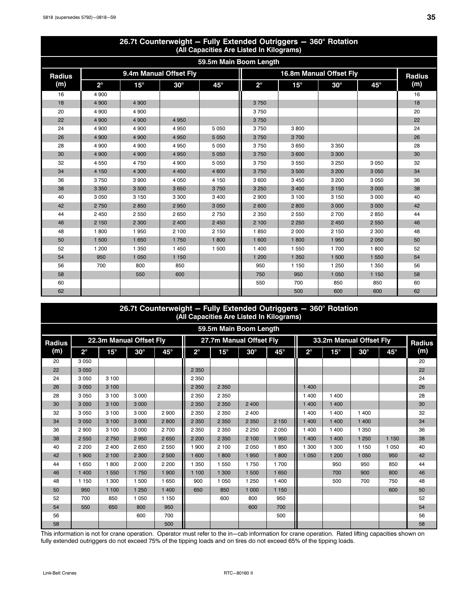<span id="page-40-0"></span>

| An Capachies Are Listed In Knograms) |             |                        |            |                        |             |            |                         |            |        |  |  |  |
|--------------------------------------|-------------|------------------------|------------|------------------------|-------------|------------|-------------------------|------------|--------|--|--|--|
|                                      |             |                        |            | 59.5m Main Boom Length |             |            |                         |            |        |  |  |  |
| <b>Radius</b>                        |             | 9.4m Manual Offset Fly |            |                        |             |            | 16.8m Manual Offset Fly |            | Radius |  |  |  |
| (m)                                  | $2^{\circ}$ | $15^\circ$             | $30^\circ$ | $45^\circ$             | $2^{\circ}$ | $15^\circ$ | $30^\circ$              | $45^\circ$ | (m)    |  |  |  |
| 16                                   | 4 9 0 0     |                        |            |                        |             |            |                         |            | 16     |  |  |  |
| 18                                   | 4 9 0 0     | 4 9 0 0                |            |                        | 3750        |            |                         |            | 18     |  |  |  |
| 20                                   | 4 9 0 0     | 4 9 0 0                |            |                        | 3750        |            |                         |            | 20     |  |  |  |
| 22                                   | 4 9 0 0     | 4 9 0 0                | 4 9 5 0    |                        | 3750        |            |                         |            | 22     |  |  |  |
| 24                                   | 4 9 0 0     | 4 9 0 0                | 4 9 5 0    | 5 0 5 0                | 3750        | 3800       |                         |            | 24     |  |  |  |
| 26                                   | 4 9 0 0     | 4 9 0 0                | 4 9 5 0    | 5 0 5 0                | 3750        | 3700       |                         |            | 26     |  |  |  |
| 28                                   | 4 9 0 0     | 4 9 0 0                | 4 9 5 0    | 5 0 5 0                | 3750        | 3650       | 3 3 5 0                 |            | 28     |  |  |  |
| 30                                   | 4 9 0 0     | 4 9 0 0                | 4 9 5 0    | 5 0 5 0                | 3750        | 3 600      | 3 3 0 0                 |            | 30     |  |  |  |
| 32                                   | 4550        | 4750                   | 4 9 0 0    | 5 0 5 0                | 3750        | 3550       | 3 2 5 0                 | 3 0 5 0    | 32     |  |  |  |
| 34                                   | 4 1 5 0     | 4 3 0 0                | 4 4 5 0    | 4 600                  | 3750        | 3500       | 3 200                   | 3 0 5 0    | 34     |  |  |  |
| 36                                   | 3750        | 3 9 0 0                | 4 0 5 0    | 4 1 5 0                | 3600        | 3 4 5 0    | 3 200                   | 3 0 5 0    | 36     |  |  |  |
| 38                                   | 3 3 5 0     | 3 500                  | 3 6 5 0    | 3750                   | 3 2 5 0     | 3 4 0 0    | 3 1 5 0                 | 3 0 0 0    | 38     |  |  |  |
| 40                                   | 3 0 5 0     | 3 1 5 0                | 3 3 0 0    | 3 4 0 0                | 2 9 0 0     | 3 100      | 3 1 5 0                 | 3 0 0 0    | 40     |  |  |  |
| 42                                   | 2750        | 2850                   | 2950       | 3 0 5 0                | 2 600       | 2800       | 3 0 0 0                 | 3 0 0 0    | 42     |  |  |  |
| 44                                   | 2 4 5 0     | 2 5 5 0                | 2650       | 2750                   | 2 3 5 0     | 2 5 5 0    | 2700                    | 2850       | 44     |  |  |  |
| 46                                   | 2 1 5 0     | 2 3 0 0                | 2 4 0 0    | 2 4 5 0                | 2 100       | 2 2 5 0    | 2 4 5 0                 | 2 5 5 0    | 46     |  |  |  |
| 48                                   | 1800        | 1950                   | 2 100      | 2 1 5 0                | 1850        | 2 0 0 0    | 2 1 5 0                 | 2 3 0 0    | 48     |  |  |  |
| 50                                   | 1 500       | 1 6 5 0                | 1750       | 1800                   | 1 600       | 1800       | 1950                    | 2 0 5 0    | 50     |  |  |  |
| 52                                   | 1 200       | 1 3 5 0                | 1 4 5 0    | 1 500                  | 1 400       | 1 550      | 1700                    | 1800       | 52     |  |  |  |
| 54                                   | 950         | 1 0 5 0                | 1 150      |                        | 1 200       | 1 3 5 0    | 1 500                   | 1 550      | 54     |  |  |  |
| 56                                   | 700         | 800                    | 850        |                        | 950         | 1 1 5 0    | 1 2 5 0                 | 1 3 5 0    | 56     |  |  |  |
| 58                                   |             | 550                    | 600        |                        | 750         | 950        | 1 0 5 0                 | 1 1 5 0    | 58     |  |  |  |
| 60                                   |             |                        |            |                        | 550         | 700        | 850                     | 850        | 60     |  |  |  |
| 62                                   |             |                        |            |                        |             | 500        | 600                     | 600        | 62     |  |  |  |

#### 26.7t Counterweight - Fully Extended Outriggers - 360° Rotation **(All Capacities Are Listed In Kilograms)**

#### 26.7t Counterweight **– Fully Extended Outriggers – 360° Rotatio**n **(All Capacities Are Listed In Kilograms)**

| 59.5m Main Boom Length |             |            |                         |              |             |                         |            |              |             |              |                         |            |               |
|------------------------|-------------|------------|-------------------------|--------------|-------------|-------------------------|------------|--------------|-------------|--------------|-------------------------|------------|---------------|
| Radius                 |             |            | 22.3m Manual Offset Fly |              |             | 27.7m Manual Offset Fly |            |              |             |              | 33.2m Manual Offset Fly |            | <b>Radius</b> |
| (m)                    | $2^{\circ}$ | $15^\circ$ | $30^\circ$              | $45^{\circ}$ | $2^{\circ}$ | $15^\circ$              | $30^\circ$ | $45^{\circ}$ | $2^{\circ}$ | $15^{\circ}$ | $30^\circ$              | $45^\circ$ | (m)           |
| 20                     | 3 0 5 0     |            |                         |              |             |                         |            |              |             |              |                         |            | 20            |
| 22                     | 3 0 5 0     |            |                         |              | 2 3 5 0     |                         |            |              |             |              |                         |            | 22            |
| 24                     | 3 0 5 0     | 3 100      |                         |              | 2 3 5 0     |                         |            |              |             |              |                         |            | 24            |
| 26                     | 3 0 5 0     | 3 100      |                         |              | 2 3 5 0     | 2 3 5 0                 |            |              | 1 400       |              |                         |            | 26            |
| 28                     | 3 0 5 0     | 3 100      | 3 0 0 0                 |              | 2 3 5 0     | 2 3 5 0                 |            |              | 1 400       | 1 400        |                         |            | 28            |
| 30                     | 3 0 5 0     | 3 100      | 3 0 0 0                 |              | 2 3 5 0     | 2 3 5 0                 | 2 4 0 0    |              | 1 400       | 1 400        |                         |            | 30            |
| 32                     | 3 0 5 0     | 3 100      | 3 0 0 0                 | 2900         | 2 3 5 0     | 2 3 5 0                 | 2 4 0 0    |              | 1 400       | 1 400        | 1 400                   |            | 32            |
| 34                     | 3 0 5 0     | 3 100      | 3 0 0 0                 | 2800         | 2 3 5 0     | 2 3 5 0                 | 2 3 5 0    | 2 1 5 0      | 1 400       | 1 400        | 1 400                   |            | 34            |
| 36                     | 2900        | 3 100      | 3 0 0 0                 | 2700         | 2 3 5 0     | 2 3 5 0                 | 2 2 5 0    | 2050         | 1 400       | 1 400        | 1 3 5 0                 |            | 36            |
| 38                     | 2 5 5 0     | 2750       | 2950                    | 2650         | 2 2 0 0     | 2 3 5 0                 | 2 100      | 1950         | 1 400       | 1 400        | 1 2 5 0                 | 1 1 5 0    | 38            |
| 40                     | 2 2 0 0     | 2 4 0 0    | 2650                    | 2 5 5 0      | 1 900       | 2 100                   | 2050       | 1850         | 1 300       | 1 300        | 1 1 5 0                 | 1 0 5 0    | 40            |
| 42                     | 1 900       | 2 100      | 2 3 0 0                 | 2 5 0 0      | 1 600       | 1800                    | 1950       | 1800         | 1 0 5 0     | 1 200        | 1 0 5 0                 | 950        | 42            |
| 44                     | 1650        | 1800       | 2 0 0 0                 | 2 2 0 0      | 1 350       | 1 550                   | 1750       | 1700         |             | 950          | 950                     | 850        | 44            |
| 46                     | 1 400       | 1 550      | 1750                    | 1 900        | 1 100       | 1 300                   | 1 500      | 1 6 5 0      |             | 700          | 900                     | 800        | 46            |
| 48                     | 1 1 5 0     | 1 300      | 1 500                   | 1650         | 900         | 1 0 5 0                 | 1 250      | 1 400        |             | 500          | 700                     | 750        | 48            |
| 50                     | 950         | 1 100      | 1 2 5 0                 | 1 400        | 650         | 850                     | 1 0 0 0    | 1 1 5 0      |             |              |                         | 600        | 50            |
| 52                     | 700         | 850        | 1 0 5 0                 | 1 1 5 0      |             | 600                     | 800        | 950          |             |              |                         |            | 52            |
| 54                     | 550         | 650        | 800                     | 950          |             |                         | 600        | 700          |             |              |                         |            | 54            |
| 56                     |             |            | 600                     | 700          |             |                         |            | 500          |             |              |                         |            | 56            |
| 58                     |             |            |                         | 500          |             |                         |            |              |             |              |                         |            | 58            |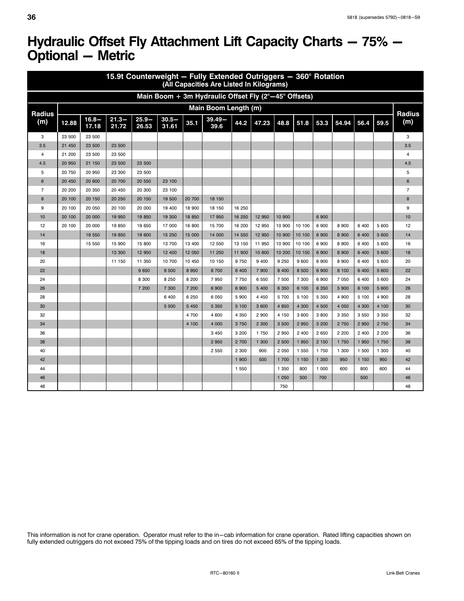## <span id="page-41-0"></span>Hydraulic Offset Fly Attachment Lift Capacity Charts - 75% -**Optional - Metric**

| 15.9t Counterweight - Fully Extended Outriggers - 360° Rotation<br>(All Capacities Are Listed In Kilograms) |        |                   |                   |                   |                   |         |                                                      |         |         |         |         |         |         |         |                |                      |
|-------------------------------------------------------------------------------------------------------------|--------|-------------------|-------------------|-------------------|-------------------|---------|------------------------------------------------------|---------|---------|---------|---------|---------|---------|---------|----------------|----------------------|
|                                                                                                             |        |                   |                   |                   |                   |         | Main Boom + 3m Hydraulic Offset Fly (2°-45° Offsets) |         |         |         |         |         |         |         |                |                      |
|                                                                                                             |        |                   |                   |                   |                   |         | Main Boom Length (m)                                 |         |         |         |         |         |         |         |                |                      |
| <b>Radius</b><br>(m)                                                                                        | 12.88  | $16.8 -$<br>17.18 | $21.3 -$<br>21.72 | $25.9 -$<br>26.53 | $30.5 -$<br>31.61 | 35.1    | $39.49 -$<br>39.6                                    | 44.2    | 47.23   | 48.8    | 51.8    | 53.3    | 54.94   | 56.4    | 59.5           | <b>Radius</b><br>(m) |
| 3                                                                                                           | 23 500 | 23 500            |                   |                   |                   |         |                                                      |         |         |         |         |         |         |         |                | 3                    |
| 3.5                                                                                                         | 21 450 | 23 500            | 23 500            |                   |                   |         |                                                      |         |         |         |         |         |         |         |                | 3.5                  |
| $\overline{4}$                                                                                              | 21 200 | 23 500            | 23 500            |                   |                   |         |                                                      |         |         |         |         |         |         |         |                | 4                    |
| 4.5                                                                                                         | 20 950 | 21 150            | 23 500            | 23 500            |                   |         |                                                      |         |         |         |         |         |         |         |                | 4.5                  |
| 5                                                                                                           | 20 750 | 20 950            | 23 300            | 23 500            |                   |         |                                                      |         |         |         |         |         |         |         |                | 5                    |
| 6<br>20 450<br>20 600<br>20 700<br>20 550<br>23 100                                                         |        |                   |                   |                   |                   |         |                                                      |         |         |         |         |         |         |         | 6              |                      |
| 20 350<br>20 300<br>$\overline{7}$<br>20 200<br>20 450<br>23 100                                            |        |                   |                   |                   |                   |         |                                                      |         |         |         |         |         |         |         | $\overline{7}$ |                      |
| 8<br>20 100<br>20 150<br>20 250<br>19 500<br>20 700<br>18 150<br>20 150                                     |        |                   |                   |                   |                   |         |                                                      |         |         |         |         |         |         |         | 8              |                      |
| 9<br>20 100<br>20 050<br>20 100<br>20 000<br>19 400<br>18 900<br>18 150<br>16 250                           |        |                   |                   |                   |                   |         |                                                      |         |         |         |         |         |         |         | 9              |                      |
| 10                                                                                                          | 20 100 | 20 000            | 19 950            | 19 850            | 19 300            | 18 850  | 17 950                                               | 16 250  | 12 950  | 10 900  |         | 6 900   |         |         |                | 10                   |
| 12                                                                                                          | 20 100 | 20 000            | 19850             | 19 650            | 17 000            | 16 800  | 15 700                                               | 16 200  | 12 950  | 10 900  | 10 100  | 6 900   | 8 9 0 0 | 6 400   | 5 600          | 12                   |
| 14                                                                                                          |        | 19 550            | 19850             | 19 600            | 15 250            | 15 000  | 14 000                                               | 14 550  | 12 950  | 10 900  | 10 100  | 6 900   | 8 9 0 0 | 6 400   | 5 600          | 14                   |
| 16                                                                                                          |        | 15 550            | 15 900            | 15 800            | 13 700            | 13 400  | 12 550                                               | 13 150  | 11 950  | 10 900  | 10 100  | 6 900   | 8 9 0 0 | 6 400   | 5 600          | 16                   |
| 18                                                                                                          |        |                   | 13 300            | 12 950            | 12 400            | 12 050  | 11 250                                               | 11 900  | 10 600  | 10 200  | 10 100  | 6 900   | 8 9 0 0 | 6 400   | 5 600          | 18                   |
| 20                                                                                                          |        |                   | 11 150            | 11 350            | 10 700            | 10 450  | 10 150                                               | 9 7 5 0 | 9 4 0 0 | 9 2 5 0 | 9 600   | 6 900   | 8 9 0 0 | 6 400   | 5 600          | 20                   |
| 22                                                                                                          |        |                   |                   | 9 6 5 0           | 9 500             | 8 9 5 0 | 8700                                                 | 8 4 0 0 | 7 900   | 8 4 0 0 | 8 500   | 6 900   | 8 100   | 6 400   | 5 600          | 22                   |
| 24                                                                                                          |        |                   |                   | 8 300             | 8 2 5 0           | 8 200   | 7950                                                 | 7 7 5 0 | 6 5 5 0 | 7 500   | 7 300   | 6900    | 7 0 5 0 | 6 400   | 5 600          | 24                   |
| 26                                                                                                          |        |                   |                   | 7 200             | 7 300             | 7 200   | 6 900                                                | 6 900   | 5 400   | 6 3 5 0 | 6 100   | 6 3 5 0 | 5 900   | 6 100   | 5 600          | 26                   |
| 28                                                                                                          |        |                   |                   |                   | 6 400             | 6 2 5 0 | 6 0 5 0                                              | 5 900   | 4 4 5 0 | 5 700   | 5 100   | 5 3 5 0 | 4 9 0 0 | 5 100   | 4 900          | 28                   |
| 30                                                                                                          |        |                   |                   |                   | 5 500             | 5 4 5 0 | 5 3 5 0                                              | 5 100   | 3 600   | 4 8 5 0 | 4 300   | 4 500   | 4 0 5 0 | 4 300   | 4 100          | 30                   |
| 32                                                                                                          |        |                   |                   |                   |                   | 4700    | 4 600                                                | 4 3 5 0 | 2 9 0 0 | 4 1 5 0 | 3 600   | 3800    | 3 3 5 0 | 3 5 5 0 | 3 3 5 0        | 32                   |
| 34                                                                                                          |        |                   |                   |                   |                   | 4 100   | 4 0 0 0                                              | 3 7 5 0 | 2 3 0 0 | 3 500   | 2 9 5 0 | 3 200   | 2 7 5 0 | 2 9 5 0 | 2 7 5 0        | 34                   |
| 36                                                                                                          |        |                   |                   |                   |                   |         | 3 4 5 0                                              | 3 200   | 1750    | 2 9 5 0 | 2 400   | 2 6 5 0 | 2 2 0 0 | 2 400   | 2 2 0 0        | 36                   |
| 38                                                                                                          |        |                   |                   |                   |                   |         | 2 9 5 0                                              | 2 700   | 1 300   | 2 500   | 1 9 5 0 | 2 1 5 0 | 1 750   | 1 950   | 1 750          | 38                   |
| 40                                                                                                          |        |                   |                   |                   |                   |         | 2 5 5 0                                              | 2 3 0 0 | 900     | 2 0 5 0 | 1 550   | 1 750   | 1 300   | 1 500   | 1 300          | 40                   |
| 42                                                                                                          |        |                   |                   |                   |                   |         |                                                      | 1 900   | 500     | 1 700   | 1 1 5 0 | 1 3 5 0 | 950     | 1 150   | 950            | 42                   |
| 44                                                                                                          |        |                   |                   |                   |                   |         |                                                      | 1 550   |         | 1 3 5 0 | 800     | 1 000   | 600     | 800     | 600            | 44                   |
| 46                                                                                                          |        |                   |                   |                   |                   |         |                                                      |         |         | 1 0 5 0 | 500     | 700     |         | 500     |                | 46                   |
| 48                                                                                                          |        |                   |                   |                   |                   |         |                                                      |         |         | 750     |         |         |         |         |                | 48                   |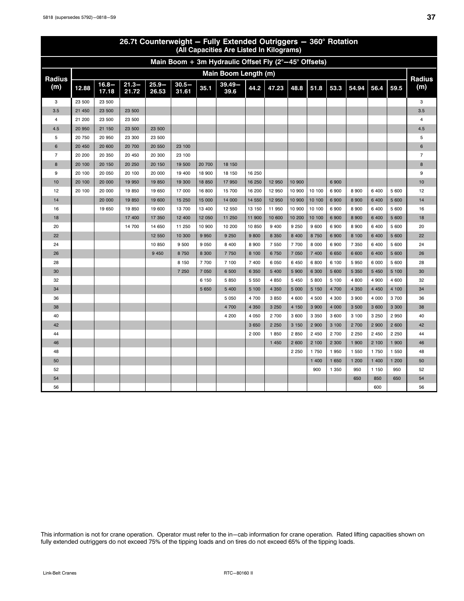<span id="page-42-0"></span>

| (All Capacities Are Listed in Kilograms)<br>Main Boom + 3m Hydraulic Offset Fly (2°-45° Offsets) |        |                   |                   |                   |                   |         |                      |         |         |         |         |         |         |         |         |                      |
|--------------------------------------------------------------------------------------------------|--------|-------------------|-------------------|-------------------|-------------------|---------|----------------------|---------|---------|---------|---------|---------|---------|---------|---------|----------------------|
|                                                                                                  |        |                   |                   |                   |                   |         |                      |         |         |         |         |         |         |         |         |                      |
|                                                                                                  |        |                   |                   |                   |                   |         | Main Boom Length (m) |         |         |         |         |         |         |         |         |                      |
| <b>Radius</b><br>(m)                                                                             | 12.88  | $16.8 -$<br>17.18 | $21.3 -$<br>21.72 | $25.9 -$<br>26.53 | $30.5 -$<br>31.61 | 35.1    | $39.49 -$<br>39.6    | 44.2    | 47.23   | 48.8    | 51.8    | 53.3    | 54.94   | 56.4    | 59.5    | <b>Radius</b><br>(m) |
| 3                                                                                                | 23 500 | 23 500            |                   |                   |                   |         |                      |         |         |         |         |         |         |         |         | 3                    |
| 3.5                                                                                              | 21 450 | 23 500            | 23 500            |                   |                   |         |                      |         |         |         |         |         |         |         |         | 3.5                  |
| $\overline{4}$                                                                                   | 21 200 | 23 500            | 23 500            |                   |                   |         |                      |         |         |         |         |         |         |         |         | $\overline{4}$       |
| 4.5                                                                                              | 20 950 | 21 150            | 23 500            | 23 500            |                   |         |                      |         |         |         |         |         |         |         |         | 4.5                  |
| 5                                                                                                | 20 750 | 20 950            | 23 300            | 23 500            |                   |         |                      |         |         |         |         |         |         |         |         | $\sqrt{5}$           |
| 6                                                                                                | 20 450 | 20 600            | 20 700            | 20 550            | 23 100            |         |                      |         |         |         |         |         |         |         |         | $6\phantom{1}$       |
| $\overline{7}$                                                                                   | 20 200 | 20 350            | 20 450            | 20 300            | 23 100            |         |                      |         |         |         |         |         |         |         |         | $\overline{7}$       |
| 8                                                                                                | 20 100 | 20 150            | 20 250            | 20 150            | 19 500            | 20 700  | 18 150               |         |         |         |         |         |         |         |         | $\bf{8}$             |
| 9                                                                                                | 20 100 | 20 050            | 20 100            | 20 000            | 19 400            | 18 900  | 18 150               | 16 250  |         |         |         |         |         |         |         | 9                    |
| 10                                                                                               | 20 100 | 20 000            | 19 950            | 19850             | 19 300            | 18 850  | 17 950               | 16 250  | 12 950  | 10 900  |         | 6 900   |         |         |         | 10                   |
| 12                                                                                               | 20 100 | 20 000            | 19850             | 19 650            | 17 000            | 16 800  | 15 700               | 16 200  | 12 950  | 10 900  | 10 100  | 6 900   | 8 9 0 0 | 6 400   | 5 600   | 12                   |
| 14                                                                                               |        | 20 000            | 19850             | 19 600            | 15 250            | 15 000  | 14 000               | 14 550  | 12 950  | 10 900  | 10 100  | 6 900   | 8 900   | 6 400   | 5 600   | 14                   |
| 16                                                                                               |        | 19 650            | 19850             | 19 600            | 13 700            | 13 400  | 12 550               | 13 150  | 11 950  | 10 900  | 10 100  | 6 900   | 8 900   | 6 400   | 5 600   | 16                   |
| 18                                                                                               |        |                   | 17 400            | 17 350            | 12 400            | 12 050  | 11 250               | 11 900  | 10 600  | 10 200  | 10 100  | 6 900   | 8 9 0 0 | 6 400   | 5 600   | 18                   |
| 20                                                                                               |        |                   | 14 700            | 14 650            | 11 250            | 10 900  | 10 200               | 10 850  | 9 4 0 0 | 9 2 5 0 | 9 600   | 6 900   | 8 900   | 6 400   | 5 600   | 20                   |
| 22                                                                                               |        |                   |                   | 12 550            | 10 300            | 9950    | 9 2 5 0              | 9800    | 8 3 5 0 | 8 4 0 0 | 8 7 5 0 | 6 900   | 8 100   | 6 400   | 5 600   | 22                   |
| 24                                                                                               |        |                   |                   | 10 850            | 9 500             | 9 0 5 0 | 8 4 0 0              | 8 9 0 0 | 7 5 5 0 | 7 700   | 8 0 0 0 | 6 900   | 7 3 5 0 | 6 400   | 5 600   | 24                   |
| 26                                                                                               |        |                   |                   | 9 4 5 0           | 8 7 5 0           | 8 300   | 7 7 5 0              | 8 100   | 6 750   | 7 0 5 0 | 7 400   | 6 6 5 0 | 6 600   | 6 400   | 5 600   | 26                   |
| 28                                                                                               |        |                   |                   |                   | 8 1 5 0           | 7700    | 7 100                | 7 400   | 6 0 5 0 | 6 4 5 0 | 6 800   | 6 100   | 5 9 5 0 | 6 000   | 5 600   | 28                   |
| 30                                                                                               |        |                   |                   |                   | 7 2 5 0           | 7 0 5 0 | 6 500                | 6 3 5 0 | 5 400   | 5 900   | 6 300   | 5 600   | 5 3 5 0 | 5 4 5 0 | 5 100   | 30                   |
| 32                                                                                               |        |                   |                   |                   |                   | 6 150   | 5 8 5 0              | 5 5 5 0 | 4 8 5 0 | 5 4 5 0 | 5 800   | 5 100   | 4 800   | 4 900   | 4 600   | 32                   |
| 34                                                                                               |        |                   |                   |                   |                   | 5 6 5 0 | 5 400                | 5 100   | 4 3 5 0 | 5 000   | 5 1 5 0 | 4 700   | 4 3 5 0 | 4 4 5 0 | 4 100   | 34                   |
| 36                                                                                               |        |                   |                   |                   |                   |         | 5 0 5 0              | 4 700   | 3 8 5 0 | 4 600   | 4 500   | 4 300   | 3 9 0 0 | 4 0 0 0 | 3700    | 36                   |
| 38                                                                                               |        |                   |                   |                   |                   |         | 4 700                | 4 3 5 0 | 3 2 5 0 | 4 150   | 3 900   | 4 0 0 0 | 3 500   | 3 600   | 3 300   | 38                   |
| 40                                                                                               |        |                   |                   |                   |                   |         | 4 200                | 4 0 5 0 | 2 700   | 3 600   | 3 3 5 0 | 3 600   | 3 100   | 3 2 5 0 | 2 9 5 0 | 40                   |
| 42                                                                                               |        |                   |                   |                   |                   |         |                      | 3 6 5 0 | 2 2 5 0 | 3 150   | 2 900   | 3 100   | 2 700   | 2 9 0 0 | 2 600   | 42                   |
| 44                                                                                               |        |                   |                   |                   |                   |         |                      | 2 000   | 1850    | 2 8 5 0 | 2 4 5 0 | 2 700   | 2 2 5 0 | 2 4 5 0 | 2 2 5 0 | 44                   |
| 46                                                                                               |        |                   |                   |                   |                   |         |                      |         | 1 450   | 2 600   | 2 100   | 2 300   | 1 900   | 2 100   | 1 900   | 46                   |
| 48                                                                                               |        |                   |                   |                   |                   |         |                      |         |         | 2 2 5 0 | 1 750   | 1 950   | 1 550   | 1 750   | 1 550   | 48                   |
| 50                                                                                               |        |                   |                   |                   |                   |         |                      |         |         |         | 1 400   | 1 650   | 1 200   | 1 400   | 1 200   | 50                   |
| 52                                                                                               |        |                   |                   |                   |                   |         |                      |         |         |         | 900     | 1 3 5 0 | 950     | 1 150   | 950     | 52                   |
| 54                                                                                               |        |                   |                   |                   |                   |         |                      |         |         |         |         |         | 650     | 850     | 650     | 54                   |
| 56                                                                                               |        |                   |                   |                   |                   |         |                      |         |         |         |         |         |         | 600     |         | 56                   |

#### 26.7t Counterweight - Fully Extended Outriggers - 360° Rotation **(All Capacities Are Listed In Kilograms)**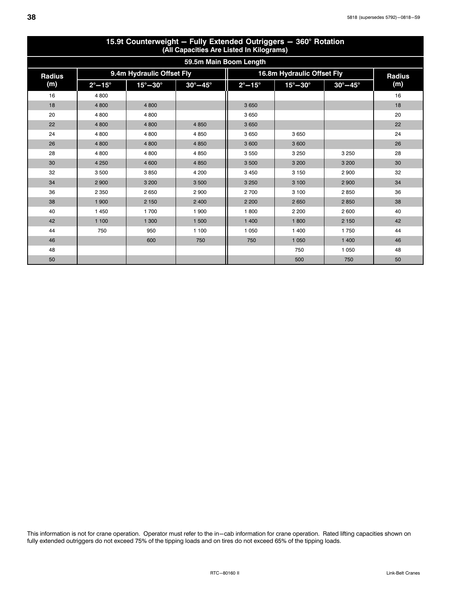<span id="page-43-0"></span>

| 15.9t Counterweight - Fully Extended Outriggers - 360° Rotation<br>(All Capacities Are Listed In Kilograms) |                      |                           |                       |                      |                            |                       |               |  |  |  |  |  |
|-------------------------------------------------------------------------------------------------------------|----------------------|---------------------------|-----------------------|----------------------|----------------------------|-----------------------|---------------|--|--|--|--|--|
| 59.5m Main Boom Length                                                                                      |                      |                           |                       |                      |                            |                       |               |  |  |  |  |  |
| <b>Radius</b>                                                                                               |                      | 9.4m Hydraulic Offset Fly |                       |                      | 16.8m Hydraulic Offset Fly |                       | <b>Radius</b> |  |  |  |  |  |
| (m)                                                                                                         | $2^\circ - 15^\circ$ | $15^\circ - 30^\circ$     | $30^\circ - 45^\circ$ | $2^\circ - 15^\circ$ | $15^\circ - 30^\circ$      | $30^\circ - 45^\circ$ | (m)           |  |  |  |  |  |
| 16                                                                                                          | 4800                 |                           |                       |                      |                            |                       | 16            |  |  |  |  |  |
| 18                                                                                                          | 4 800                | 4 800                     |                       | 3 6 5 0              |                            |                       | 18            |  |  |  |  |  |
| 20                                                                                                          | 4800                 | 4800                      |                       | 3650                 |                            |                       | 20            |  |  |  |  |  |
| 22                                                                                                          | 4 800                | 4800                      | 4850                  | 3 6 5 0              |                            |                       | 22            |  |  |  |  |  |
| 24                                                                                                          | 4800                 | 4800                      | 4850                  | 3650                 | 3650                       |                       | 24            |  |  |  |  |  |
| 26                                                                                                          | 4 800                | 4 800                     | 4 8 5 0               | 3 600                | 3 600                      |                       | 26            |  |  |  |  |  |
| 28                                                                                                          | 4 800                | 4800                      | 4850                  | 3550                 | 3 2 5 0                    | 3 2 5 0               | 28            |  |  |  |  |  |
| 30                                                                                                          | 4 2 5 0              | 4 600                     | 4 8 5 0               | 3 500                | 3 200                      | 3 2 0 0               | 30            |  |  |  |  |  |
| 32                                                                                                          | 3500                 | 3850                      | 4 200                 | 3 4 5 0              | 3 1 5 0                    | 2900                  | 32            |  |  |  |  |  |
| 34                                                                                                          | 2 9 0 0              | 3 2 0 0                   | 3 500                 | 3 2 5 0              | 3 100                      | 2 9 0 0               | 34            |  |  |  |  |  |
| 36                                                                                                          | 2 3 5 0              | 2650                      | 2900                  | 2700                 | 3 100                      | 2850                  | 36            |  |  |  |  |  |
| 38                                                                                                          | 1 900                | 2 1 5 0                   | 2 4 0 0               | 2 2 0 0              | 2650                       | 2850                  | 38            |  |  |  |  |  |
| 40                                                                                                          | 1 4 5 0              | 1700                      | 1 900                 | 1800                 | 2 2 0 0                    | 2600                  | 40            |  |  |  |  |  |
| 42                                                                                                          | 1 100                | 1 300                     | 1 500                 | 1 400                | 1800                       | 2 1 5 0               | 42            |  |  |  |  |  |
| 44                                                                                                          | 750                  | 950                       | 1 100                 | 1 0 5 0              | 1 400                      | 1750                  | 44            |  |  |  |  |  |
| 46                                                                                                          |                      | 600                       | 750                   | 750                  | 1 0 5 0                    | 1 400                 | 46            |  |  |  |  |  |
| 48                                                                                                          |                      |                           |                       |                      | 750                        | 1 0 5 0               | 48            |  |  |  |  |  |
| 50                                                                                                          |                      |                           |                       |                      | 500                        | 750                   | 50            |  |  |  |  |  |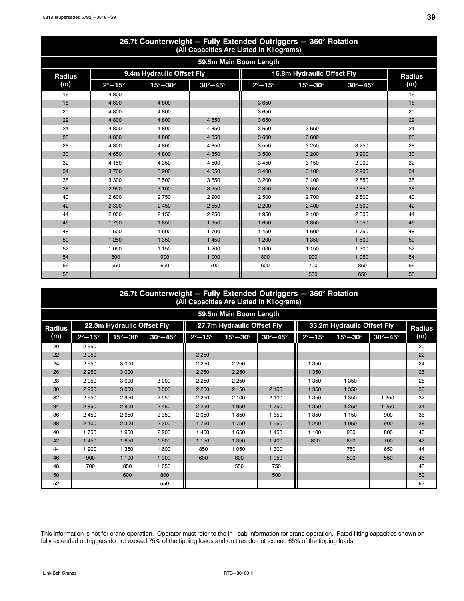<span id="page-44-0"></span>

|               | An eupachtec Are Eleted III ruighante)<br>59.5m Main Boom Length |                           |                       |                      |                            |                       |        |  |  |  |  |  |  |  |
|---------------|------------------------------------------------------------------|---------------------------|-----------------------|----------------------|----------------------------|-----------------------|--------|--|--|--|--|--|--|--|
|               |                                                                  |                           |                       |                      |                            |                       |        |  |  |  |  |  |  |  |
| <b>Radius</b> |                                                                  | 9.4m Hydraulic Offset Fly |                       |                      | 16.8m Hydraulic Offset Fly |                       | Radius |  |  |  |  |  |  |  |
| (m)           | $2^\circ - 15^\circ$                                             | $15^\circ - 30^\circ$     | $30^\circ - 45^\circ$ | $2^\circ - 15^\circ$ | $15^\circ - 30^\circ$      | $30^\circ - 45^\circ$ | (m)    |  |  |  |  |  |  |  |
| 16            | 4 800                                                            |                           |                       |                      |                            |                       | 16     |  |  |  |  |  |  |  |
| 18            | 4 800                                                            | 4 800                     |                       | 3 6 5 0              |                            |                       | 18     |  |  |  |  |  |  |  |
| 20            | 4 800                                                            | 4 800                     |                       | 3 6 5 0              |                            |                       | 20     |  |  |  |  |  |  |  |
| 22            | 4 800                                                            | 4 8 0 0                   | 4 8 5 0               | 3 6 5 0              |                            |                       | 22     |  |  |  |  |  |  |  |
| 24            | 4 800                                                            | 4 800                     | 4850                  | 3 6 5 0              | 3 6 5 0                    |                       | 24     |  |  |  |  |  |  |  |
| 26            | 4 800                                                            | 4 8 0 0                   | 4 8 5 0               | 3 600                | 3600                       |                       | 26     |  |  |  |  |  |  |  |
| 28            | 4800                                                             | 4 800                     | 4850                  | 3550                 | 3 2 5 0                    | 3 2 5 0               | 28     |  |  |  |  |  |  |  |
| 30            | 4 6 5 0                                                          | 4 8 0 0                   | 4 8 5 0               | 3 500                | 3 200                      | 3 2 0 0               | 30     |  |  |  |  |  |  |  |
| 32            | 4 1 5 0                                                          | 4 3 5 0                   | 4 500                 | 3 4 5 0              | 3 1 5 0                    | 2 9 0 0               | 32     |  |  |  |  |  |  |  |
| 34            | 3700                                                             | 3 9 0 0                   | 4 0 5 0               | 3 4 0 0              | 3 100                      | 2 9 0 0               | 34     |  |  |  |  |  |  |  |
| 36            | 3 3 0 0                                                          | 3500                      | 3650                  | 3 200                | 3 100                      | 2850                  | 36     |  |  |  |  |  |  |  |
| 38            | 2950                                                             | 3 100                     | 3 2 5 0               | 2850                 | 3 0 5 0                    | 2850                  | 38     |  |  |  |  |  |  |  |
| 40            | 2600                                                             | 2750                      | 2 9 0 0               | 2 500                | 2700                       | 2800                  | 40     |  |  |  |  |  |  |  |
| 42            | 2 3 0 0                                                          | 2 4 5 0                   | 2 5 5 0               | 2 2 0 0              | 2 4 0 0                    | 2 600                 | 42     |  |  |  |  |  |  |  |
| 44            | 2 0 0 0                                                          | 2 1 5 0                   | 2 2 5 0               | 1950                 | 2 100                      | 2 3 0 0               | 44     |  |  |  |  |  |  |  |
| 46            | 1750                                                             | 1850                      | 1950                  | 1 650                | 1850                       | 2 0 5 0               | 46     |  |  |  |  |  |  |  |
| 48            | 1 500                                                            | 1 600                     | 1700                  | 1 4 5 0              | 1 600                      | 1750                  | 48     |  |  |  |  |  |  |  |
| 50            | 1 2 5 0                                                          | 1 3 5 0                   | 1 4 5 0               | 1 200                | 1 3 5 0                    | 1 500                 | 50     |  |  |  |  |  |  |  |
| 52            | 1 0 5 0                                                          | 1 1 5 0                   | 1 200                 | 1 000                | 1 1 5 0                    | 1 300                 | 52     |  |  |  |  |  |  |  |
| 54            | 800                                                              | 900                       | 1 0 0 0               | 800                  | 900                        | 1 0 5 0               | 54     |  |  |  |  |  |  |  |
| 56            | 550                                                              | 650                       | 700                   | 600                  | 700                        | 850                   | 56     |  |  |  |  |  |  |  |
| 58            |                                                                  |                           |                       |                      | 500                        | 650                   | 58     |  |  |  |  |  |  |  |

#### 26.7t Counterweight **– Fully Extended Outriggers – 360° Rotatio**n **(All Capacities Are Listed In Kilograms)**

#### 26.7t Counterweight **– Fully Extended Outriggers – 360° Rota**tion **(All Capacities Are Listed In Kilograms)**

|               |                      |                            |                       |                      | 59.5m Main Boom Length     |                       |                      |                            |                       |               |
|---------------|----------------------|----------------------------|-----------------------|----------------------|----------------------------|-----------------------|----------------------|----------------------------|-----------------------|---------------|
| <b>Radius</b> |                      | 22.3m Hydraulic Offset Fly |                       |                      | 27.7m Hydraulic Offset Fly |                       |                      | 33.2m Hydraulic Offset Fly |                       | <b>Radius</b> |
| (m)           | $2^\circ - 15^\circ$ | $15^\circ - 30^\circ$      | $30^\circ - 45^\circ$ | $2^\circ - 15^\circ$ | $15^\circ - 30^\circ$      | $30^\circ - 45^\circ$ | $2^\circ - 15^\circ$ | $15^\circ - 30^\circ$      | $30^\circ - 45^\circ$ | (m)           |
| 20            | 2950                 |                            |                       |                      |                            |                       |                      |                            |                       | 20            |
| 22            | 2950                 |                            |                       | 2 2 5 0              |                            |                       |                      |                            |                       | 22            |
| 24            | 2950                 | 3 0 0 0                    |                       | 2 2 5 0              | 2 2 5 0                    |                       | 1 350                |                            |                       | 24            |
| 26            | 2950                 | 3 0 0 0                    |                       | 2 2 5 0              | 2 2 5 0                    |                       | 1 350                |                            |                       | 26            |
| 28            | 2950                 | 3 0 0 0                    | 3 0 0 0               | 2 2 5 0              | 2 2 5 0                    |                       | 1 350                | 1 3 5 0                    |                       | 28            |
| 30            | 2 9 5 0              | 3 0 0 0                    | 3 0 0 0               | 2 2 5 0              | 2 1 5 0                    | 2 1 5 0               | 1 350                | 1 3 5 0                    |                       | 30            |
| 32            | 2950                 | 2950                       | 2 5 5 0               | 2 2 5 0              | 2 100                      | 2 100                 | 1 350                | 1 3 5 0                    | 1 3 5 0               | 32            |
| 34            | 2850                 | 2800                       | 2 4 5 0               | 2 2 5 0              | 1950                       | 1750                  | 1 350                | 1 2 5 0                    | 1 2 5 0               | 34            |
| 36            | 2 4 5 0              | 2650                       | 2 3 5 0               | 2050                 | 1850                       | 1650                  | 1 350                | 1 1 5 0                    | 900                   | 36            |
| 38            | 2 100                | 2 3 0 0                    | 2 3 0 0               | 1750                 | 1750                       | 1 550                 | 1 200                | 1 0 5 0                    | 900                   | 38            |
| 40            | 1750                 | 1950                       | 2 2 0 0               | 1450                 | 1650                       | 1450                  | 1 100                | 950                        | 800                   | 40            |
| 42            | 1 4 5 0              | 1 650                      | 1 900                 | 1 1 5 0              | 1 3 5 0                    | 1 400                 | 800                  | 850                        | 700                   | 42            |
| 44            | 1 200                | 1 350                      | 1 600                 | 850                  | 1 0 5 0                    | 1 300                 |                      | 750                        | 650                   | 44            |
| 46            | 900                  | 1 100                      | 1 300                 | 600                  | 800                        | 1 0 5 0               |                      | 500                        | 550                   | 46            |
| 48            | 700                  | 850                        | 1 0 5 0               |                      | 550                        | 750                   |                      |                            |                       | 48            |
| 50            |                      | 600                        | 800                   |                      |                            | 500                   |                      |                            |                       | 50            |
| 52            |                      |                            | 550                   |                      |                            |                       |                      |                            |                       | 52            |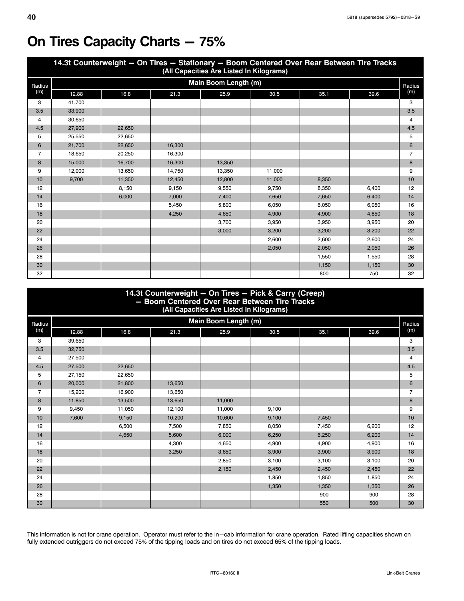## <span id="page-45-0"></span>**On Tires Capacity Charts - 75%**

|                |        |        |        | (All Capacities Are Listed In Kilograms) |        | 14.3t Counterweight - On Tires - Stationary - Boom Centered Over Rear Between Tire Tracks |       |                |
|----------------|--------|--------|--------|------------------------------------------|--------|-------------------------------------------------------------------------------------------|-------|----------------|
| Radius         |        |        |        | Main Boom Length (m)                     |        |                                                                                           |       | Radius         |
| (m)            | 12.88  | 16.8   | 21.3   | 25.9                                     | 30.5   | 35.1                                                                                      | 39.6  | (m)            |
| 3              | 41,700 |        |        |                                          |        |                                                                                           |       | 3              |
| 3.5            | 33.900 |        |        |                                          |        |                                                                                           |       | 3.5            |
| 4              | 30,650 |        |        |                                          |        |                                                                                           |       | 4              |
| 4.5            | 27,900 | 22,650 |        |                                          |        |                                                                                           |       | 4.5            |
| 5              | 25,550 | 22.650 |        |                                          |        |                                                                                           |       | 5              |
| 6              | 21,700 | 22,650 | 16,300 |                                          |        |                                                                                           |       | 6              |
| $\overline{7}$ | 18.650 | 20.250 | 16.300 |                                          |        |                                                                                           |       | $\overline{7}$ |
| 8              | 15,000 | 16,700 | 16,300 | 13,350                                   |        |                                                                                           |       | 8              |
| 9              | 12,000 | 13,650 | 14,750 | 13,350                                   | 11,000 |                                                                                           |       | 9              |
| 10             | 9,700  | 11,350 | 12,450 | 12,800                                   | 11,000 | 8,350                                                                                     |       | 10             |
| 12             |        | 8,150  | 9.150  | 9,550                                    | 9,750  | 8.350                                                                                     | 6,400 | 12             |
| 14             |        | 6,000  | 7,000  | 7,400                                    | 7,650  | 7,650                                                                                     | 6,400 | 14             |
| 16             |        |        | 5,450  | 5,800                                    | 6,050  | 6,050                                                                                     | 6,050 | 16             |
| 18             |        |        | 4,250  | 4,650                                    | 4,900  | 4,900                                                                                     | 4,850 | 18             |
| 20             |        |        |        | 3,700                                    | 3,950  | 3,950                                                                                     | 3,950 | 20             |
| 22             |        |        |        | 3,000                                    | 3,200  | 3,200                                                                                     | 3,200 | 22             |
| 24             |        |        |        |                                          | 2,600  | 2,600                                                                                     | 2,600 | 24             |
| 26             |        |        |        |                                          | 2,050  | 2,050                                                                                     | 2,050 | 26             |
| 28             |        |        |        |                                          |        | 1,550                                                                                     | 1,550 | 28             |
| 30             |        |        |        |                                          |        | 1,150                                                                                     | 1,150 | 30             |
| 32             |        |        |        |                                          |        | 800                                                                                       | 750   | 32             |

|        |        | 14.3t Counterweight - On Tires - Pick & Carry (Creep)<br>- Boom Centered Over Rear Between Tire Tracks<br>(All Capacities Are Listed In Kilograms) |        |                      |       |       |       |                |  |  |  |  |  |  |  |  |
|--------|--------|----------------------------------------------------------------------------------------------------------------------------------------------------|--------|----------------------|-------|-------|-------|----------------|--|--|--|--|--|--|--|--|
| Radius |        |                                                                                                                                                    |        | Main Boom Length (m) |       |       |       | Radius         |  |  |  |  |  |  |  |  |
| (m)    | 12.88  | 16.8                                                                                                                                               | 21.3   | 25.9                 | 30.5  | 35.1  | 39.6  | (m)            |  |  |  |  |  |  |  |  |
| 3      | 39,650 |                                                                                                                                                    |        |                      |       |       |       | 3              |  |  |  |  |  |  |  |  |
| 3.5    | 32,750 |                                                                                                                                                    |        |                      |       |       |       | 3.5            |  |  |  |  |  |  |  |  |
| 4      | 27,500 |                                                                                                                                                    |        |                      |       |       |       | 4              |  |  |  |  |  |  |  |  |
| 4.5    | 27,500 | 22,650                                                                                                                                             |        |                      |       |       |       | 4.5            |  |  |  |  |  |  |  |  |
| 5      | 27,150 | 22,650                                                                                                                                             |        |                      |       |       |       | 5              |  |  |  |  |  |  |  |  |
| 6      | 20,000 | 21,800                                                                                                                                             | 13,650 |                      |       |       |       | 6              |  |  |  |  |  |  |  |  |
| 7      | 15,200 | 16,900                                                                                                                                             | 13,650 |                      |       |       |       | $\overline{7}$ |  |  |  |  |  |  |  |  |
| 8      | 11,850 | 13,500                                                                                                                                             | 13,650 | 11,000               |       |       |       | 8              |  |  |  |  |  |  |  |  |
| 9      | 9,450  | 11,050                                                                                                                                             | 12,100 | 11,000               | 9,100 |       |       | 9              |  |  |  |  |  |  |  |  |
| 10     | 7,600  | 9,150                                                                                                                                              | 10,200 | 10,600               | 9,100 | 7,450 |       | 10             |  |  |  |  |  |  |  |  |
| 12     |        | 6,500                                                                                                                                              | 7,500  | 7,850                | 8,050 | 7,450 | 6,200 | 12             |  |  |  |  |  |  |  |  |
| 14     |        | 4,650                                                                                                                                              | 5,600  | 6,000                | 6,250 | 6,250 | 6,200 | 14             |  |  |  |  |  |  |  |  |
| 16     |        |                                                                                                                                                    | 4,300  | 4,650                | 4,900 | 4,900 | 4,900 | 16             |  |  |  |  |  |  |  |  |
| 18     |        |                                                                                                                                                    | 3,250  | 3,650                | 3,900 | 3,900 | 3,900 | 18             |  |  |  |  |  |  |  |  |
| 20     |        |                                                                                                                                                    |        | 2,850                | 3,100 | 3,100 | 3,100 | 20             |  |  |  |  |  |  |  |  |
| 22     |        |                                                                                                                                                    |        | 2,150                | 2,450 | 2,450 | 2,450 | 22             |  |  |  |  |  |  |  |  |
| 24     |        |                                                                                                                                                    |        |                      | 1,850 | 1,850 | 1,850 | 24             |  |  |  |  |  |  |  |  |
| 26     |        |                                                                                                                                                    |        |                      | 1,350 | 1,350 | 1,350 | 26             |  |  |  |  |  |  |  |  |
| 28     |        |                                                                                                                                                    |        |                      |       | 900   | 900   | 28             |  |  |  |  |  |  |  |  |
| 30     |        |                                                                                                                                                    |        |                      |       | 550   | 500   | 30             |  |  |  |  |  |  |  |  |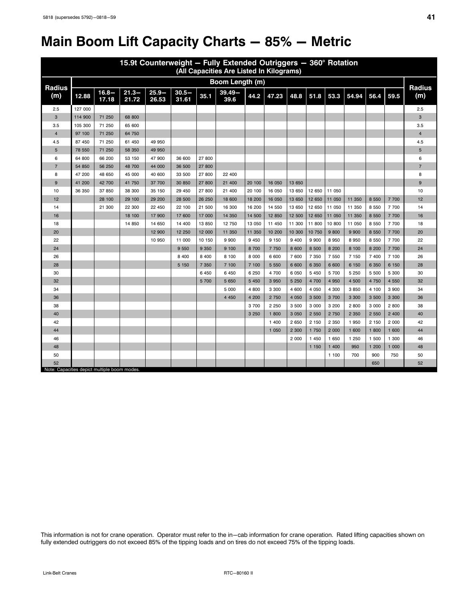## <span id="page-46-0"></span>**Main Boom Lift Capacity Charts - 85% - Metric**

|                                             |         |                   |                   |                   |                   |         | 15.9t Counterweight - Fully Extended Outriggers - 360° Rotation<br>(All Capacities Are Listed In Kilograms) |         |         |         |         |         |         |         |         |                      |
|---------------------------------------------|---------|-------------------|-------------------|-------------------|-------------------|---------|-------------------------------------------------------------------------------------------------------------|---------|---------|---------|---------|---------|---------|---------|---------|----------------------|
|                                             |         |                   |                   |                   |                   |         | Boom Length (m)                                                                                             |         |         |         |         |         |         |         |         |                      |
| <b>Radius</b><br>(m)                        | 12.88   | $16.8 -$<br>17.18 | $21.3 -$<br>21.72 | $25.9 -$<br>26.53 | $30.5 -$<br>31.61 | 35.1    | $39.49 -$<br>39.6                                                                                           | 44.2    | 47.23   | 48.8    | 51.8    | 53.3    | 54.94   | 56.4    | 59.5    | <b>Radius</b><br>(m) |
| 2.5                                         | 127 000 |                   |                   |                   |                   |         |                                                                                                             |         |         |         |         |         |         |         |         | 2.5                  |
| 3                                           | 114 900 | 71 250            | 68 800            |                   |                   |         |                                                                                                             |         |         |         |         |         |         |         |         | 3                    |
| 3.5                                         | 105 300 | 71 250            | 65 600            |                   |                   |         |                                                                                                             |         |         |         |         |         |         |         |         | 3.5                  |
| $\overline{4}$                              | 97 100  | 71 250            | 64 750            |                   |                   |         |                                                                                                             |         |         |         |         |         |         |         |         | $\overline{4}$       |
| 4.5                                         | 87 450  | 71 250            | 61 450            | 49 950            |                   |         |                                                                                                             |         |         |         |         |         |         |         |         | 4.5                  |
| 5                                           | 78 550  | 71 250            | 58 350            | 49 950            |                   |         |                                                                                                             |         |         |         |         |         |         |         |         | 5                    |
| 6                                           | 64 800  | 66 200            | 53 150            | 47 900            | 36 600            | 27 800  |                                                                                                             |         |         |         |         |         |         |         |         | 6                    |
| $\overline{7}$                              | 54 850  | 56 250            | 48 700            | 44 000            | 36 500            | 27 800  |                                                                                                             |         |         |         |         |         |         |         |         | $\overline{7}$       |
| 8                                           | 47 200  | 48 650            | 45 000            | 40 600            | 33 500            | 27 800  | 22 400                                                                                                      |         |         |         |         |         |         |         |         | 8                    |
| 9                                           | 41 200  | 42 700            | 41 750            | 37 700            | 30 850            | 27 800  | 21 400                                                                                                      | 20 100  | 16 050  | 13 650  |         |         |         |         |         | 9                    |
| 10                                          | 36 350  | 37 850            | 38 300            | 35 150            | 29 450            | 27 800  | 21 400                                                                                                      | 20 100  | 16 050  | 13 650  | 12 650  | 11 050  |         |         |         | 10                   |
| 12                                          |         | 28 100            | 29 100            | 29 200            | 28 500            | 26 250  | 18 600                                                                                                      | 18 200  | 16 050  | 13 650  | 12 650  | 11 050  | 11 350  | 8 5 5 0 | 7 700   | 12                   |
| 14                                          |         | 21 300            | 22 300            | 22 450            | 22 100            | 21 500  | 16 300                                                                                                      | 16 200  | 14 550  | 13 650  | 12 650  | 11 050  | 11 350  | 8 5 5 0 | 7 700   | 14                   |
| 16                                          |         |                   | 18 100            | 17 900            | 17 600            | 17 000  | 14 350                                                                                                      | 14 500  | 12 850  | 12 500  | 12 650  | 11 050  | 11 350  | 8 5 5 0 | 7 700   | 16                   |
| 18                                          |         |                   | 14 850            | 14 650            | 14 400            | 13 850  | 12 750                                                                                                      | 13 050  | 11 450  | 11 300  | 11 800  | 10 800  | 11 050  | 8 5 5 0 | 7 700   | 18                   |
| 20                                          |         |                   |                   | 12 900            | 12 250            | 12 000  | 11 350                                                                                                      | 11 350  | 10 200  | 10 300  | 10 750  | 9 800   | 9 9 0 0 | 8 5 5 0 | 7 700   | 20                   |
| 22                                          |         |                   |                   | 10 950            | 11 000            | 10 150  | 9 9 0 0                                                                                                     | 9 4 5 0 | 9 1 5 0 | 9 4 0 0 | 9 9 0 0 | 8950    | 8 9 5 0 | 8 5 5 0 | 7 700   | 22                   |
| 24                                          |         |                   |                   |                   | 9 5 5 0           | 9 3 5 0 | 9 100                                                                                                       | 8 700   | 7 7 5 0 | 8 600   | 8 500   | 8 200   | 8 100   | 8 200   | 7 700   | 24                   |
| 26                                          |         |                   |                   |                   | 8 4 0 0           | 8 4 0 0 | 8 100                                                                                                       | 8 0 0 0 | 6 600   | 7 600   | 7 3 5 0 | 7 5 5 0 | 7 150   | 7 400   | 7 100   | 26                   |
| 28                                          |         |                   |                   |                   | 5 1 5 0           | 7 3 5 0 | 7 100                                                                                                       | 7 100   | 5 5 5 0 | 6 600   | 6 3 5 0 | 6 600   | 6 150   | 6 3 5 0 | 6 150   | 28                   |
| 30                                          |         |                   |                   |                   |                   | 6450    | 6 450                                                                                                       | 6 250   | 4 700   | 6 0 5 0 | 5 4 5 0 | 5 700   | 5 2 5 0 | 5 500   | 5 300   | 30                   |
| 32                                          |         |                   |                   |                   |                   | 5700    | 5 6 5 0                                                                                                     | 5 4 5 0 | 3 9 5 0 | 5 2 5 0 | 4 700   | 4 9 5 0 | 4 500   | 4 750   | 4 5 5 0 | 32                   |
| 34                                          |         |                   |                   |                   |                   |         | 5 000                                                                                                       | 4 800   | 3 3 0 0 | 4 600   | 4 0 5 0 | 4 300   | 3850    | 4 100   | 3 900   | 34                   |
| 36                                          |         |                   |                   |                   |                   |         | 4 4 5 0                                                                                                     | 4 200   | 2 7 5 0 | 4 0 5 0 | 3 500   | 3700    | 3 3 0 0 | 3 500   | 3 3 0 0 | 36                   |
| 38                                          |         |                   |                   |                   |                   |         |                                                                                                             | 3 700   | 2 2 5 0 | 3 500   | 3 0 0 0 | 3 200   | 2800    | 3 000   | 2 800   | 38                   |
| 40                                          |         |                   |                   |                   |                   |         |                                                                                                             | 3 2 5 0 | 1 800   | 3 0 5 0 | 2 5 5 0 | 2 7 5 0 | 2 3 5 0 | 2 5 5 0 | 2 400   | 40                   |
| 42                                          |         |                   |                   |                   |                   |         |                                                                                                             |         | 1 400   | 2 6 5 0 | 2 1 5 0 | 2 3 5 0 | 1 9 5 0 | 2 150   | 2 0 0 0 | 42                   |
| 44                                          |         |                   |                   |                   |                   |         |                                                                                                             |         | 1 0 5 0 | 2 300   | 1 750   | 2 0 0 0 | 1 600   | 1 800   | 1 600   | 44                   |
| 46                                          |         |                   |                   |                   |                   |         |                                                                                                             |         |         | 2 0 0 0 | 1 450   | 1 650   | 1 250   | 1 500   | 1 300   | 46                   |
| 48                                          |         |                   |                   |                   |                   |         |                                                                                                             |         |         |         | 1 1 5 0 | 1 400   | 950     | 1 200   | 1 000   | 48                   |
| 50                                          |         |                   |                   |                   |                   |         |                                                                                                             |         |         |         |         | 1 100   | 700     | 900     | 750     | 50                   |
| 52                                          |         |                   |                   |                   |                   |         |                                                                                                             |         |         |         |         |         |         | 650     |         | 52                   |
| Note: Capacities depict multiple boom modes |         |                   |                   |                   |                   |         |                                                                                                             |         |         |         |         |         |         |         |         |                      |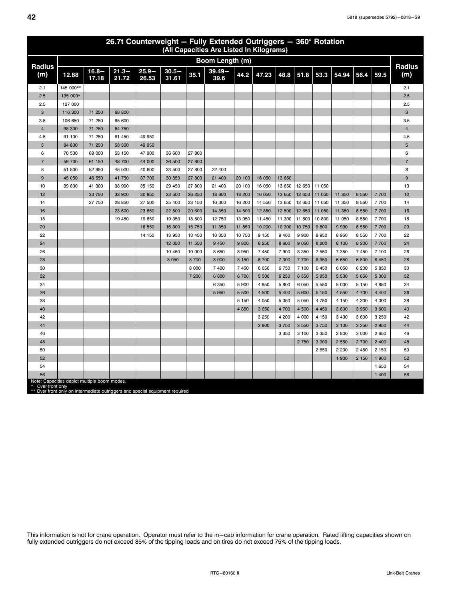<span id="page-47-0"></span>

|                                                                                                                                                 |           |                   |                   |                   |                   |         | 26.7t Counterweight - Fully Extended Outriggers - 360° Rotation<br>(All Capacities Are Listed In Kilograms) |         |         |         |         |         |         |         |         |                      |
|-------------------------------------------------------------------------------------------------------------------------------------------------|-----------|-------------------|-------------------|-------------------|-------------------|---------|-------------------------------------------------------------------------------------------------------------|---------|---------|---------|---------|---------|---------|---------|---------|----------------------|
|                                                                                                                                                 |           |                   |                   |                   |                   |         | Boom Length (m)                                                                                             |         |         |         |         |         |         |         |         |                      |
| <b>Radius</b><br>(m)                                                                                                                            | 12.88     | $16.8 -$<br>17.18 | $21.3 -$<br>21.72 | $25.9 -$<br>26.53 | $30.5 -$<br>31.61 | 35.1    | $39.49 -$<br>39.6                                                                                           | 44.2    | 47.23   | 48.8    | 51.8    | 53.3    | 54.94   | 56.4    | 59.5    | <b>Radius</b><br>(m) |
| 2.1                                                                                                                                             | 145 000** |                   |                   |                   |                   |         |                                                                                                             |         |         |         |         |         |         |         |         | 2.1                  |
| 2.5                                                                                                                                             | 135 000*  |                   |                   |                   |                   |         |                                                                                                             |         |         |         |         |         |         |         |         | 2.5                  |
| 2.5                                                                                                                                             | 127 000   |                   |                   |                   |                   |         |                                                                                                             |         |         |         |         |         |         |         |         | 2.5                  |
| 3                                                                                                                                               | 116 300   | 71 250            | 68 800            |                   |                   |         |                                                                                                             |         |         |         |         |         |         |         |         | 3                    |
| 3.5                                                                                                                                             | 106 650   | 71 250            | 65 600            |                   |                   |         |                                                                                                             |         |         |         |         |         |         |         |         | 3.5                  |
| $\overline{4}$                                                                                                                                  | 98 300    | 71 250            | 64 750            |                   |                   |         |                                                                                                             |         |         |         |         |         |         |         |         | $\overline{4}$       |
| 4.5                                                                                                                                             | 91 100    | 71 250            | 61 450            | 49 950            |                   |         |                                                                                                             |         |         |         |         |         |         |         |         | 4.5                  |
| 5                                                                                                                                               | 84 800    | 71 250            | 58 350            | 49 950            |                   |         |                                                                                                             |         |         |         |         |         |         |         |         | 5                    |
| 6                                                                                                                                               | 70 500    | 69 000            | 53 150            | 47 900            | 36 600            | 27 800  |                                                                                                             |         |         |         |         |         |         |         |         | 6                    |
| $\overline{7}$                                                                                                                                  | 59 700    | 61 150            | 48 700            | 44 000            | 36 500            | 27 800  |                                                                                                             |         |         |         |         |         |         |         |         | $\overline{7}$       |
| 8                                                                                                                                               | 51 500    | 52 950            | 45 000            | 40 600            | 33 500            | 27 800  | 22 400                                                                                                      |         |         |         |         |         |         |         |         | 8                    |
| 9                                                                                                                                               | 45 050    | 46 550            | 41 750            | 37 700            | 30 850            | 27 800  | 21 400                                                                                                      | 20 100  | 16 050  | 13 650  |         |         |         |         |         | 9                    |
| 10                                                                                                                                              | 39 800    | 41 300            | 38 900            | 35 150            | 29 450            | 27 800  | 21 400                                                                                                      | 20 100  | 16 050  | 13 650  | 12 650  | 11 050  |         |         |         | 10                   |
| 12                                                                                                                                              |           | 33 750            | 33 900            | 30 850            | 28 500            | 26 250  | 18 600                                                                                                      | 18 200  | 16 050  | 13 650  | 12 650  | 11 050  | 11 350  | 8 5 5 0 | 7 700   | 12                   |
| 14                                                                                                                                              |           | 27 750            | 28 850            | 27 500            | 25 400            | 23 150  | 16 300                                                                                                      | 16 200  | 14 550  | 13 650  | 12 650  | 11 050  | 11 350  | 8 5 5 0 | 7 700   | 14                   |
| 16                                                                                                                                              |           |                   | 23 600            | 23 650            | 22 800            | 20 600  | 14 350                                                                                                      | 14 500  | 12 850  | 12 500  | 12 650  | 11 050  | 11 350  | 8 5 5 0 | 7 700   | 16                   |
| 18                                                                                                                                              |           |                   | 19 450            | 19 650            | 19 350            | 18 500  | 12 750                                                                                                      | 13 050  | 11 450  | 11 300  | 11 800  | 10 800  | 11 050  | 8 5 5 0 | 7 700   | 18                   |
| 20                                                                                                                                              |           |                   |                   | 16 550            | 16 300            | 15 750  | 11 350                                                                                                      | 11 850  | 10 200  | 10 300  | 10 750  | 9800    | 9 9 0 0 | 8 5 5 0 | 7 700   | 20                   |
| 22                                                                                                                                              |           |                   |                   | 14 150            | 13 950            | 13 450  | 10 350                                                                                                      | 10 750  | 9 1 5 0 | 9 4 0 0 | 9 9 0 0 | 8 9 5 0 | 8 9 5 0 | 8 5 5 0 | 7 700   | 22                   |
| 24                                                                                                                                              |           |                   |                   |                   | 12 050            | 11 550  | 9 4 5 0                                                                                                     | 9800    | 8 2 5 0 | 8 600   | 9 0 5 0 | 8 200   | 8 100   | 8 200   | 7 700   | 24                   |
| 26                                                                                                                                              |           |                   |                   |                   | 10 450            | 10 000  | 8 6 5 0                                                                                                     | 8 9 5 0 | 7 4 5 0 | 7 900   | 8 3 5 0 | 7 5 5 0 | 7 3 5 0 | 7 450   | 7 100   | 26                   |
| 28                                                                                                                                              |           |                   |                   |                   | 8 0 5 0           | 8 700   | 8 0 0 0                                                                                                     | 8 1 5 0 | 6 700   | 7 300   | 7 700   | 6950    | 6 6 5 0 | 6 800   | 6 4 5 0 | 28                   |
| 30                                                                                                                                              |           |                   |                   |                   |                   | 8 0 0 0 | 7 400                                                                                                       | 7 4 5 0 | 6 0 5 0 | 6750    | 7 100   | 6 4 5 0 | 6 0 5 0 | 6 200   | 5 850   | 30                   |
| 32                                                                                                                                              |           |                   |                   |                   |                   | 7 200   | 6 800                                                                                                       | 6 700   | 5 500   | 6 250   | 6 5 5 0 | 5 9 5 0 | 5 500   | 5 6 5 0 | 5 300   | 32                   |
| 34                                                                                                                                              |           |                   |                   |                   |                   |         | 6 3 5 0                                                                                                     | 5 900   | 4 9 5 0 | 5 800   | 6 0 5 0 | 5 5 5 0 | 5 000   | 5 150   | 4 8 5 0 | 34                   |
| 36                                                                                                                                              |           |                   |                   |                   |                   |         | 5 9 5 0                                                                                                     | 5 500   | 4 500   | 5 400   | 5 600   | 5 1 5 0 | 4 5 5 0 | 4 700   | 4 4 0 0 | 36                   |
| 38                                                                                                                                              |           |                   |                   |                   |                   |         |                                                                                                             | 5 1 5 0 | 4 0 5 0 | 5 0 5 0 | 5 0 5 0 | 4750    | 4 150   | 4 300   | 4 000   | 38                   |
| 40                                                                                                                                              |           |                   |                   |                   |                   |         |                                                                                                             | 4 8 5 0 | 3 6 5 0 | 4 700   | 4 500   | 4 4 5 0 | 3800    | 3 9 5 0 | 3 600   | 40                   |
| 42                                                                                                                                              |           |                   |                   |                   |                   |         |                                                                                                             |         | 3 2 5 0 | 4 200   | 4 0 0 0 | 4 150   | 3 4 0 0 | 3 600   | 3 2 5 0 | 42                   |
| 44                                                                                                                                              |           |                   |                   |                   |                   |         |                                                                                                             |         | 2 800   | 3 7 5 0 | 3 5 5 0 | 3750    | 3 100   | 3 2 5 0 | 2 9 5 0 | 44                   |
| 46                                                                                                                                              |           |                   |                   |                   |                   |         |                                                                                                             |         |         | 3 3 5 0 | 3 100   | 3 3 5 0 | 2800    | 3 000   | 2 650   | 46                   |
| 48                                                                                                                                              |           |                   |                   |                   |                   |         |                                                                                                             |         |         |         | 2 750   | 3 0 0 0 | 2 5 5 0 | 2 700   | 2 400   | 48                   |
| 50                                                                                                                                              |           |                   |                   |                   |                   |         |                                                                                                             |         |         |         |         | 2 6 5 0 | 2 2 0 0 | 2 4 5 0 | 2 150   | 50                   |
| 52                                                                                                                                              |           |                   |                   |                   |                   |         |                                                                                                             |         |         |         |         |         | 1 900   | 2 150   | 1 900   | 52                   |
| 54                                                                                                                                              |           |                   |                   |                   |                   |         |                                                                                                             |         |         |         |         |         |         |         | 1 650   | 54                   |
| 56                                                                                                                                              |           |                   |                   |                   |                   |         |                                                                                                             |         |         |         |         |         |         |         | 1 400   | 56                   |
| Note: Capacities depict multiple boom modes.<br>Over front only<br>** Over front only on intermediate outriggers and special equipment required |           |                   |                   |                   |                   |         |                                                                                                             |         |         |         |         |         |         |         |         |                      |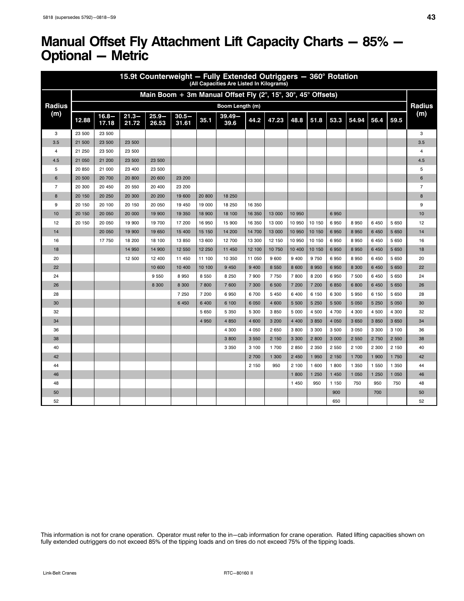## <span id="page-48-0"></span>**Manual Offset Fly Attachment Lift Capacity Charts - 85% -Optional - Metric**

|                |        |                   |                   |                   |                   |         | 15.9t Counterweight - Fully Extended Outriggers - 360° Rotation<br>(All Capacities Are Listed In Kilograms) |         |         |         |         |         |         |         |         |               |
|----------------|--------|-------------------|-------------------|-------------------|-------------------|---------|-------------------------------------------------------------------------------------------------------------|---------|---------|---------|---------|---------|---------|---------|---------|---------------|
|                |        |                   |                   |                   |                   |         | Main Boom + 3m Manual Offset Fly (2°, 15°, 30°, 45° Offsets)                                                |         |         |         |         |         |         |         |         |               |
| <b>Radius</b>  |        |                   |                   |                   |                   |         | Boom Length (m)                                                                                             |         |         |         |         |         |         |         |         | <b>Radius</b> |
| (m)            | 12.88  | $16.8 -$<br>17.18 | $21.3 -$<br>21.72 | $25.9 -$<br>26.53 | $30.5 -$<br>31.61 | 35.1    | $39.49 -$<br>39.6                                                                                           | 44.2    | 47.23   | 48.8    | 51.8    | 53.3    | 54.94   | 56.4    | 59.5    | (m)           |
| 3              | 23 500 | 23 500            |                   |                   |                   |         |                                                                                                             |         |         |         |         |         |         |         |         | 3             |
| 3.5            | 21 500 | 23 500            | 23 500            |                   |                   |         |                                                                                                             |         |         |         |         |         |         |         |         | 3.5           |
| 4              | 21 250 | 23 500            | 23 500            |                   |                   |         |                                                                                                             |         |         |         |         |         |         |         |         | 4             |
| 4.5            | 21 050 | 21 200            | 23 500            | 23 500            |                   |         |                                                                                                             |         |         |         |         |         |         |         |         | 4.5           |
| 5              | 20 850 | 21 000            | 23 400            | 23 500            |                   |         |                                                                                                             |         |         |         |         |         |         |         |         | 5             |
| 6              | 20 500 | 20 700            | 20 800            | 20 600            | 23 200            |         |                                                                                                             |         |         |         |         |         |         |         |         | 6             |
| $\overline{7}$ | 20 300 | 20 450            | 20 550            | 20 400            | 23 200            |         |                                                                                                             |         |         |         |         |         |         |         |         | 7             |
| 8              | 20 150 | 20 250            | 20 300            | 20 200            | 19 600            | 20 800  | 18 250                                                                                                      |         |         |         |         |         |         |         |         | 8             |
| 9              | 20 150 | 20 100            | 20 150            | 20 050            | 19 450            | 19 000  | 18 250                                                                                                      | 16 350  |         |         |         |         |         |         |         | 9             |
| 10             | 20 150 | 20 050            | 20 000            | 19 900            | 19 350            | 18 900  | 18 100                                                                                                      | 16 350  | 13 000  | 10 950  |         | 6 9 5 0 |         |         |         | 10            |
| 12             | 20 150 | 20 050            | 19 900            | 19 700            | 17 200            | 16 950  | 15 900                                                                                                      | 16 350  | 13 000  | 10 950  | 10 150  | 6950    | 8950    | 6 4 5 0 | 5 6 5 0 | 12            |
| 14             |        | 20 050            | 19 900            | 19 650            | 15 400            | 15 150  | 14 200                                                                                                      | 14 700  | 13 000  | 10 950  | 10 150  | 6950    | 8 9 5 0 | 6 4 5 0 | 5 6 5 0 | 14            |
| 16             |        | 17 750            | 18 200            | 18 100            | 13 850            | 13 600  | 12 700                                                                                                      | 13 300  | 12 150  | 10 950  | 10 150  | 6 9 5 0 | 8 9 5 0 | 6 4 5 0 | 5 6 5 0 | 16            |
| 18             |        |                   | 14 950            | 14 900            | 12 550            | 12 250  | 11 450                                                                                                      | 12 100  | 10 750  | 10 400  | 10 150  | 6 9 5 0 | 8 9 5 0 | 6 4 5 0 | 5 6 5 0 | 18            |
| 20             |        |                   | 12 500            | 12 400            | 11 450            | 11 100  | 10 350                                                                                                      | 11 050  | 9 600   | 9 4 0 0 | 9 7 5 0 | 6950    | 8 9 5 0 | 6 4 5 0 | 5 6 5 0 | 20            |
| 22             |        |                   |                   | 10 600            | 10 400            | 10 100  | 9 4 5 0                                                                                                     | 9 4 0 0 | 8 5 5 0 | 8 600   | 8 9 5 0 | 6 9 5 0 | 8 3 0 0 | 6 4 5 0 | 5 6 5 0 | 22            |
| 24             |        |                   |                   | 9 5 5 0           | 8 9 5 0           | 8 5 5 0 | 8 2 5 0                                                                                                     | 7 900   | 7 7 5 0 | 7800    | 8 200   | 6 9 5 0 | 7 500   | 6 4 5 0 | 5 6 5 0 | 24            |
| 26             |        |                   |                   | 8 3 0 0           | 8 3 0 0           | 7800    | 7 600                                                                                                       | 7 300   | 6 500   | 7 200   | 7 200   | 6850    | 6 800   | 6 4 5 0 | 5 6 5 0 | 26            |
| 28             |        |                   |                   |                   | 7 2 5 0           | 7 200   | 6 9 5 0                                                                                                     | 6 700   | 5 4 5 0 | 6 400   | 6 150   | 6 300   | 5 9 5 0 | 6 150   | 5 6 5 0 | 28            |
| 30             |        |                   |                   |                   | 6 4 5 0           | 6 400   | 6 100                                                                                                       | 6 0 5 0 | 4 600   | 5 500   | 5 2 5 0 | 5 500   | 5 0 5 0 | 5 2 5 0 | 5 0 5 0 | 30            |
| 32             |        |                   |                   |                   |                   | 5 6 5 0 | 5 3 5 0                                                                                                     | 5 300   | 3 8 5 0 | 5 0 0 0 | 4 500   | 4 700   | 4 300   | 4 500   | 4 300   | 32            |
| 34             |        |                   |                   |                   |                   | 4 9 5 0 | 4 8 5 0                                                                                                     | 4 600   | 3 200   | 4 4 0 0 | 3850    | 4 0 5 0 | 3 6 5 0 | 3850    | 3 6 5 0 | 34            |
| 36             |        |                   |                   |                   |                   |         | 4 300                                                                                                       | 4 0 5 0 | 2 6 5 0 | 3 800   | 3 300   | 3 500   | 3 0 5 0 | 3 3 0 0 | 3 100   | 36            |
| 38             |        |                   |                   |                   |                   |         | 3 800                                                                                                       | 3 5 5 0 | 2 1 5 0 | 3 3 0 0 | 2 800   | 3 0 0 0 | 2 5 5 0 | 2 750   | 2 5 5 0 | 38            |
| 40             |        |                   |                   |                   |                   |         | 3 3 5 0                                                                                                     | 3 100   | 1 700   | 2850    | 2 3 5 0 | 2 5 5 0 | 2 100   | 2 300   | 2 1 5 0 | 40            |
| 42             |        |                   |                   |                   |                   |         |                                                                                                             | 2 700   | 1 300   | 2 4 5 0 | 1 9 5 0 | 2 1 5 0 | 1 700   | 1 900   | 1 750   | 42            |
| 44             |        |                   |                   |                   |                   |         |                                                                                                             | 2 150   | 950     | 2 100   | 1 600   | 1800    | 1 3 5 0 | 1 550   | 1 350   | 44            |
| 46             |        |                   |                   |                   |                   |         |                                                                                                             |         |         | 1 800   | 1 250   | 1 4 5 0 | 1 0 5 0 | 1 250   | 1 0 5 0 | 46            |
| 48             |        |                   |                   |                   |                   |         |                                                                                                             |         |         | 1 450   | 950     | 1 150   | 750     | 950     | 750     | 48            |
| 50             |        |                   |                   |                   |                   |         |                                                                                                             |         |         |         |         | 900     |         | 700     |         | 50            |
| 52             |        |                   |                   |                   |                   |         |                                                                                                             |         |         |         |         | 650     |         |         |         | 52            |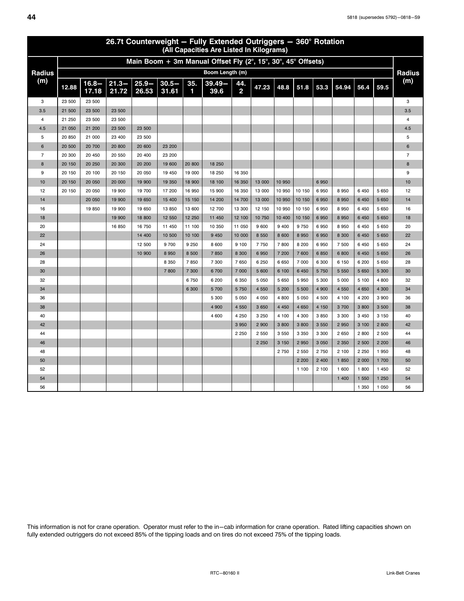<span id="page-49-0"></span>

|                |        |                   |                   |                   |                   |          | 26.7t Counterweight - Fully Extended Outriggers - 360° Rotation<br>(All Capacities Are Listed In Kilograms) |                       |         |         |         |         |         |         |         |                 |
|----------------|--------|-------------------|-------------------|-------------------|-------------------|----------|-------------------------------------------------------------------------------------------------------------|-----------------------|---------|---------|---------|---------|---------|---------|---------|-----------------|
|                |        |                   |                   |                   |                   |          | Main Boom + 3m Manual Offset Fly (2°, 15°, 30°, 45° Offsets)                                                |                       |         |         |         |         |         |         |         |                 |
| <b>Radius</b>  |        |                   |                   |                   |                   |          | Boom Length (m)                                                                                             |                       |         |         |         |         |         |         |         | <b>Radius</b>   |
| (m)            | 12.88  | $16.8 -$<br>17.18 | $21.3 -$<br>21.72 | $25.9 -$<br>26.53 | $30.5 -$<br>31.61 | 35.<br>1 | $39.49 -$<br>39.6                                                                                           | 44.<br>$\overline{2}$ | 47.23   | 48.8    | 51.8    | 53.3    | 54.94   | 56.4    | 59.5    | (m)             |
| 3              | 23 500 | 23 500            |                   |                   |                   |          |                                                                                                             |                       |         |         |         |         |         |         |         | 3               |
| 3.5            | 21 500 | 23 500            | 23 500            |                   |                   |          |                                                                                                             |                       |         |         |         |         |         |         |         | 3.5             |
| $\overline{4}$ | 21 250 | 23 500            | 23 500            |                   |                   |          |                                                                                                             |                       |         |         |         |         |         |         |         | $\overline{4}$  |
| 4.5            | 21 050 | 21 200            | 23 500            | 23 500            |                   |          |                                                                                                             |                       |         |         |         |         |         |         |         | 4.5             |
| 5              | 20 850 | 21 000            | 23 400            | 23 500            |                   |          |                                                                                                             |                       |         |         |         |         |         |         |         | 5               |
| 6              | 20 500 | 20 700            | 20 800            | 20 600            | 23 200            |          |                                                                                                             |                       |         |         |         |         |         |         |         | $6\phantom{1}6$ |
| $\overline{7}$ | 20 300 | 20 450            | 20 550            | 20 400            | 23 200            |          |                                                                                                             |                       |         |         |         |         |         |         |         | $\overline{7}$  |
| 8              | 20 150 | 20 250            | 20 300            | 20 200            | 19 600            | 20 800   | 18 250                                                                                                      |                       |         |         |         |         |         |         |         | 8               |
| 9              | 20 150 | 20 100            | 20 150            | 20 050            | 19 450            | 19 000   | 18 250                                                                                                      | 16 350                |         |         |         |         |         |         |         | 9               |
| 10             | 20 150 | 20 050            | 20 000            | 19 900            | 19 350            | 18 900   | 18 100                                                                                                      | 16 350                | 13 000  | 10 950  |         | 6 9 5 0 |         |         |         | 10              |
| 12             | 20 150 | 20 050            | 19 900            | 19 700            | 17 200            | 16 950   | 15 900                                                                                                      | 16 350                | 13 000  | 10 950  | 10 150  | 6950    | 8 9 5 0 | 6 4 5 0 | 5 6 5 0 | 12              |
| 14             |        | 20 050            | 19 900            | 19 650            | 15 400            | 15 150   | 14 200                                                                                                      | 14 700                | 13 000  | 10 950  | 10 150  | 6 9 5 0 | 8 9 5 0 | 6 4 5 0 | 5 6 5 0 | 14              |
| 16             |        | 19 850            | 19 900            | 19 650            | 13 850            | 13 600   | 12 700                                                                                                      | 13 300                | 12 150  | 10 950  | 10 150  | 6950    | 8 9 5 0 | 6 4 5 0 | 5 6 5 0 | 16              |
| 18             |        |                   | 19 900            | 18 800            | 12 550            | 12 250   | 11 450                                                                                                      | 12 100                | 10 750  | 10 400  | 10 150  | 6 9 5 0 | 8 9 5 0 | 6 4 5 0 | 5 6 5 0 | 18              |
| 20             |        |                   | 16 850            | 16 750            | 11 450            | 11 100   | 10 350                                                                                                      | 11 050                | 9 600   | 9 4 0 0 | 9 7 5 0 | 6 9 5 0 | 8 9 5 0 | 6 4 5 0 | 5 6 5 0 | 20              |
| 22             |        |                   |                   | 14 400            | 10 500            | 10 100   | 9 4 5 0                                                                                                     | 10 000                | 8 5 5 0 | 8 600   | 8 9 5 0 | 6 9 5 0 | 8 3 0 0 | 6 4 5 0 | 5 6 5 0 | 22              |
| 24             |        |                   |                   | 12 500            | 9 700             | 9 2 5 0  | 8 600                                                                                                       | 9 100                 | 7 7 5 0 | 7800    | 8 200   | 6950    | 7 500   | 6 4 5 0 | 5 6 5 0 | 24              |
| 26             |        |                   |                   | 10 900            | 8 9 5 0           | 8 500    | 7850                                                                                                        | 8 3 0 0               | 6 9 5 0 | 7 200   | 7 600   | 6850    | 6800    | 6 4 5 0 | 5 6 5 0 | 26              |
| 28             |        |                   |                   |                   | 8 3 5 0           | 7850     | 7 300                                                                                                       | 7 650                 | 6 250   | 6 6 5 0 | 7 000   | 6 300   | 6 150   | 6 200   | 5 6 5 0 | 28              |
| 30             |        |                   |                   |                   | 7800              | 7 300    | 6 700                                                                                                       | 7 000                 | 5 600   | 6 100   | 6 4 5 0 | 5 7 5 0 | 5 5 5 0 | 5 6 5 0 | 5 300   | 30              |
| 32             |        |                   |                   |                   |                   | 6750     | 6 200                                                                                                       | 6 3 5 0               | 5 0 5 0 | 5 6 5 0 | 5 9 5 0 | 5 300   | 5 0 0 0 | 5 100   | 4 800   | 32              |
| 34             |        |                   |                   |                   |                   | 6 300    | 5 700                                                                                                       | 5 7 5 0               | 4 5 5 0 | 5 200   | 5 500   | 4 900   | 4 5 5 0 | 4 6 5 0 | 4 300   | 34              |
| 36             |        |                   |                   |                   |                   |          | 5 300                                                                                                       | 5 0 5 0               | 4 0 5 0 | 4 800   | 5 0 5 0 | 4 500   | 4 100   | 4 200   | 3 900   | 36              |
| 38             |        |                   |                   |                   |                   |          | 4 900                                                                                                       | 4 5 5 0               | 3 6 5 0 | 4 4 5 0 | 4 6 5 0 | 4 1 5 0 | 3 700   | 3 800   | 3 500   | 38              |
| 40             |        |                   |                   |                   |                   |          | 4 600                                                                                                       | 4 2 5 0               | 3 2 5 0 | 4 100   | 4 300   | 3850    | 3 3 0 0 | 3 4 5 0 | 3 150   | 40              |
| 42             |        |                   |                   |                   |                   |          |                                                                                                             | 3 9 5 0               | 2 900   | 3800    | 3 800   | 3 5 5 0 | 2 9 5 0 | 3 100   | 2 800   | 42              |
| 44             |        |                   |                   |                   |                   |          |                                                                                                             | 2 2 5 0               | 2 5 5 0 | 3 5 5 0 | 3 3 5 0 | 3 3 0 0 | 2 6 5 0 | 2 800   | 2 500   | 44              |
| 46             |        |                   |                   |                   |                   |          |                                                                                                             |                       | 2 2 5 0 | 3 1 5 0 | 2 9 5 0 | 3 0 5 0 | 2 3 5 0 | 2 500   | 2 200   | 46              |
| 48             |        |                   |                   |                   |                   |          |                                                                                                             |                       |         | 2 7 5 0 | 2 5 5 0 | 2 7 5 0 | 2 100   | 2 2 5 0 | 1 950   | 48              |
| 50             |        |                   |                   |                   |                   |          |                                                                                                             |                       |         |         | 2 200   | 2 4 0 0 | 1850    | 2 0 0 0 | 1 700   | 50              |
| 52             |        |                   |                   |                   |                   |          |                                                                                                             |                       |         |         | 1 100   | 2 100   | 1 600   | 1800    | 1 450   | 52              |
| 54             |        |                   |                   |                   |                   |          |                                                                                                             |                       |         |         |         |         | 1 400   | 1 550   | 1 250   | 54              |
| 56             |        |                   |                   |                   |                   |          |                                                                                                             |                       |         |         |         |         |         | 1 3 5 0 | 1 0 5 0 | 56              |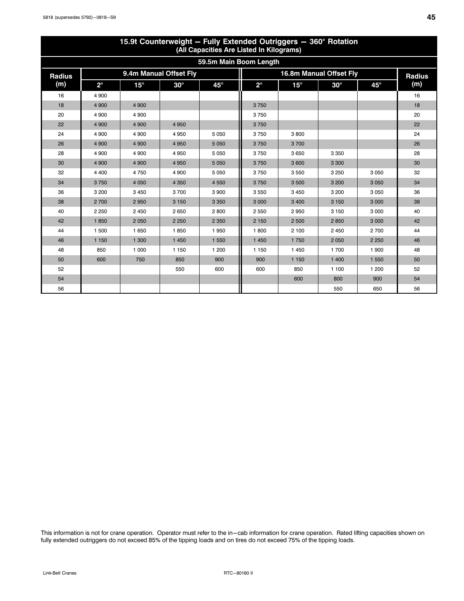<span id="page-50-0"></span>

|               |             |            |                        | (All Capacities Are Listed In Kilograms) |             |            |                         |            |               |
|---------------|-------------|------------|------------------------|------------------------------------------|-------------|------------|-------------------------|------------|---------------|
|               |             |            |                        | 59.5m Main Boom Length                   |             |            |                         |            |               |
| <b>Radius</b> |             |            | 9.4m Manual Offset Fly |                                          |             |            | 16.8m Manual Offset Fly |            | <b>Radius</b> |
| (m)           | $2^{\circ}$ | $15^\circ$ | $30^\circ$             | $45^{\circ}$                             | $2^{\circ}$ | $15^\circ$ | $30^\circ$              | $45^\circ$ | (m)           |
| 16            | 4 9 0 0     |            |                        |                                          |             |            |                         |            | 16            |
| 18            | 4 9 0 0     | 4 9 0 0    |                        |                                          | 3750        |            |                         |            | 18            |
| 20            | 4 9 0 0     | 4 9 0 0    |                        |                                          | 3750        |            |                         |            | 20            |
| 22            | 4 9 0 0     | 4 9 0 0    | 4 9 5 0                |                                          | 3750        |            |                         |            | 22            |
| 24            | 4 9 0 0     | 4 900      | 4 9 5 0                | 5 0 5 0                                  | 3750        | 3800       |                         |            | 24            |
| 26            | 4 9 0 0     | 4 900      | 4 9 5 0                | 5 0 5 0                                  | 3750        | 3700       |                         |            | 26            |
| 28            | 4 9 0 0     | 4 9 0 0    | 4 9 5 0                | 5 0 5 0                                  | 3750        | 3650       | 3 3 5 0                 |            | 28            |
| 30            | 4 9 0 0     | 4 900      | 4 9 5 0                | 5 0 5 0                                  | 3750        | 3 600      | 3 3 0 0                 |            | 30            |
| 32            | 4 4 0 0     | 4750       | 4 9 0 0                | 5 0 5 0                                  | 3750        | 3550       | 3 2 5 0                 | 3 0 5 0    | 32            |
| 34            | 3750        | 4 0 5 0    | 4 3 5 0                | 4 5 5 0                                  | 3750        | 3500       | 3 200                   | 3 0 5 0    | 34            |
| 36            | 3 2 0 0     | 3 4 5 0    | 3700                   | 3 9 0 0                                  | 3550        | 3 4 5 0    | 3 200                   | 3 0 5 0    | 36            |
| 38            | 2700        | 2950       | 3 1 5 0                | 3 3 5 0                                  | 3 0 0 0     | 3 4 0 0    | 3 1 5 0                 | 3 0 0 0    | 38            |
| 40            | 2 2 5 0     | 2 4 5 0    | 2650                   | 2800                                     | 2 5 5 0     | 2950       | 3 1 5 0                 | 3 0 0 0    | 40            |
| 42            | 1850        | 2 0 5 0    | 2 2 5 0                | 2 3 5 0                                  | 2 1 5 0     | 2 500      | 2850                    | 3 0 0 0    | 42            |
| 44            | 1 500       | 1 650      | 1850                   | 1950                                     | 1800        | 2 100      | 2 4 5 0                 | 2 700      | 44            |
| 46            | 1 1 5 0     | 1 300      | 1 4 5 0                | 1 5 5 0                                  | 1 4 5 0     | 1750       | 2 0 5 0                 | 2 2 5 0    | 46            |
| 48            | 850         | 1 000      | 1 150                  | 1 200                                    | 1 1 5 0     | 1450       | 1700                    | 1 900      | 48            |
| 50            | 600         | 750        | 850                    | 900                                      | 900         | 1 1 5 0    | 1 400                   | 1 550      | 50            |
| 52            |             |            | 550                    | 600                                      | 600         | 850        | 1 100                   | 1 200      | 52            |
| 54            |             |            |                        |                                          |             | 600        | 800                     | 900        | 54            |
| 56            |             |            |                        |                                          |             |            | 550                     | 650        | 56            |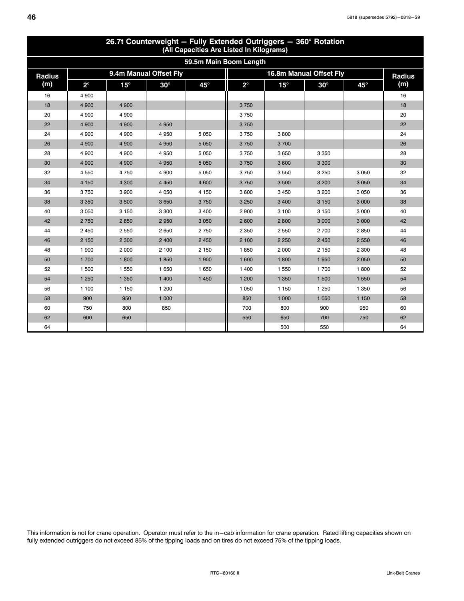<span id="page-51-0"></span>

|        |             |            |                        | (All Capacities Are Listed in Kilograms) |             |            |                         |              |               |
|--------|-------------|------------|------------------------|------------------------------------------|-------------|------------|-------------------------|--------------|---------------|
|        |             |            |                        | 59.5m Main Boom Length                   |             |            |                         |              |               |
| Radius |             |            | 9.4m Manual Offset Fly |                                          |             |            | 16.8m Manual Offset Fly |              | <b>Radius</b> |
| (m)    | $2^{\circ}$ | $15^\circ$ | $30^\circ$             | $45^{\circ}$                             | $2^{\circ}$ | $15^\circ$ | $30^\circ$              | $45^{\circ}$ | (m)           |
| 16     | 4 9 0 0     |            |                        |                                          |             |            |                         |              | 16            |
| 18     | 4 9 0 0     | 4 900      |                        |                                          | 3750        |            |                         |              | 18            |
| 20     | 4 9 0 0     | 4 900      |                        |                                          | 3750        |            |                         |              | 20            |
| 22     | 4 9 0 0     | 4 9 0 0    | 4 9 5 0                |                                          | 3750        |            |                         |              | 22            |
| 24     | 4 9 0 0     | 4 900      | 4 9 5 0                | 5 0 5 0                                  | 3750        | 3800       |                         |              | 24            |
| 26     | 4 9 0 0     | 4 9 0 0    | 4 9 5 0                | 5 0 5 0                                  | 3750        | 3700       |                         |              | 26            |
| 28     | 4 9 0 0     | 4 9 0 0    | 4 9 5 0                | 5 0 5 0                                  | 3750        | 3650       | 3 3 5 0                 |              | 28            |
| 30     | 4 9 0 0     | 4 900      | 4 9 5 0                | 5 0 5 0                                  | 3750        | 3 600      | 3 3 0 0                 |              | 30            |
| 32     | 4 5 5 0     | 4750       | 4 9 0 0                | 5 0 5 0                                  | 3750        | 3550       | 3 2 5 0                 | 3 0 5 0      | 32            |
| 34     | 4 1 5 0     | 4 300      | 4 4 5 0                | 4 600                                    | 3750        | 3500       | 3 200                   | 3 0 5 0      | 34            |
| 36     | 3750        | 3 900      | 4 0 5 0                | 4 1 5 0                                  | 3600        | 3 4 5 0    | 3 200                   | 3 0 5 0      | 36            |
| 38     | 3 3 5 0     | 3 500      | 3 6 5 0                | 3750                                     | 3 2 5 0     | 3 4 0 0    | 3 1 5 0                 | 3 0 0 0      | 38            |
| 40     | 3 0 5 0     | 3 1 5 0    | 3 3 0 0                | 3 4 0 0                                  | 2 9 0 0     | 3 100      | 3 1 5 0                 | 3 0 0 0      | 40            |
| 42     | 2750        | 2850       | 2950                   | 3 0 5 0                                  | 2 600       | 2800       | 3 0 0 0                 | 3 0 0 0      | 42            |
| 44     | 2 4 5 0     | 2 5 5 0    | 2650                   | 2750                                     | 2 3 5 0     | 2 5 5 0    | 2700                    | 2850         | 44            |
| 46     | 2 1 5 0     | 2 3 0 0    | 2 4 0 0                | 2 4 5 0                                  | 2 100       | 2 2 5 0    | 2 4 5 0                 | 2 5 5 0      | 46            |
| 48     | 1 900       | 2 0 0 0    | 2 100                  | 2 1 5 0                                  | 1850        | 2 0 0 0    | 2 150                   | 2 3 0 0      | 48            |
| 50     | 1700        | 1800       | 1850                   | 1 900                                    | 1 600       | 1800       | 1 9 5 0                 | 2 0 5 0      | 50            |
| 52     | 1 500       | 1 550      | 1 650                  | 1 650                                    | 1 400       | 1 550      | 1700                    | 1800         | 52            |
| 54     | 1 2 5 0     | 1 3 5 0    | 1 400                  | 1 4 5 0                                  | 1 200       | 1 3 5 0    | 1 500                   | 1 5 5 0      | 54            |
| 56     | 1 100       | 1 1 5 0    | 1 200                  |                                          | 1 0 5 0     | 1 150      | 1 250                   | 1 3 5 0      | 56            |
| 58     | 900         | 950        | 1 000                  |                                          | 850         | 1 0 0 0    | 1 0 5 0                 | 1 1 5 0      | 58            |
| 60     | 750         | 800        | 850                    |                                          | 700         | 800        | 900                     | 950          | 60            |
| 62     | 600         | 650        |                        |                                          | 550         | 650        | 700                     | 750          | 62            |
| 64     |             |            |                        |                                          |             | 500        | 550                     |              | 64            |

#### **26.7t Counterweight - Fully Extended Outriggers - 360° Rotation (All Capacities Are Listed In Kilograms)**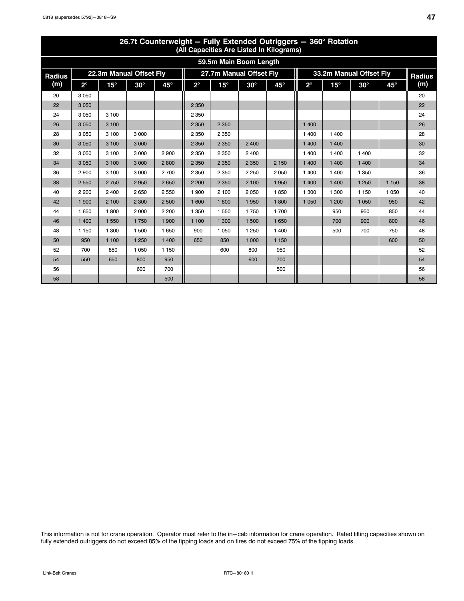<span id="page-52-0"></span>

|               |             |                         |            |            |             |                         |            | (All Capacities Are Listed In Kilograms) |             |            |                         |            |        |
|---------------|-------------|-------------------------|------------|------------|-------------|-------------------------|------------|------------------------------------------|-------------|------------|-------------------------|------------|--------|
|               |             |                         |            |            |             | 59.5m Main Boom Length  |            |                                          |             |            |                         |            |        |
| <b>Radius</b> |             | 22.3m Manual Offset Fly |            |            |             | 27.7m Manual Offset Fly |            |                                          |             |            | 33.2m Manual Offset Fly |            | Radius |
| (m)           | $2^{\circ}$ | $15^\circ$              | $30^\circ$ | $45^\circ$ | $2^{\circ}$ | $15^{\circ}$            | $30^\circ$ | $45^\circ$                               | $2^{\circ}$ | $15^\circ$ | $30^\circ$              | $45^\circ$ | (m)    |
| 20            | 3 0 5 0     |                         |            |            |             |                         |            |                                          |             |            |                         |            | 20     |
| 22            | 3 0 5 0     |                         |            |            | 2 3 5 0     |                         |            |                                          |             |            |                         |            | 22     |
| 24            | 3 0 5 0     | 3 100                   |            |            | 2 3 5 0     |                         |            |                                          |             |            |                         |            | 24     |
| 26            | 3 0 5 0     | 3 100                   |            |            | 2 3 5 0     | 2 3 5 0                 |            |                                          | 1 400       |            |                         |            | 26     |
| 28            | 3 0 5 0     | 3 100                   | 3 0 0 0    |            | 2 3 5 0     | 2 3 5 0                 |            |                                          | 1 400       | 1 400      |                         |            | 28     |
| 30            | 3 0 5 0     | 3 100                   | 3 0 0 0    |            | 2 3 5 0     | 2 3 5 0                 | 2 4 0 0    |                                          | 1 400       | 1 400      |                         |            | 30     |
| 32            | 3 0 5 0     | 3 100                   | 3 0 0 0    | 2 9 0 0    | 2 3 5 0     | 2 3 5 0                 | 2 4 0 0    |                                          | 1 400       | 1 400      | 1 400                   |            | 32     |
| 34            | 3 0 5 0     | 3 100                   | 3 0 0 0    | 2800       | 2 3 5 0     | 2 3 5 0                 | 2 3 5 0    | 2 1 5 0                                  | 1 400       | 1 400      | 1 400                   |            | 34     |
| 36            | 2 9 0 0     | 3 100                   | 3 0 0 0    | 2700       | 2 3 5 0     | 2 3 5 0                 | 2 2 5 0    | 2 0 5 0                                  | 1 400       | 1 400      | 1 3 5 0                 |            | 36     |
| 38            | 2 5 5 0     | 2750                    | 2950       | 2650       | 2 2 0 0     | 2 3 5 0                 | 2 100      | 1950                                     | 1 400       | 1 400      | 1 2 5 0                 | 1 1 5 0    | 38     |
| 40            | 2 2 0 0     | 2 4 0 0                 | 2 6 5 0    | 2 5 5 0    | 1 900       | 2 100                   | 2050       | 1850                                     | 1 300       | 1 300      | 1 1 5 0                 | 1 0 5 0    | 40     |
| 42            | 1 900       | 2 100                   | 2 3 0 0    | 2 500      | 1 600       | 1800                    | 1950       | 1800                                     | 1 0 5 0     | 1 200      | 1 0 5 0                 | 950        | 42     |
| 44            | 1650        | 1800                    | 2 0 0 0    | 2 2 0 0    | 1 3 5 0     | 1 550                   | 1750       | 1700                                     |             | 950        | 950                     | 850        | 44     |
| 46            | 1 400       | 1 550                   | 1750       | 1 900      | 1 100       | 1 300                   | 1 500      | 1 6 5 0                                  |             | 700        | 900                     | 800        | 46     |
| 48            | 1 1 5 0     | 1 300                   | 1 500      | 1 6 5 0    | 900         | 1 0 5 0                 | 1 2 5 0    | 1 400                                    |             | 500        | 700                     | 750        | 48     |
| 50            | 950         | 1 100                   | 1 2 5 0    | 1 400      | 650         | 850                     | 1 0 0 0    | 1 1 5 0                                  |             |            |                         | 600        | 50     |
| 52            | 700         | 850                     | 1 0 5 0    | 1 1 5 0    |             | 600                     | 800        | 950                                      |             |            |                         |            | 52     |
| 54            | 550         | 650                     | 800        | 950        |             |                         | 600        | 700                                      |             |            |                         |            | 54     |
| 56            |             |                         | 600        | 700        |             |                         |            | 500                                      |             |            |                         |            | 56     |
| 58            |             |                         |            | 500        |             |                         |            |                                          |             |            |                         |            | 58     |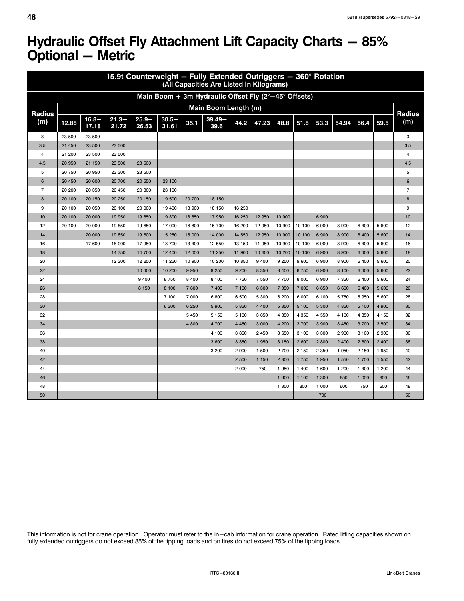## <span id="page-53-0"></span>**Hydraulic Offset Fly Attachment Lift Capacity Charts - 85% Optional - Metric**

| 15.9t Counterweight - Fully Extended Outriggers - 360° Rotation<br>(All Capacities Are Listed In Kilograms) |        |                   |                   |                   |                   |         |                      |         |         |         |         |         |         |         |         |                      |
|-------------------------------------------------------------------------------------------------------------|--------|-------------------|-------------------|-------------------|-------------------|---------|----------------------|---------|---------|---------|---------|---------|---------|---------|---------|----------------------|
| Main Boom + 3m Hydraulic Offset Fly (2°-45° Offsets)                                                        |        |                   |                   |                   |                   |         |                      |         |         |         |         |         |         |         |         |                      |
|                                                                                                             |        |                   |                   |                   |                   |         | Main Boom Length (m) |         |         |         |         |         |         |         |         |                      |
| <b>Radius</b><br>(m)                                                                                        | 12.88  | $16.8 -$<br>17.18 | $21.3 -$<br>21.72 | $25.9 -$<br>26.53 | $30.5 -$<br>31.61 | 35.1    | $39.49 -$<br>39.6    | 44.2    | 47.23   | 48.8    | 51.8    | 53.3    | 54.94   | 56.4    | 59.5    | <b>Radius</b><br>(m) |
| 3                                                                                                           | 23 500 | 23 500            |                   |                   |                   |         |                      |         |         |         |         |         |         |         |         | 3                    |
| 3.5                                                                                                         | 21 450 | 23 500            | 23 500            |                   |                   |         |                      |         |         |         |         |         |         |         |         | 3.5                  |
| 4                                                                                                           | 21 200 | 23 500            | 23 500            |                   |                   |         |                      |         |         |         |         |         |         |         |         | 4                    |
| 4.5                                                                                                         | 20 950 | 21 150            | 23 500            | 23 500            |                   |         |                      |         |         |         |         |         |         |         |         | 4.5                  |
| 5                                                                                                           | 20 750 | 20 950            | 23 300            | 23 500            |                   |         |                      |         |         |         |         |         |         |         |         | 5                    |
| 6                                                                                                           | 20 450 | 20 600            | 20 700            | 20 550            | 23 100            |         |                      |         |         |         |         |         |         |         |         | 6                    |
| $\overline{7}$                                                                                              | 20 200 | 20 350            | 20 450            | 20 300            | 23 100            |         |                      |         |         |         |         |         |         |         |         | $\overline{7}$       |
| 8                                                                                                           | 20 100 | 20 150            | 20 250            | 20 150            | 19 500            | 20 700  | 18 150               |         |         |         |         |         |         |         |         | 8                    |
| 9                                                                                                           | 20 100 | 20 050            | 20 100            | 20 000            | 19 400            | 18 900  | 18 150               | 16 250  |         |         |         |         |         |         |         | 9                    |
| 10                                                                                                          | 20 100 | 20 000            | 19 950            | 19 850            | 19 300            | 18 850  | 17 950               | 16 250  | 12 950  | 10 900  |         | 6 900   |         |         |         | 10                   |
| 12                                                                                                          | 20 100 | 20 000            | 19850             | 19 650            | 17 000            | 16 800  | 15 700               | 16 200  | 12 950  | 10 900  | 10 100  | 6 900   | 8 9 0 0 | 6 400   | 5 600   | 12                   |
| 14                                                                                                          |        | 20 000            | 19850             | 19 600            | 15 250            | 15 000  | 14 000               | 14 550  | 12 950  | 10 900  | 10 100  | 6 900   | 8 9 0 0 | 6 400   | 5 600   | 14                   |
| 16                                                                                                          |        | 17 600            | 18 000            | 17950             | 13 700            | 13 400  | 12 550               | 13 150  | 11 950  | 10 900  | 10 100  | 6900    | 8 9 0 0 | 6 400   | 5 600   | 16                   |
| 18                                                                                                          |        |                   | 14 750            | 14 700            | 12 400            | 12 050  | 11 250               | 11 900  | 10 600  | 10 200  | 10 100  | 6 900   | 8 9 0 0 | 6 400   | 5 600   | 18                   |
| 20                                                                                                          |        |                   | 12 300            | 12 250            | 11 250            | 10 900  | 10 200               | 10 850  | 9 4 0 0 | 9 2 5 0 | 9 600   | 6900    | 8 9 0 0 | 6 400   | 5 600   | 20                   |
| 22                                                                                                          |        |                   |                   | 10 400            | 10 200            | 9 9 5 0 | 9 2 5 0              | 9 200   | 8 3 5 0 | 8 4 0 0 | 8 7 5 0 | 6 900   | 8 100   | 6 400   | 5 600   | 22                   |
| 24                                                                                                          |        |                   |                   | 9 4 0 0           | 8 7 5 0           | 8 4 0 0 | 8 100                | 7750    | 7 5 5 0 | 7 700   | 8 0 0 0 | 6900    | 7 3 5 0 | 6 400   | 5 600   | 24                   |
| 26                                                                                                          |        |                   |                   | 8 1 5 0           | 8 100             | 7 600   | 7 400                | 7 100   | 6 300   | 7 0 5 0 | 7 000   | 6 6 5 0 | 6 600   | 6 400   | 5 600   | 26                   |
| 28                                                                                                          |        |                   |                   |                   | 7 100             | 7 0 0 0 | 6800                 | 6 500   | 5 300   | 6 200   | 6 0 0 0 | 6 100   | 5 7 5 0 | 5 9 5 0 | 5 600   | 28                   |
| 30                                                                                                          |        |                   |                   |                   | 6 300             | 6 2 5 0 | 5 900                | 5 8 5 0 | 4 4 0 0 | 5 3 5 0 | 5 100   | 5 300   | 4 8 5 0 | 5 100   | 4 900   | 30                   |
| 32                                                                                                          |        |                   |                   |                   |                   | 5 4 5 0 | 5 150                | 5 100   | 3 6 5 0 | 4 8 5 0 | 4 3 5 0 | 4 5 5 0 | 4 100   | 4 3 5 0 | 4 150   | 32                   |
| 34                                                                                                          |        |                   |                   |                   |                   | 4 800   | 4 700                | 4 4 5 0 | 3 0 0 0 | 4 200   | 3 700   | 3 900   | 3 4 5 0 | 3700    | 3 500   | 34                   |
| 36                                                                                                          |        |                   |                   |                   |                   |         | 4 100                | 3850    | 2 4 5 0 | 3 6 5 0 | 3 100   | 3 3 0 0 | 2 9 0 0 | 3 100   | 2 900   | 36                   |
| 38                                                                                                          |        |                   |                   |                   |                   |         | 3 600                | 3 3 5 0 | 1 9 5 0 | 3 150   | 2 600   | 2 800   | 2 400   | 2 600   | 2 400   | 38                   |
| 40                                                                                                          |        |                   |                   |                   |                   |         | 3 200                | 2 9 0 0 | 1 500   | 2 700   | 2 150   | 2 3 5 0 | 1 9 5 0 | 2 150   | 1 9 5 0 | 40                   |
| 42                                                                                                          |        |                   |                   |                   |                   |         |                      | 2 500   | 1 1 5 0 | 2 3 0 0 | 1 750   | 1 950   | 1 5 5 0 | 1 750   | 1 550   | 42                   |
| 44                                                                                                          |        |                   |                   |                   |                   |         |                      | 2 0 0 0 | 750     | 1 9 5 0 | 1 400   | 1 600   | 1 200   | 1 400   | 1 200   | 44                   |
| 46                                                                                                          |        |                   |                   |                   |                   |         |                      |         |         | 1 600   | 1 100   | 1 300   | 850     | 1 0 5 0 | 850     | 46                   |
| 48                                                                                                          |        |                   |                   |                   |                   |         |                      |         |         | 1 300   | 800     | 1 000   | 600     | 750     | 600     | 48                   |
| 50                                                                                                          |        |                   |                   |                   |                   |         |                      |         |         |         |         | 700     |         |         |         | 50                   |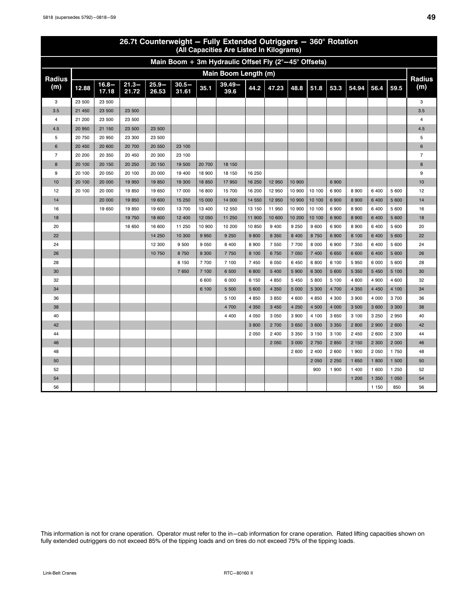<span id="page-54-0"></span>

|                                                      | (All Capacities Are Listed in Nilograms) |                   |                   |                   |                   |         |                   |         |         |         |         |               |         |         |         |                |
|------------------------------------------------------|------------------------------------------|-------------------|-------------------|-------------------|-------------------|---------|-------------------|---------|---------|---------|---------|---------------|---------|---------|---------|----------------|
| Main Boom + 3m Hydraulic Offset Fly (2°-45° Offsets) |                                          |                   |                   |                   |                   |         |                   |         |         |         |         |               |         |         |         |                |
| <b>Radius</b>                                        | Main Boom Length (m)                     |                   |                   |                   |                   |         |                   |         |         |         |         | <b>Radius</b> |         |         |         |                |
| (m)                                                  | 12.88                                    | $16.8 -$<br>17.18 | $21.3 -$<br>21.72 | $25.9 -$<br>26.53 | $30.5 -$<br>31.61 | 35.1    | $39.49 -$<br>39.6 | 44.2    | 47.23   | 48.8    | 51.8    | 53.3          | 54.94   | 56.4    | 59.5    | (m)            |
| 3                                                    | 23 500                                   | 23 500            |                   |                   |                   |         |                   |         |         |         |         |               |         |         |         | 3              |
| 3.5                                                  | 21 450                                   | 23 500            | 23 500            |                   |                   |         |                   |         |         |         |         |               |         |         |         | 3.5            |
| $\overline{4}$                                       | 21 200                                   | 23 500            | 23 500            |                   |                   |         |                   |         |         |         |         |               |         |         |         | $\overline{4}$ |
| 4.5                                                  | 20 950                                   | 21 150            | 23 500            | 23 500            |                   |         |                   |         |         |         |         |               |         |         |         | 4.5            |
| 5                                                    | 20 750                                   | 20 950            | 23 300            | 23 500            |                   |         |                   |         |         |         |         |               |         |         |         | 5              |
| 6                                                    | 20 450                                   | 20 600            | 20 700            | 20 550            | 23 100            |         |                   |         |         |         |         |               |         |         |         | $6\phantom{1}$ |
| $\overline{7}$                                       | 20 200                                   | 20 350            | 20 450            | 20 300            | 23 100            |         |                   |         |         |         |         |               |         |         |         | $\overline{7}$ |
| 8                                                    | 20 100                                   | 20 150            | 20 250            | 20 150            | 19 500            | 20 700  | 18 150            |         |         |         |         |               |         |         |         | 8              |
| 9                                                    | 20 100                                   | 20 050            | 20 100            | 20 000            | 19 400            | 18 900  | 18 150            | 16 250  |         |         |         |               |         |         |         | 9              |
| 10                                                   | 20 100                                   | 20 000            | 19 950            | 19850             | 19 300            | 18 850  | 17 950            | 16 250  | 12 950  | 10 900  |         | 6 900         |         |         |         | 10             |
| 12                                                   | 20 100                                   | 20 000            | 19850             | 19 650            | 17 000            | 16 800  | 15 700            | 16 200  | 12 950  | 10 900  | 10 100  | 6 900         | 8 9 0 0 | 6 400   | 5 600   | 12             |
| 14                                                   |                                          | 20 000            | 19850             | 19 600            | 15 250            | 15 000  | 14 000            | 14 550  | 12 950  | 10 900  | 10 100  | 6 900         | 8 9 0 0 | 6 400   | 5 600   | 14             |
| 16                                                   |                                          | 19 650            | 19850             | 19 600            | 13 700            | 13 400  | 12 550            | 13 150  | 11 950  | 10 900  | 10 100  | 6 900         | 8 9 0 0 | 6 400   | 5 600   | 16             |
| 18                                                   |                                          |                   | 19 750            | 18 600            | 12 400            | 12 050  | 11 250            | 11 900  | 10 600  | 10 200  | 10 100  | 6 900         | 8 9 0 0 | 6 400   | 5 600   | 18             |
| 20                                                   |                                          |                   | 16 650            | 16 600            | 11 250            | 10 900  | 10 200            | 10 850  | 9 4 0 0 | 9 2 5 0 | 9 600   | 6 900         | 8 900   | 6 400   | 5 600   | 20             |
| 22                                                   |                                          |                   |                   | 14 250            | 10 300            | 9950    | 9 2 5 0           | 9800    | 8 3 5 0 | 8 4 0 0 | 8 7 5 0 | 6 900         | 8 100   | 6 400   | 5 600   | 22             |
| 24                                                   |                                          |                   |                   | 12 300            | 9 500             | 9 0 5 0 | 8 4 0 0           | 8 900   | 7 5 5 0 | 7700    | 8 0 0 0 | 6 900         | 7 3 5 0 | 6 400   | 5 600   | 24             |
| 26                                                   |                                          |                   |                   | 10 750            | 8 7 5 0           | 8 300   | 7 7 5 0           | 8 100   | 6 750   | 7 0 5 0 | 7 400   | 6 6 5 0       | 6 600   | 6 400   | 5 600   | 26             |
| 28                                                   |                                          |                   |                   |                   | 8 1 5 0           | 7700    | 7 100             | 7 4 5 0 | 6 0 5 0 | 6 4 5 0 | 6 800   | 6 100         | 5 9 5 0 | 6 000   | 5 600   | 28             |
| 30                                                   |                                          |                   |                   |                   | 7 6 5 0           | 7 100   | 6 500             | 6 800   | 5 400   | 5 900   | 6 300   | 5 600         | 5 3 5 0 | 5 4 5 0 | 5 100   | 30             |
| 32                                                   |                                          |                   |                   |                   |                   | 6 600   | 6 000             | 6 150   | 4 8 5 0 | 5 4 5 0 | 5 800   | 5 100         | 4 800   | 4 900   | 4 600   | 32             |
| 34                                                   |                                          |                   |                   |                   |                   | 6 100   | 5 500             | 5 600   | 4 3 5 0 | 5 000   | 5 300   | 4 700         | 4 3 5 0 | 4 4 5 0 | 4 100   | 34             |
| 36                                                   |                                          |                   |                   |                   |                   |         | 5 100             | 4 8 5 0 | 3 8 5 0 | 4 600   | 4 8 5 0 | 4 300         | 3 9 0 0 | 4 0 0 0 | 3700    | 36             |
| 38                                                   |                                          |                   |                   |                   |                   |         | 4 700             | 4 3 5 0 | 3 4 5 0 | 4 2 5 0 | 4 500   | 4 0 0 0       | 3 500   | 3 600   | 3 300   | 38             |
| 40                                                   |                                          |                   |                   |                   |                   |         | 4 4 0 0           | 4 0 5 0 | 3 0 5 0 | 3 900   | 4 100   | 3 6 5 0       | 3 100   | 3 2 5 0 | 2 9 5 0 | 40             |
| 42                                                   |                                          |                   |                   |                   |                   |         |                   | 3 800   | 2 700   | 3 6 5 0 | 3 600   | 3 3 5 0       | 2 800   | 2 9 0 0 | 2 600   | 42             |
| 44                                                   |                                          |                   |                   |                   |                   |         |                   | 2 0 5 0 | 2 400   | 3 3 5 0 | 3 1 5 0 | 3 100         | 2 4 5 0 | 2 600   | 2 300   | 44             |
| 46                                                   |                                          |                   |                   |                   |                   |         |                   |         | 2 0 5 0 | 3 000   | 2 7 5 0 | 2 8 5 0       | 2 150   | 2 3 0 0 | 2 000   | 46             |
| 48                                                   |                                          |                   |                   |                   |                   |         |                   |         |         | 2 600   | 2 4 0 0 | 2 600         | 1 900   | 2 0 5 0 | 1 750   | 48             |
| 50                                                   |                                          |                   |                   |                   |                   |         |                   |         |         |         | 2 0 5 0 | 2 2 5 0       | 1 650   | 1 800   | 1 500   | 50             |
| 52                                                   |                                          |                   |                   |                   |                   |         |                   |         |         |         | 900     | 1 900         | 1 400   | 1 600   | 1 250   | 52             |
| 54                                                   |                                          |                   |                   |                   |                   |         |                   |         |         |         |         |               | 1 200   | 1 3 5 0 | 1 0 5 0 | 54             |
| 56                                                   |                                          |                   |                   |                   |                   |         |                   |         |         |         |         |               |         | 1 150   | 850     | 56             |

#### 26.7t Counterweight - Fully Extended Outriggers - 360° Rotation **(All Capacities Are Listed In Kilograms)**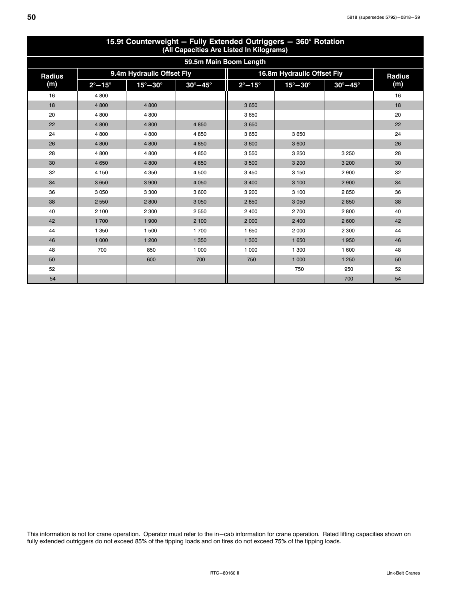<span id="page-55-0"></span>

|                        | 15.9t Counterweight - Fully Extended Outriggers - 360° Rotation<br>(All Capacities Are Listed In Kilograms) |                           |                       |                      |                            |                       |     |  |  |  |  |  |
|------------------------|-------------------------------------------------------------------------------------------------------------|---------------------------|-----------------------|----------------------|----------------------------|-----------------------|-----|--|--|--|--|--|
| 59.5m Main Boom Length |                                                                                                             |                           |                       |                      |                            |                       |     |  |  |  |  |  |
| <b>Radius</b><br>(m)   |                                                                                                             | 9.4m Hydraulic Offset Fly |                       |                      | 16.8m Hydraulic Offset Fly |                       |     |  |  |  |  |  |
|                        | $2^\circ - 15^\circ$                                                                                        | $15^\circ - 30^\circ$     | $30^\circ - 45^\circ$ | $2^\circ - 15^\circ$ | $15^\circ - 30^\circ$      | $30^\circ - 45^\circ$ | (m) |  |  |  |  |  |
| 16                     | 4 800                                                                                                       |                           |                       |                      |                            |                       | 16  |  |  |  |  |  |
| 18                     | 4 800                                                                                                       | 4 800                     |                       | 3 6 5 0              |                            |                       | 18  |  |  |  |  |  |
| 20                     | 4800                                                                                                        | 4800                      |                       | 3 6 5 0              |                            |                       | 20  |  |  |  |  |  |
| 22                     | 4 800                                                                                                       | 4 800                     | 4850                  | 3 6 5 0              |                            |                       | 22  |  |  |  |  |  |
| 24                     | 4 800                                                                                                       | 4800                      | 4850                  | 3650                 | 3650                       |                       | 24  |  |  |  |  |  |
| 26                     | 4 800                                                                                                       | 4 800                     | 4850                  | 3 600                | 3 600                      |                       | 26  |  |  |  |  |  |
| 28                     | 4 800                                                                                                       | 4800                      | 4850                  | 3550                 | 3 2 5 0                    | 3 2 5 0               | 28  |  |  |  |  |  |
| 30                     | 4 6 5 0                                                                                                     | 4 800                     | 4850                  | 3 500                | 3 200                      | 3 2 0 0               | 30  |  |  |  |  |  |
| 32                     | 4 1 5 0                                                                                                     | 4 3 5 0                   | 4 500                 | 3 4 5 0              | 3 1 5 0                    | 2900                  | 32  |  |  |  |  |  |
| 34                     | 3 6 5 0                                                                                                     | 3 9 0 0                   | 4 0 5 0               | 3 4 0 0              | 3 100                      | 2 9 0 0               | 34  |  |  |  |  |  |
| 36                     | 3 0 5 0                                                                                                     | 3 3 0 0                   | 3600                  | 3 200                | 3 100                      | 2850                  | 36  |  |  |  |  |  |
| 38                     | 2 5 5 0                                                                                                     | 2800                      | 3 0 5 0               | 2850                 | 3 0 5 0                    | 2850                  | 38  |  |  |  |  |  |
| 40                     | 2 100                                                                                                       | 2 3 0 0                   | 2 5 5 0               | 2 4 0 0              | 2700                       | 2800                  | 40  |  |  |  |  |  |
| 42                     | 1 700                                                                                                       | 1 900                     | 2 100                 | 2 0 0 0              | 2 4 0 0                    | 2 600                 | 42  |  |  |  |  |  |
| 44                     | 1 3 5 0                                                                                                     | 1 500                     | 1700                  | 1650                 | 2 0 0 0                    | 2 3 0 0               | 44  |  |  |  |  |  |
| 46                     | 1 0 0 0                                                                                                     | 1 200                     | 1 3 5 0               | 1 300                | 1 6 5 0                    | 1950                  | 46  |  |  |  |  |  |
| 48                     | 700                                                                                                         | 850                       | 1 0 0 0               | 1 000                | 1 300                      | 1 600                 | 48  |  |  |  |  |  |
| 50                     |                                                                                                             | 600                       | 700                   | 750                  | 1 000                      | 1 2 5 0               | 50  |  |  |  |  |  |
| 52                     |                                                                                                             |                           |                       |                      | 750                        | 950                   | 52  |  |  |  |  |  |
| 54                     |                                                                                                             |                           |                       |                      |                            | 700                   | 54  |  |  |  |  |  |

RTC-80160 II Link-Belt Cranes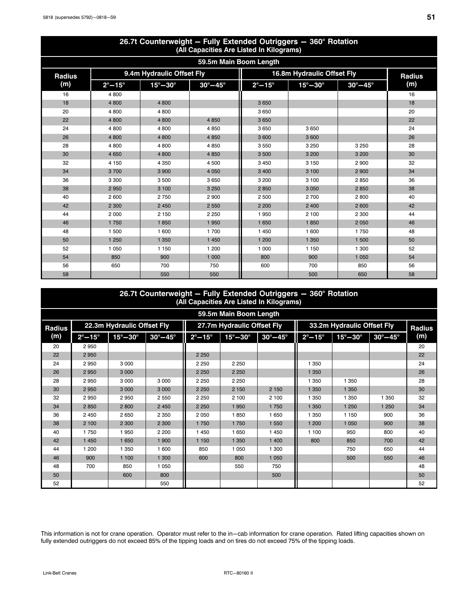<span id="page-56-0"></span>

| An eupachtec Are Eleted in Rhegramo, |                        |                           |                       |                      |                            |                       |     |  |  |  |  |  |  |
|--------------------------------------|------------------------|---------------------------|-----------------------|----------------------|----------------------------|-----------------------|-----|--|--|--|--|--|--|
|                                      | 59.5m Main Boom Length |                           |                       |                      |                            |                       |     |  |  |  |  |  |  |
| <b>Radius</b>                        |                        | 9.4m Hydraulic Offset Fly |                       |                      | 16.8m Hydraulic Offset Fly |                       |     |  |  |  |  |  |  |
| (m)                                  | $2^\circ - 15^\circ$   | $15^\circ - 30^\circ$     | $30^\circ - 45^\circ$ | $2^\circ - 15^\circ$ | $15^\circ - 30^\circ$      | $30^\circ - 45^\circ$ | (m) |  |  |  |  |  |  |
| 16                                   | 4 800                  |                           |                       |                      |                            |                       | 16  |  |  |  |  |  |  |
| 18                                   | 4 800                  | 4 800                     |                       | 3 6 5 0              |                            |                       | 18  |  |  |  |  |  |  |
| 20                                   | 4 800                  | 4 800                     |                       | 3 6 5 0              |                            |                       | 20  |  |  |  |  |  |  |
| 22                                   | 4 800                  | 4 8 0 0                   | 4 8 5 0               | 3 6 5 0              |                            |                       | 22  |  |  |  |  |  |  |
| 24                                   | 4 800                  | 4 800                     | 4 8 5 0               | 3 6 5 0              | 3 6 5 0                    |                       | 24  |  |  |  |  |  |  |
| 26                                   | 4 800                  | 4 8 0 0                   | 4 8 5 0               | 3 600                | 3 600                      |                       | 26  |  |  |  |  |  |  |
| 28                                   | 4800                   | 4800                      | 4850                  | 3 5 5 0              | 3 2 5 0                    | 3 2 5 0               | 28  |  |  |  |  |  |  |
| 30                                   | 4 6 5 0                | 4 8 0 0                   | 4 8 5 0               | 3 500                | 3 200                      | 3 2 0 0               | 30  |  |  |  |  |  |  |
| 32                                   | 4 1 5 0                | 4 3 5 0                   | 4 500                 | 3 4 5 0              | 3 1 5 0                    | 2900                  | 32  |  |  |  |  |  |  |
| 34                                   | 3700                   | 3 9 0 0                   | 4 0 5 0               | 3 4 0 0              | 3 100                      | 2 9 0 0               | 34  |  |  |  |  |  |  |
| 36                                   | 3 3 0 0                | 3500                      | 3650                  | 3 200                | 3 100                      | 2850                  | 36  |  |  |  |  |  |  |
| 38                                   | 2950                   | 3 100                     | 3 2 5 0               | 2850                 | 3 0 5 0                    | 2850                  | 38  |  |  |  |  |  |  |
| 40                                   | 2600                   | 2750                      | 2 9 0 0               | 2 500                | 2700                       | 2800                  | 40  |  |  |  |  |  |  |
| 42                                   | 2 3 0 0                | 2 4 5 0                   | 2 5 5 0               | 2 2 0 0              | 2 4 0 0                    | 2 600                 | 42  |  |  |  |  |  |  |
| 44                                   | 2 0 0 0                | 2 1 5 0                   | 2 2 5 0               | 1950                 | 2 100                      | 2 3 0 0               | 44  |  |  |  |  |  |  |
| 46                                   | 1750                   | 1850                      | 1950                  | 1 6 5 0              | 1850                       | 2 0 5 0               | 46  |  |  |  |  |  |  |
| 48                                   | 1 500                  | 1 600                     | 1700                  | 1 4 5 0              | 1 600                      | 1750                  | 48  |  |  |  |  |  |  |
| 50                                   | 1 2 5 0                | 1 3 5 0                   | 1 4 5 0               | 1 200                | 1 3 5 0                    | 1 500                 | 50  |  |  |  |  |  |  |
| 52                                   | 1 0 5 0                | 1 1 5 0                   | 1 200                 | 1 0 0 0              | 1 1 5 0                    | 1 300                 | 52  |  |  |  |  |  |  |
| 54                                   | 850                    | 900                       | 1 0 0 0               | 800                  | 900                        | 1 0 5 0               | 54  |  |  |  |  |  |  |
| 56                                   | 650                    | 700                       | 750                   | 600                  | 700                        | 850                   | 56  |  |  |  |  |  |  |
| 58                                   |                        | 550                       | 550                   |                      | 500                        | 650                   | 58  |  |  |  |  |  |  |

#### 26.7t Counterweight **– Fully Extended Outriggers – 360° Rotatio**n **(All Capacities Are Listed In Kilograms)**

#### 26.7t Counterweight **– Fully Extended Outriggers – 360° Rota**tion **(All Capacities Are Listed In Kilograms)**

| 59.5m Main Boom Length |                      |                            |                       |                      |                            |                       |                            |                       |                       |     |  |  |
|------------------------|----------------------|----------------------------|-----------------------|----------------------|----------------------------|-----------------------|----------------------------|-----------------------|-----------------------|-----|--|--|
| <b>Radius</b><br>(m)   |                      | 22.3m Hydraulic Offset Fly |                       |                      | 27.7m Hydraulic Offset Fly |                       | 33.2m Hydraulic Offset Fly | <b>Radius</b>         |                       |     |  |  |
|                        | $2^\circ - 15^\circ$ | $15^\circ - 30^\circ$      | $30^\circ - 45^\circ$ | $2^\circ - 15^\circ$ | $15^\circ - 30^\circ$      | $30^\circ - 45^\circ$ | $2^\circ - 15^\circ$       | $15^\circ - 30^\circ$ | $30^\circ - 45^\circ$ | (m) |  |  |
| 20                     | 2950                 |                            |                       |                      |                            |                       |                            |                       |                       | 20  |  |  |
| 22                     | 2950                 |                            |                       | 2 2 5 0              |                            |                       |                            |                       |                       | 22  |  |  |
| 24                     | 2950                 | 3 0 0 0                    |                       | 2 2 5 0              | 2 2 5 0                    |                       | 1 350                      |                       |                       | 24  |  |  |
| 26                     | 2950                 | 3 0 0 0                    |                       | 2 2 5 0              | 2 2 5 0                    |                       | 1 350                      |                       |                       | 26  |  |  |
| 28                     | 2950                 | 3 0 0 0                    | 3 0 0 0               | 2 2 5 0              | 2 2 5 0                    |                       | 1 350                      | 1 3 5 0               |                       | 28  |  |  |
| 30                     | 2 9 5 0              | 3 0 0 0                    | 3 0 0 0               | 2 2 5 0              | 2 1 5 0                    | 2 1 5 0               | 1 350                      | 1 3 5 0               |                       | 30  |  |  |
| 32                     | 2950                 | 2950                       | 2 5 5 0               | 2 2 5 0              | 2 100                      | 2 100                 | 1 350                      | 1 3 5 0               | 1 350                 | 32  |  |  |
| 34                     | 2850                 | 2800                       | 2 4 5 0               | 2 2 5 0              | 1950                       | 1750                  | 1 350                      | 1 250                 | 1 2 5 0               | 34  |  |  |
| 36                     | 2 4 5 0              | 2650                       | 2 3 5 0               | 2050                 | 1850                       | 1650                  | 1 350                      | 1 1 5 0               | 900                   | 36  |  |  |
| 38                     | 2 100                | 2 3 0 0                    | 2 3 0 0               | 1750                 | 1750                       | 1 550                 | 1 200                      | 1 0 5 0               | 900                   | 38  |  |  |
| 40                     | 1750                 | 1950                       | 2 2 0 0               | 1450                 | 1 650                      | 1450                  | 1 100                      | 950                   | 800                   | 40  |  |  |
| 42                     | 1 4 5 0              | 1 6 5 0                    | 1 900                 | 1 1 5 0              | 1 3 5 0                    | 1 400                 | 800                        | 850                   | 700                   | 42  |  |  |
| 44                     | 1 200                | 1 350                      | 1 600                 | 850                  | 1 0 5 0                    | 1 300                 |                            | 750                   | 650                   | 44  |  |  |
| 46                     | 900                  | 1 100                      | 1 300                 | 600                  | 800                        | 1 0 5 0               |                            | 500                   | 550                   | 46  |  |  |
| 48                     | 700                  | 850                        | 1 0 5 0               |                      | 550                        | 750                   |                            |                       |                       | 48  |  |  |
| 50                     |                      | 600                        | 800                   |                      |                            | 500                   |                            |                       |                       | 50  |  |  |
| 52                     |                      |                            | 550                   |                      |                            |                       |                            |                       |                       | 52  |  |  |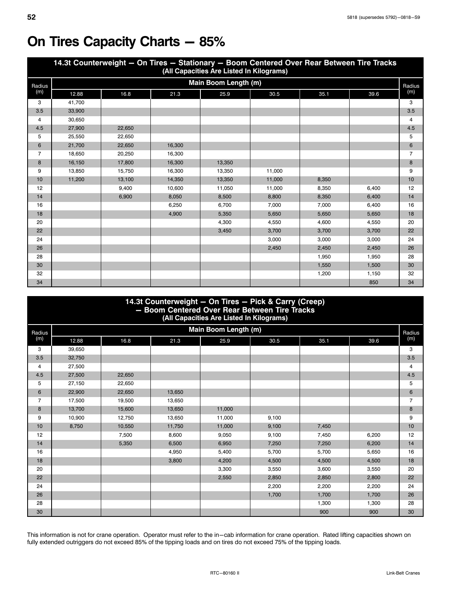## <span id="page-57-0"></span>**On Tires Capacity Charts - 85%**

|                | 14.3t Counterweight - On Tires - Stationary - Boom Centered Over Rear Between Tire Tracks<br>(All Capacities Are Listed In Kilograms) |        |        |        |        |       |       |                |  |  |  |  |
|----------------|---------------------------------------------------------------------------------------------------------------------------------------|--------|--------|--------|--------|-------|-------|----------------|--|--|--|--|
| Radius<br>(m)  | Main Boom Length (m)                                                                                                                  |        |        |        |        |       |       |                |  |  |  |  |
|                | 12.88                                                                                                                                 | 16.8   | 21.3   | 25.9   | 30.5   | 35.1  | 39.6  | (m)            |  |  |  |  |
| 3              | 41,700                                                                                                                                |        |        |        |        |       |       | 3              |  |  |  |  |
| 3.5            | 33,900                                                                                                                                |        |        |        |        |       |       | 3.5            |  |  |  |  |
| 4              | 30,650                                                                                                                                |        |        |        |        |       |       | 4              |  |  |  |  |
| 4.5            | 27,900                                                                                                                                | 22,650 |        |        |        |       |       | 4.5            |  |  |  |  |
| 5              | 25,550                                                                                                                                | 22,650 |        |        |        |       |       | 5              |  |  |  |  |
| 6              | 21,700                                                                                                                                | 22,650 | 16,300 |        |        |       |       | 6              |  |  |  |  |
| $\overline{7}$ | 18,650                                                                                                                                | 20,250 | 16,300 |        |        |       |       | $\overline{7}$ |  |  |  |  |
| 8              | 16,150                                                                                                                                | 17,800 | 16,300 | 13,350 |        |       |       | 8              |  |  |  |  |
| 9              | 13,850                                                                                                                                | 15,750 | 16.300 | 13,350 | 11.000 |       |       | 9              |  |  |  |  |
| 10             | 11,200                                                                                                                                | 13,100 | 14,350 | 13,350 | 11,000 | 8,350 |       | 10             |  |  |  |  |
| 12             |                                                                                                                                       | 9,400  | 10,600 | 11,050 | 11,000 | 8,350 | 6,400 | 12             |  |  |  |  |
| 14             |                                                                                                                                       | 6,900  | 8,050  | 8,500  | 8,800  | 8,350 | 6,400 | 14             |  |  |  |  |
| 16             |                                                                                                                                       |        | 6.250  | 6,700  | 7,000  | 7.000 | 6,400 | 16             |  |  |  |  |
| 18             |                                                                                                                                       |        | 4,900  | 5,350  | 5,650  | 5,650 | 5,650 | 18             |  |  |  |  |
| 20             |                                                                                                                                       |        |        | 4,300  | 4,550  | 4,600 | 4,550 | 20             |  |  |  |  |
| 22             |                                                                                                                                       |        |        | 3,450  | 3,700  | 3,700 | 3,700 | 22             |  |  |  |  |
| 24             |                                                                                                                                       |        |        |        | 3,000  | 3,000 | 3,000 | 24             |  |  |  |  |
| 26             |                                                                                                                                       |        |        |        | 2,450  | 2,450 | 2,450 | 26             |  |  |  |  |
| 28             |                                                                                                                                       |        |        |        |        | 1,950 | 1,950 | 28             |  |  |  |  |
| 30             |                                                                                                                                       |        |        |        |        | 1,550 | 1,500 | 30             |  |  |  |  |
| 32             |                                                                                                                                       |        |        |        |        | 1,200 | 1,150 | 32             |  |  |  |  |
| 34             |                                                                                                                                       |        |        |        |        |       | 850   | 34             |  |  |  |  |

#### 14.3t Counterweight - On Tires - Pick & Carry (Creep) **- Boom Centered Over Rear Between Tire Tracks (All Capacities Are Listed In Kilograms)**

| Radius         | Main Boom Length (m) |        |        |        |       |       |       |                |  |  |  |
|----------------|----------------------|--------|--------|--------|-------|-------|-------|----------------|--|--|--|
| (m)            | 12.88                | 16.8   | 21.3   | 25.9   | 30.5  | 35.1  | 39.6  | Radius<br>(m)  |  |  |  |
| 3              | 39,650               |        |        |        |       |       |       | 3              |  |  |  |
| 3.5            | 32,750               |        |        |        |       |       |       | 3.5            |  |  |  |
| $\overline{4}$ | 27,500               |        |        |        |       |       |       | 4              |  |  |  |
| 4.5            | 27,500               | 22,650 |        |        |       |       |       | 4.5            |  |  |  |
| 5              | 27,150               | 22,650 |        |        |       |       |       | 5              |  |  |  |
| 6              | 22,900               | 22,650 | 13,650 |        |       |       |       | 6              |  |  |  |
| $\overline{7}$ | 17,500               | 19,500 | 13,650 |        |       |       |       | $\overline{7}$ |  |  |  |
| 8              | 13,700               | 15,600 | 13,650 | 11,000 |       |       |       | 8              |  |  |  |
| 9              | 10,900               | 12,750 | 13,650 | 11,000 | 9,100 |       |       | 9              |  |  |  |
| 10             | 8,750                | 10,550 | 11,750 | 11,000 | 9,100 | 7,450 |       | 10             |  |  |  |
| 12             |                      | 7,500  | 8,600  | 9,050  | 9,100 | 7,450 | 6,200 | 12             |  |  |  |
| 14             |                      | 5,350  | 6,500  | 6,950  | 7,250 | 7,250 | 6,200 | 14             |  |  |  |
| 16             |                      |        | 4,950  | 5,400  | 5,700 | 5,700 | 5,650 | 16             |  |  |  |
| 18             |                      |        | 3,800  | 4,200  | 4,500 | 4,500 | 4,500 | 18             |  |  |  |
| 20             |                      |        |        | 3,300  | 3,550 | 3,600 | 3,550 | 20             |  |  |  |
| 22             |                      |        |        | 2,550  | 2,850 | 2,850 | 2,800 | 22             |  |  |  |
| 24             |                      |        |        |        | 2,200 | 2,200 | 2,200 | 24             |  |  |  |
| 26             |                      |        |        |        | 1,700 | 1,700 | 1,700 | 26             |  |  |  |
| 28             |                      |        |        |        |       | 1,300 | 1,300 | 28             |  |  |  |
| 30             |                      |        |        |        |       | 900   | 900   | 30             |  |  |  |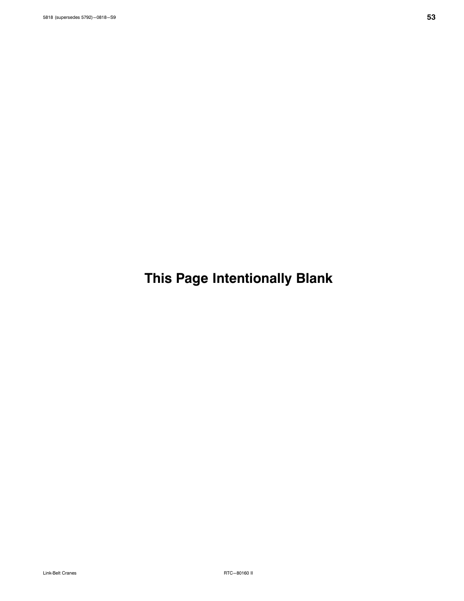**This Page Intentionally Blank**